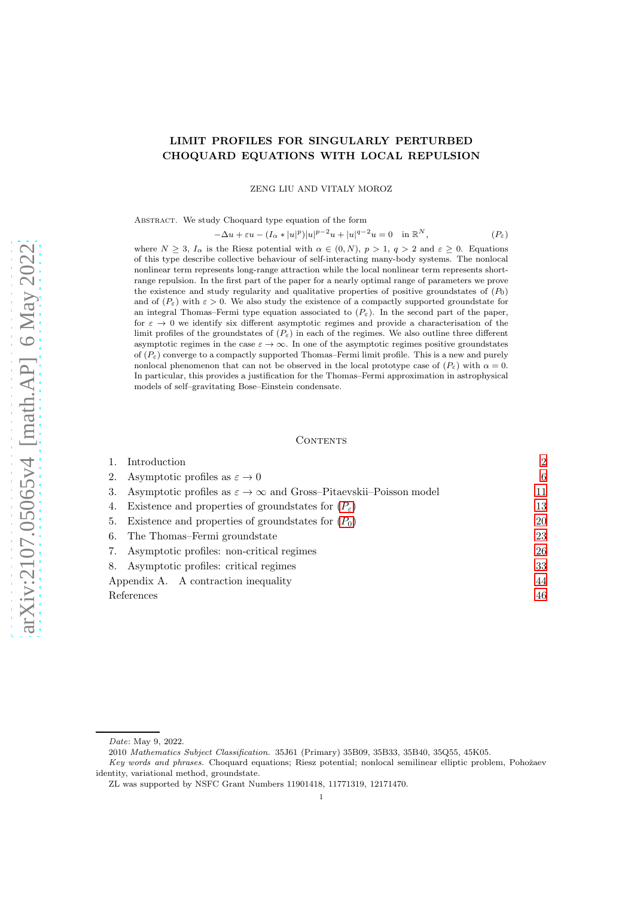# LIMIT PROFILES FOR SINGULARLY PERTURBED CHOQUARD EQUATIONS WITH LOCAL REPULSION

ZENG LIU AND VITALY MOROZ

Abstract. We study Choquard type equation of the form

$$
-\Delta u + \varepsilon u - (I_{\alpha}*|u|^p)|u|^{p-2}u + |u|^{q-2}u = 0 \quad \text{in } \mathbb{R}^N, \tag{P\varepsilon}
$$

where  $N > 3$ ,  $I_{\alpha}$  is the Riesz potential with  $\alpha \in (0, N)$ ,  $p > 1$ ,  $q > 2$  and  $\varepsilon > 0$ . Equations of this type describe collective behaviour of self-interacting many-body systems. The nonlocal nonlinear term represents long-range attraction while the local nonlinear term represents shortrange repulsion. In the first part of the paper for a nearly optimal range of parameters we prove the existence and study regularity and qualitative properties of positive groundstates of  $(P_0)$ and of  $(P_{\varepsilon})$  with  $\varepsilon > 0$ . We also study the existence of a compactly supported groundstate for an integral Thomas–Fermi type equation associated to  $(P_{\varepsilon})$ . In the second part of the paper, for  $\varepsilon \to 0$  we identify six different asymptotic regimes and provide a characterisation of the limit profiles of the groundstates of  $(P_{\varepsilon})$  in each of the regimes. We also outline three different asymptotic regimes in the case  $\varepsilon \to \infty$ . In one of the asymptotic regimes positive groundstates of  $(P_{\varepsilon})$  converge to a compactly supported Thomas–Fermi limit profile. This is a new and purely nonlocal phenomenon that can not be observed in the local prototype case of  $(P_{\varepsilon})$  with  $\alpha = 0$ . In particular, this provides a justification for the Thomas–Fermi approximation in astrophysical models of self–gravitating Bose–Einstein condensate.

#### CONTENTS

|    | Introduction                                                                       | $\overline{2}$ |
|----|------------------------------------------------------------------------------------|----------------|
| 2. | Asymptotic profiles as $\varepsilon \to 0$                                         | 6              |
| 3. | Asymptotic profiles as $\varepsilon \to \infty$ and Gross-Pitaevskii-Poisson model | 11             |
| 4. | Existence and properties of groundstates for $(P_{\varepsilon})$                   | 13             |
| 5. | Existence and properties of groundstates for $(P_0)$                               | 20             |
| 6. | The Thomas–Fermi groundstate                                                       | 23             |
| 7. | Asymptotic profiles: non-critical regimes                                          | 26             |
| 8. | Asymptotic profiles: critical regimes                                              | 33             |
|    | Appendix A. A contraction inequality                                               | 44             |
|    | References                                                                         | 46             |
|    |                                                                                    |                |

Date: May 9, 2022.

<sup>2010</sup> Mathematics Subject Classification. 35J61 (Primary) 35B09, 35B33, 35B40, 35Q55, 45K05.

Key words and phrases. Choquard equations; Riesz potential; nonlocal semilinear elliptic problem, Pohožaev identity, variational method, groundstate.

ZL was supported by NSFC Grant Numbers 11901418, 11771319, 12171470.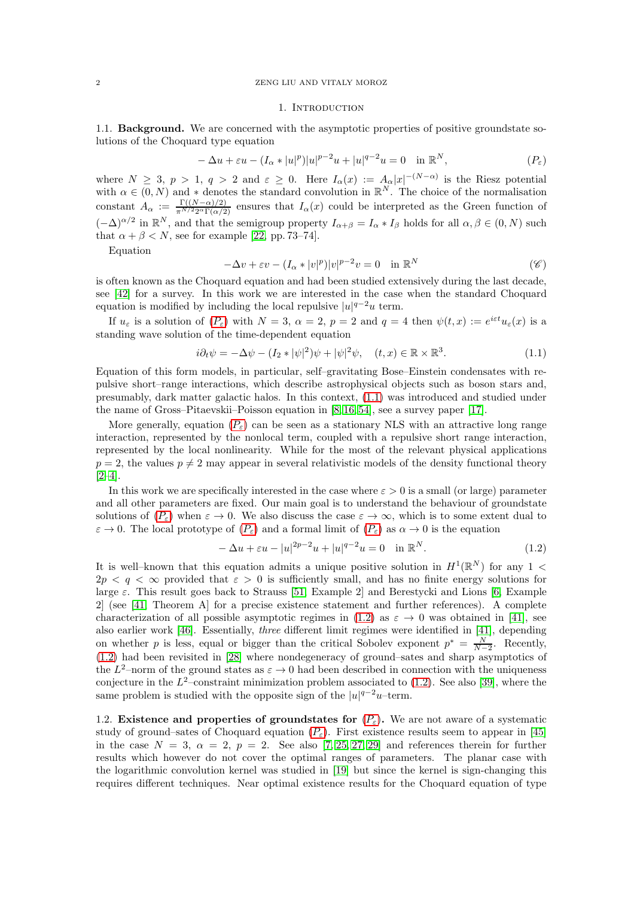#### <span id="page-1-0"></span>2 ZENG LIU AND VITALY MOROZ

#### <span id="page-1-4"></span><span id="page-1-1"></span>1. INTRODUCTION

1.1. **Background.** We are concerned with the asymptotic properties of positive groundstate solutions of the Choquard type equation

$$
-\Delta u + \varepsilon u - (I_{\alpha} * |u|^p)|u|^{p-2}u + |u|^{q-2}u = 0 \quad \text{in } \mathbb{R}^N, \tag{P\varepsilon}
$$

where  $N \geq 3$ ,  $p > 1$ ,  $q > 2$  and  $\varepsilon \geq 0$ . Here  $I_{\alpha}(x) := A_{\alpha}|x|^{-(N-\alpha)}$  is the Riesz potential with  $\alpha \in (0, N)$  and \* denotes the standard convolution in  $\mathbb{R}^N$ . The choice of the normalisation constant  $A_{\alpha} := \frac{\Gamma((N-\alpha)/2)}{\pi^{N/2}2^{\alpha}\Gamma(\alpha/2)}$  ensures that  $I_{\alpha}(x)$  could be interpreted as the Green function of  $(-\Delta)^{\alpha/2}$  in  $\mathbb{R}^N$ , and that the semigroup property  $I_{\alpha+\beta}=I_{\alpha}*I_{\beta}$  holds for all  $\alpha,\beta\in(0,N)$  such that  $\alpha + \beta < N$ , see for example [\[22,](#page-45-1) pp. 73–74].

Equation

$$
-\Delta v + \varepsilon v - (I_{\alpha} * |v|^p)|v|^{p-2}v = 0 \quad \text{in } \mathbb{R}^N
$$
 (6)

is often known as the Choquard equation and had been studied extensively during the last decade, see [\[42\]](#page-46-0) for a survey. In this work we are interested in the case when the standard Choquard equation is modified by including the local repulsive  $|u|^{q-2}u$  term.

If  $u_{\varepsilon}$  is a solution of  $(P_{\varepsilon})$  $(P_{\varepsilon})$  $(P_{\varepsilon})$  with  $N=3$ ,  $\alpha=2$ ,  $p=2$  and  $q=4$  then  $\psi(t,x):=e^{i\varepsilon t}u_{\varepsilon}(x)$  is a standing wave solution of the time-dependent equation

<span id="page-1-2"></span>
$$
i\partial_t \psi = -\Delta \psi - (I_2 * |\psi|^2) \psi + |\psi|^2 \psi, \quad (t, x) \in \mathbb{R} \times \mathbb{R}^3. \tag{1.1}
$$

Equation of this form models, in particular, self–gravitating Bose–Einstein condensates with repulsive short–range interactions, which describe astrophysical objects such as boson stars and, presumably, dark matter galactic halos. In this context, [\(1.1\)](#page-1-2) was introduced and studied under the name of Gross–Pitaevskii–Poisson equation in [\[8,](#page-45-2) [16,](#page-45-3) [54\]](#page-46-1), see a survey paper [\[17\]](#page-45-4).

More generally, equation  $(P_{\varepsilon})$  $(P_{\varepsilon})$  $(P_{\varepsilon})$  can be seen as a stationary NLS with an attractive long range interaction, represented by the nonlocal term, coupled with a repulsive short range interaction, represented by the local nonlinearity. While for the most of the relevant physical applications  $p = 2$ , the values  $p \neq 2$  may appear in several relativistic models of the density functional theory [\[2–](#page-45-5)[4\]](#page-45-6).

In this work we are specifically interested in the case where  $\varepsilon > 0$  is a small (or large) parameter and all other parameters are fixed. Our main goal is to understand the behaviour of groundstate solutions of  $(P_{\varepsilon})$  $(P_{\varepsilon})$  $(P_{\varepsilon})$  when  $\varepsilon \to 0$ . We also discuss the case  $\varepsilon \to \infty$ , which is to some extent dual to  $\varepsilon \to 0$ . The local prototype of  $(P_{\varepsilon})$  $(P_{\varepsilon})$  $(P_{\varepsilon})$  and a formal limit of  $(P_{\varepsilon})$  as  $\alpha \to 0$  is the equation

<span id="page-1-3"></span>
$$
-\Delta u + \varepsilon u - |u|^{2p-2}u + |u|^{q-2}u = 0 \quad \text{in } \mathbb{R}^N. \tag{1.2}
$$

It is well-known that this equation admits a unique positive solution in  $H^1(\mathbb{R}^N)$  for any 1 <  $2p < q < \infty$  provided that  $\varepsilon > 0$  is sufficiently small, and has no finite energy solutions for large  $\varepsilon$ . This result goes back to Strauss [\[51,](#page-46-2) Example 2] and Berestycki and Lions [\[6,](#page-45-7) Example 2] (see [\[41,](#page-46-3) Theorem A] for a precise existence statement and further references). A complete characterization of all possible asymptotic regimes in [\(1.2\)](#page-1-3) as  $\varepsilon \to 0$  was obtained in [\[41\]](#page-46-3), see also earlier work [\[46\]](#page-46-4). Essentially, *three* different limit regimes were identified in [\[41\]](#page-46-3), depending on whether p is less, equal or bigger than the critical Sobolev exponent  $p^* = \frac{N}{N-2}$ . Recently, [\(1.2\)](#page-1-3) had been revisited in [\[28\]](#page-45-8) where nondegeneracy of ground–sates and sharp asymptotics of the  $L^2$ -norm of the ground states as  $\varepsilon \to 0$  had been described in connection with the uniqueness conjecture in the  $L^2$ -constraint minimization problem associated to [\(1.2\)](#page-1-3). See also [\[39\]](#page-46-5), where the same problem is studied with the opposite sign of the  $|u|^{q-2}u$ -term.

1.2. Existence and properties of groundstates for  $(P_{\varepsilon})$  $(P_{\varepsilon})$  $(P_{\varepsilon})$ . We are not aware of a systematic study of ground–sates of Choquard equation  $(P_{\varepsilon})$  $(P_{\varepsilon})$  $(P_{\varepsilon})$ . First existence results seem to appear in [\[45\]](#page-46-6) in the case  $N = 3$ ,  $\alpha = 2$ ,  $p = 2$ . See also [\[7,](#page-45-9) [25,](#page-45-10) [27,](#page-45-11) [29\]](#page-45-12) and references therein for further results which however do not cover the optimal ranges of parameters. The planar case with the logarithmic convolution kernel was studied in [\[19\]](#page-45-13) but since the kernel is sign-changing this requires different techniques. Near optimal existence results for the Choquard equation of type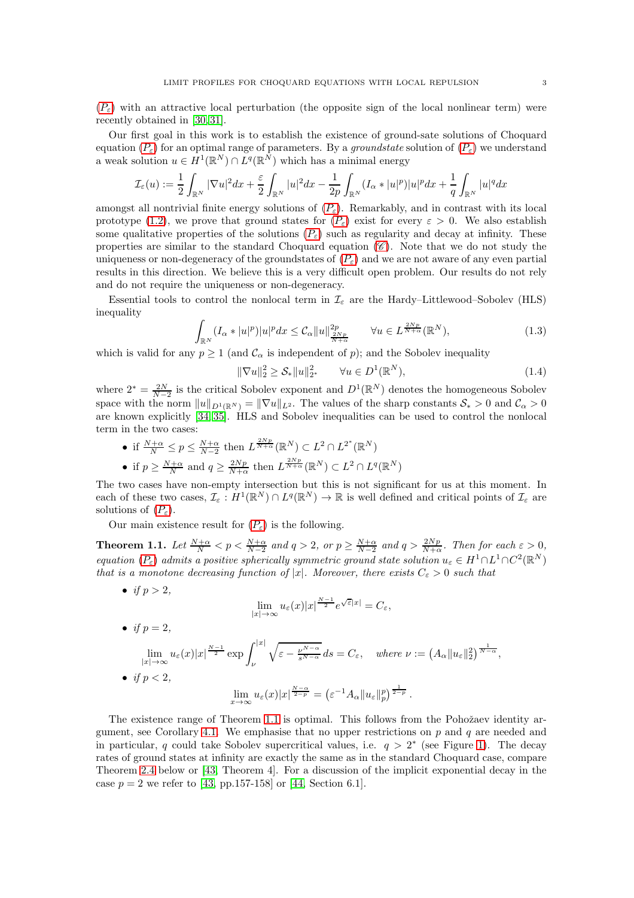$(P_{\varepsilon})$  $(P_{\varepsilon})$  $(P_{\varepsilon})$  with an attractive local perturbation (the opposite sign of the local nonlinear term) were recently obtained in [\[30,](#page-46-7) [31\]](#page-46-8).

Our first goal in this work is to establish the existence of ground-sate solutions of Choquard equation  $(P_{\varepsilon})$  $(P_{\varepsilon})$  $(P_{\varepsilon})$  for an optimal range of parameters. By a *groundstate* solution of  $(P_{\varepsilon})$  we understand a weak solution  $u \in H^1(\mathbb{R}^N) \cap L^q(\mathbb{R}^N)$  which has a minimal energy

$$
\mathcal{I}_{\varepsilon}(u) := \frac{1}{2} \int_{\mathbb{R}^N} |\nabla u|^2 dx + \frac{\varepsilon}{2} \int_{\mathbb{R}^N} |u|^2 dx - \frac{1}{2p} \int_{\mathbb{R}^N} (I_{\alpha} * |u|^p) |u|^p dx + \frac{1}{q} \int_{\mathbb{R}^N} |u|^q dx
$$

amongst all nontrivial finite energy solutions of  $(P_{\varepsilon})$  $(P_{\varepsilon})$  $(P_{\varepsilon})$ . Remarkably, and in contrast with its local prototype [\(1.2\)](#page-1-3), we prove that ground states for  $(P_{\varepsilon})$  $(P_{\varepsilon})$  $(P_{\varepsilon})$  exist for every  $\varepsilon > 0$ . We also establish some qualitative properties of the solutions  $(P_{\varepsilon})$  $(P_{\varepsilon})$  $(P_{\varepsilon})$  such as regularity and decay at infinity. These properties are similar to the standard [C](#page-1-4)hoquard equation  $(\mathscr{C})$ . Note that we do not study the uniqueness or non-degeneracy of the groundstates of  $(P_{\varepsilon})$  $(P_{\varepsilon})$  $(P_{\varepsilon})$  and we are not aware of any even partial results in this direction. We believe this is a very difficult open problem. Our results do not rely and do not require the uniqueness or non-degeneracy.

Essential tools to control the nonlocal term in  $\mathcal{I}_{\varepsilon}$  are the Hardy–Littlewood–Sobolev (HLS) inequality

<span id="page-2-2"></span>
$$
\int_{\mathbb{R}^N} (I_\alpha * |u|^p)|u|^p dx \le C_\alpha \|u\|_{\frac{2Np}{N+\alpha}}^{2p} \qquad \forall u \in L^{\frac{2Np}{N+\alpha}}(\mathbb{R}^N),\tag{1.3}
$$

which is valid for any  $p \ge 1$  (and  $\mathcal{C}_{\alpha}$  is independent of p); and the Sobolev inequality

<span id="page-2-1"></span>
$$
\|\nabla u\|_{2}^{2} \geq \mathcal{S}_{*} \|u\|_{2^{*}}^{2} \qquad \forall u \in D^{1}(\mathbb{R}^{N}), \tag{1.4}
$$

where  $2^* = \frac{2N}{N-2}$  is the critical Sobolev exponent and  $D^1(\mathbb{R}^N)$  denotes the homogeneous Sobolev space with the norm  $||u||_{D^1(\mathbb{R}^N)} = ||\nabla u||_{L^2}$ . The values of the sharp constants  $S_* > 0$  and  $C_\alpha > 0$ are known explicitly [\[34,](#page-46-9) [35\]](#page-46-10). HLS and Sobolev inequalities can be used to control the nonlocal term in the two cases:

• if  $\frac{N+\alpha}{N} \leq p \leq \frac{N+\alpha}{N-2}$  then  $L^{\frac{2Np}{N+\alpha}}(\mathbb{R}^N) \subset L^2 \cap L^{2^*}(\mathbb{R}^N)$ • if  $p \geq \frac{N+\alpha}{N}$  and  $q \geq \frac{2Np}{N+\alpha}$  then  $L^{\frac{2Np}{N+\alpha}}(\mathbb{R}^N) \subset L^2 \cap L^q(\mathbb{R}^N)$ 

The two cases have non-empty intersection but this is not significant for us at this moment. In each of these two cases,  $\mathcal{I}_{\varepsilon}: H^1(\mathbb{R}^N) \cap L^q(\mathbb{R}^N) \to \mathbb{R}$  is well defined and critical points of  $\mathcal{I}_{\varepsilon}$  are solutions of  $(P_{\varepsilon})$  $(P_{\varepsilon})$  $(P_{\varepsilon})$ .

Our main existence result for  $(P_{\varepsilon})$  $(P_{\varepsilon})$  $(P_{\varepsilon})$  is the following.

<span id="page-2-0"></span>**Theorem 1.1.** Let  $\frac{N+\alpha}{N} < p < \frac{N+\alpha}{N-2}$  and  $q > 2$ , or  $p \ge \frac{N+\alpha}{N-2}$  and  $q > \frac{2Np}{N+\alpha}$ . Then for each  $\varepsilon > 0$ , *equation*  $(P_{\varepsilon})$  $(P_{\varepsilon})$  $(P_{\varepsilon})$  *admits a positive spherically symmetric ground state solution*  $u_{\varepsilon} \in H^1 \cap L^1 \cap C^2(\mathbb{R}^N)$ *that is a monotone decreasing function of* |x|*. Moreover, there exists*  $C_{\varepsilon} > 0$  *such that* 

• *if*  $p > 2$ *,* 

$$
\lim_{|x| \to \infty} u_{\varepsilon}(x)|x|^{\frac{N-1}{2}} e^{\sqrt{\varepsilon}|x|} = C_{\varepsilon},
$$

• *if*  $p = 2$ *,* 

$$
\lim_{|x| \to \infty} u_{\varepsilon}(x)|x|^{\frac{N-1}{2}} \exp \int_{\nu}^{|x|} \sqrt{\varepsilon - \frac{\nu^{N-\alpha}}{s^{N-\alpha}}} ds = C_{\varepsilon}, \quad \text{where } \nu := \left(A_{\alpha} \|u_{\varepsilon}\|_{2}^{2}\right)^{\frac{1}{N-\alpha}},
$$
\n• if  $p < 2$ ,\n
$$
\lim_{x \to \infty} u_{\varepsilon}(x)|x|^{\frac{N-\alpha}{2-p}} = \left(\varepsilon^{-1} A_{\alpha} \|u_{\varepsilon}\|_{p}^{p}\right)^{\frac{1}{2-p}}.
$$

The existence range of Theorem [1.1](#page-2-0) is optimal. This follows from the Pohožaev identity ar-gument, see Corollary [4.1.](#page-13-0) We emphasise that no upper restrictions on  $p$  and  $q$  are needed and in particular, q could take Sobolev supercritical values, i.e.  $q > 2^*$  (see Figure [1\)](#page-3-1). The decay rates of ground states at infinity are exactly the same as in the standard Choquard case, compare Theorem [2.4](#page-7-0) below or [\[43,](#page-46-11) Theorem 4]. For a discussion of the implicit exponential decay in the case  $p = 2$  we refer to [\[43,](#page-46-11) pp.157-158] or [\[44,](#page-46-12) Section 6.1].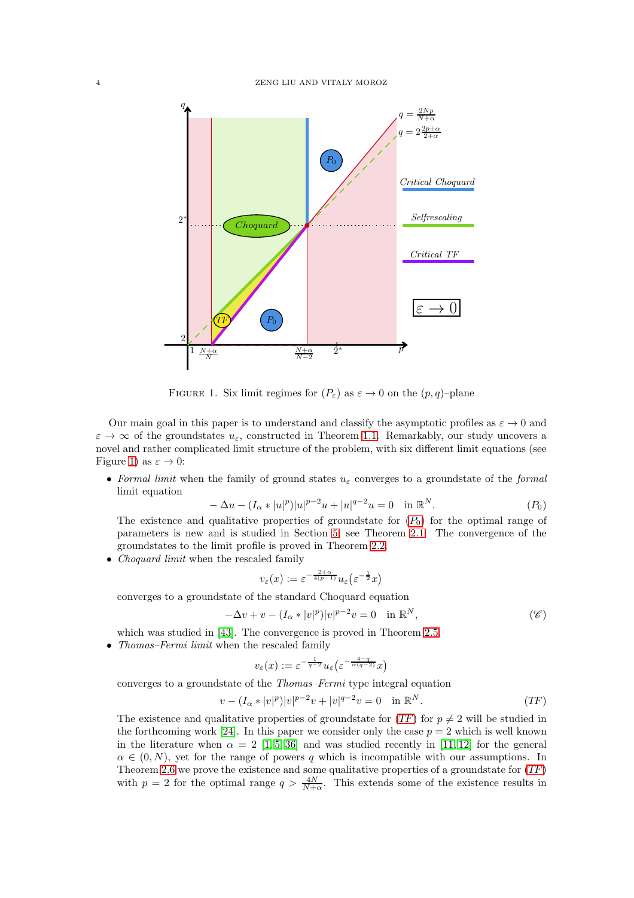

<span id="page-3-1"></span>FIGURE 1. Six limit regimes for  $(P_{\varepsilon})$  as  $\varepsilon \to 0$  on the  $(p, q)$ -plane

Our main goal in this paper is to understand and classify the asymptotic profiles as  $\varepsilon \to 0$  and  $\varepsilon \to \infty$  of the groundstates  $u_{\varepsilon}$ , constructed in Theorem [1.1.](#page-2-0) Remarkably, our study uncovers a novel and rather complicated limit structure of the problem, with six different limit equations (see Figure [1\)](#page-3-1) as  $\varepsilon \to 0$ :

• *Formal limit* when the family of ground states  $u_{\varepsilon}$  converges to a groundstate of the *formal* limit equation

$$
-\Delta u - (I_{\alpha} * |u|^p)|u|^{p-2}u + |u|^{q-2}u = 0 \quad \text{in } \mathbb{R}^N. \tag{P_0}
$$

The existence and qualitative properties of groundstate for  $(P_0)$  $(P_0)$  $(P_0)$  for the optimal range of parameters is new and is studied in Section [5,](#page-19-0) see Theorem [2.1.](#page-5-1) The convergence of the groundstates to the limit profile is proved in Theorem [2.2.](#page-5-2)

• *Choquard limit* when the rescaled family

<span id="page-3-0"></span>
$$
v_{\varepsilon}(x) := \varepsilon^{-\frac{2+\alpha}{4(p-1)}} u_{\varepsilon}\left(\varepsilon^{-\frac{1}{2}}x\right)
$$

converges to a groundstate of the standard Choquard equation

$$
-\Delta v + v - (I_{\alpha} * |v|^p)|v|^{p-2}v = 0 \quad \text{in } \mathbb{R}^N,
$$
\n
$$
\tag{6}
$$

which was studied in [\[43\]](#page-46-11). The convergence is proved in Theorem [2.5.](#page-7-1)

• *Thomas–Fermi limit* when the rescaled family

<span id="page-3-2"></span>
$$
v_{\varepsilon}(x):=\varepsilon^{-\frac{1}{q-2}}u_{\varepsilon}\left(\varepsilon^{-\frac{4-q}{\alpha(q-2)}}x\right)
$$

converges to a groundstate of the *Thomas–Fermi* type integral equation

$$
v - (I_{\alpha} * |v|^p)|v|^{p-2}v + |v|^{q-2}v = 0 \quad \text{in } \mathbb{R}^N. \tag{TF}
$$

The existence and qualitative properties of groundstate for  $(TF)$  $(TF)$  $(TF)$  for  $p \neq 2$  will be studied in the forthcoming work [\[24\]](#page-45-14). In this paper we consider only the case  $p = 2$  which is well known in the literature when  $\alpha = 2$  [\[1,](#page-45-15) [5,](#page-45-16) [36\]](#page-46-13) and was studied recently in [\[11,](#page-45-17) [12\]](#page-45-18) for the general  $\alpha \in (0, N)$ , yet for the range of powers q which is incompatible with our assumptions. In Theorem [2.6](#page-8-0) we prove the existence and some qualitative properties of a groundstate for ([TF](#page-3-2)) with  $p = 2$  for the optimal range  $q > \frac{4N}{N+\alpha}$ . This extends some of the existence results in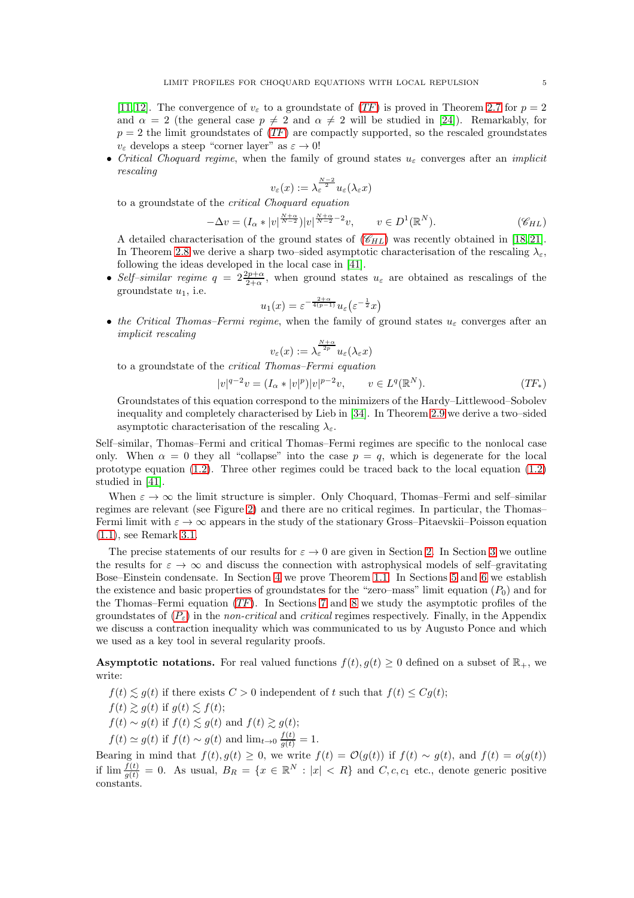[\[11,](#page-45-17) [12\]](#page-45-18). The convergence of  $v_{\varepsilon}$  to a groundstate of ([TF](#page-3-2)) is proved in Theorem [2.7](#page-8-1) for  $p = 2$ and  $\alpha = 2$  (the general case  $p \neq 2$  and  $\alpha \neq 2$  will be studied in [\[24\]](#page-45-14)). Remarkably, for  $p = 2$  the limit groundstates of  $(TF)$  $(TF)$  $(TF)$  are compactly supported, so the rescaled groundstates  $v_{\varepsilon}$  develops a steep "corner layer" as  $\varepsilon \to 0!$ 

• *Critical Choquard regime*, when the family of ground states  $u_{\varepsilon}$  converges after an *implicit rescaling*

<span id="page-4-0"></span>
$$
v_{\varepsilon}(x) := \lambda_{\varepsilon}^{\frac{N-2}{2}} u_{\varepsilon}(\lambda_{\varepsilon} x)
$$

to a groundstate of the *critical Choquard equation*

$$
-\Delta v = (I_{\alpha} * |v|^{\frac{N+\alpha}{N-2}}) |v|^{\frac{N+\alpha}{N-2}-2} v, \qquad v \in D^1(\mathbb{R}^N). \tag{C_{HL}}
$$

A detailed characterisation of the ground states of  $(\mathscr{C}_{HL})$  $(\mathscr{C}_{HL})$  $(\mathscr{C}_{HL})$  was recently obtained in [\[18,](#page-45-19) [21\]](#page-45-20). In Theorem [2.8](#page-9-0) we derive a sharp two–sided asymptotic characterisation of the rescaling  $\lambda_{\varepsilon}$ , following the ideas developed in the local case in [\[41\]](#page-46-3).

• Self-similar regime  $q = 2\frac{2p+\alpha}{2+\alpha}$ , when ground states  $u_{\varepsilon}$  are obtained as rescalings of the groundstate  $u_1$ , i.e.

$$
u_1(x) = \varepsilon^{-\frac{2+\alpha}{4(p-1)}} u_\varepsilon(\varepsilon^{-\frac{1}{2}}x)
$$

• the Critical Thomas–Fermi regime, when the family of ground states  $u_{\varepsilon}$  converges after an *implicit rescaling*

<span id="page-4-1"></span>
$$
v_{\varepsilon}(x) := \lambda_{\varepsilon}^{\frac{N+\alpha}{2p}} u_{\varepsilon}(\lambda_{\varepsilon} x)
$$

to a groundstate of the *critical Thomas–Fermi equation*

$$
|v|^{q-2}v = (I_{\alpha} * |v|^p)|v|^{p-2}v, \qquad v \in L^q(\mathbb{R}^N). \tag{TF_*}
$$

Groundstates of this equation correspond to the minimizers of the Hardy–Littlewood–Sobolev inequality and completely characterised by Lieb in [\[34\]](#page-46-9). In Theorem [2.9](#page-10-1) we derive a two–sided asymptotic characterisation of the rescaling  $\lambda_{\varepsilon}$ .

Self–similar, Thomas–Fermi and critical Thomas–Fermi regimes are specific to the nonlocal case only. When  $\alpha = 0$  they all "collapse" into the case  $p = q$ , which is degenerate for the local prototype equation [\(1.2\)](#page-1-3). Three other regimes could be traced back to the local equation [\(1.2\)](#page-1-3) studied in [\[41\]](#page-46-3).

When  $\varepsilon \to \infty$  the limit structure is simpler. Only Choquard, Thomas–Fermi and self–similar regimes are relevant (see Figure [2\)](#page-11-0) and there are no critical regimes. In particular, the Thomas– Fermi limit with  $\varepsilon \to \infty$  appears in the study of the stationary Gross–Pitaevskii–Poisson equation [\(1.1\)](#page-1-2), see Remark [3.1.](#page-11-1)

The precise statements of our results for  $\varepsilon \to 0$  are given in Section [2.](#page-5-0) In Section [3](#page-10-0) we outline the results for  $\varepsilon \to \infty$  and discuss the connection with astrophysical models of self–gravitating Bose–Einstein condensate. In Section [4](#page-12-0) we prove Theorem [1.1.](#page-2-0) In Sections [5](#page-19-0) and [6](#page-22-0) we establish the existence and basic properties of groundstates for the "zero–mass" limit equation  $(P_0)$  and for the Thomas–Fermi equation  $(TF)$  $(TF)$  $(TF)$ . In Sections [7](#page-25-0) and [8](#page-32-0) we study the asymptotic profiles of the groundstates of  $(P_{\varepsilon})$  $(P_{\varepsilon})$  $(P_{\varepsilon})$  in the *non-critical* and *critical* regimes respectively. Finally, in the Appendix we discuss a contraction inequality which was communicated to us by Augusto Ponce and which we used as a key tool in several regularity proofs.

**Asymptotic notations.** For real valued functions  $f(t), g(t) \geq 0$  defined on a subset of  $\mathbb{R}_+$ , we write:

 $f(t) \leq g(t)$  if there exists  $C > 0$  independent of t such that  $f(t) \leq Cg(t)$ ;

$$
f(t) \gtrsim g(t)
$$
 if  $g(t) \lesssim f(t)$ ;

$$
f(t) \sim g(t)
$$
 if  $f(t) \lesssim g(t)$  and  $f(t) \gtrsim g(t)$ ;

 $f(t) \simeq g(t)$  if  $f(t) \sim g(t)$  and  $\lim_{t \to 0} \frac{f(t)}{g(t)} = 1$ .

Bearing in mind that  $f(t), g(t) \geq 0$ , we write  $f(t) = \mathcal{O}(g(t))$  if  $f(t) \sim g(t)$ , and  $f(t) = o(g(t))$ if  $\lim \frac{f(t)}{g(t)} = 0$ . As usual,  $B_R = \{x \in \mathbb{R}^N : |x| < R\}$  and  $C, c, c_1$  etc., denote generic positive constants.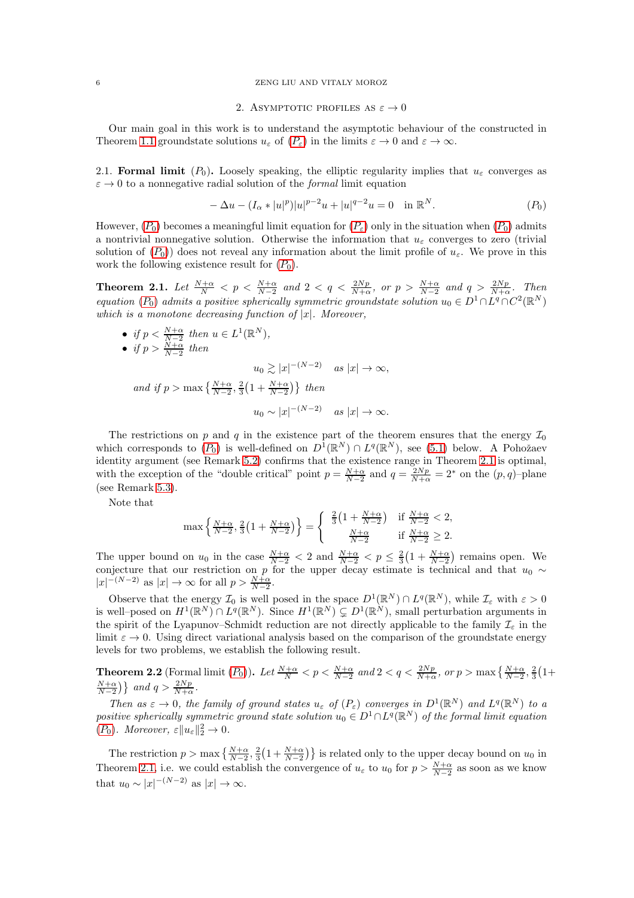#### <span id="page-5-0"></span>6 ZENG LIU AND VITALY MOROZ

#### 2. ASYMPTOTIC PROFILES AS  $\varepsilon \to 0$

Our main goal in this work is to understand the asymptotic behaviour of the constructed in Theorem [1.1](#page-2-0) groundstate solutions  $u_{\varepsilon}$  of  $(P_{\varepsilon})$  $(P_{\varepsilon})$  $(P_{\varepsilon})$  in the limits  $\varepsilon \to 0$  and  $\varepsilon \to \infty$ .

2.1. Formal limit  $(P_0)$ . Loosely speaking, the elliptic regularity implies that  $u_{\varepsilon}$  converges as  $\varepsilon \to 0$  to a nonnegative radial solution of the *formal* limit equation

$$
-\Delta u - (I_{\alpha}*|u|^p)|u|^{p-2}u + |u|^{q-2}u = 0 \quad \text{in } \mathbb{R}^N. \tag{P_0}
$$

However,  $(P_0)$  $(P_0)$  $(P_0)$  becomes a meaningful limit equation for  $(P_{\varepsilon})$  only in the situation when  $(P_0)$  admits a nontrivial nonnegative solution. Otherwise the information that  $u_{\varepsilon}$  converges to zero (trivial solution of  $(P_0)$  $(P_0)$  $(P_0)$  does not reveal any information about the limit profile of  $u_{\varepsilon}$ . We prove in this work the following existence result for  $(P_0)$  $(P_0)$  $(P_0)$ .

<span id="page-5-1"></span>**Theorem 2.1.** Let  $\frac{N+\alpha}{N} < p < \frac{N+\alpha}{N-2}$  and  $2 < q < \frac{2Np}{N+\alpha}$ , or  $p > \frac{N+\alpha}{N-2}$  and  $q > \frac{2Np}{N+\alpha}$ . Then *equation*  $(P_0)$  $(P_0)$  $(P_0)$  *admits a positive spherically symmetric groundstate solution*  $u_0 \in D^1 \cap L^q \cap C^2(\mathbb{R}^N)$ *which is a monotone decreasing function of* |x|*. Moreover,*

• *if*  $p < \frac{N+\alpha}{N-2}$  then  $u \in L^1(\mathbb{R}^N)$ ,

• if 
$$
p > \frac{N+\alpha}{N-2}
$$
 then

 $u_0 \gtrsim |x|^{-(N-2)}$  *as*  $|x| \to \infty$ ,

*and if*  $p > \max\left\{\frac{N+\alpha}{N-2}, \frac{2}{3}\left(1 + \frac{N+\alpha}{N-2}\right)\right\}$  then

$$
u_0 \sim |x|^{-(N-2)} \quad \text{as } |x| \to \infty.
$$

The restrictions on p and q in the existence part of the theorem ensures that the energy  $\mathcal{I}_0$ which corresponds to  $(P_0)$  $(P_0)$  $(P_0)$  is well-defined on  $D^1(\mathbb{R}^N) \cap L^q(\mathbb{R}^N)$ , see [\(5.1\)](#page-19-1) below. A Pohožaev identity argument (see Remark [5.2\)](#page-22-1) confirms that the existence range in Theorem [2.1](#page-5-1) is optimal, with the exception of the "double critical" point  $p = \frac{N+\alpha}{N-2}$  and  $q = \frac{2Np}{N+\alpha} = 2^*$  on the  $(p, q)$ -plane (see Remark [5.3\)](#page-22-2).

Note that

$$
\max\left\{\frac{N+\alpha}{N-2}, \frac{2}{3}\left(1+\frac{N+\alpha}{N-2}\right)\right\} = \begin{cases} \frac{2}{3}\left(1+\frac{N+\alpha}{N-2}\right) & \text{if } \frac{N+\alpha}{N-2} < 2, \\ \frac{N+\alpha}{N-2} & \text{if } \frac{N+\alpha}{N-2} \ge 2. \end{cases}
$$

The upper bound on  $u_0$  in the case  $\frac{N+\alpha}{N-2} < 2$  and  $\frac{N+\alpha}{N-2} < p \leq \frac{2}{3}(1 + \frac{N+\alpha}{N-2})$  remains open. We conjecture that our restriction on p for the upper decay estimate is technical and that  $u_0 \sim$  $|x|^{-(N-2)}$  as  $|x| \to \infty$  for all  $p > \frac{N+\alpha}{N-2}$ .

Observe that the energy  $\mathcal{I}_0$  is well posed in the space  $D^1(\mathbb{R}^N) \cap L^q(\mathbb{R}^N)$ , while  $\mathcal{I}_\varepsilon$  with  $\varepsilon > 0$ is well-posed on  $H^1(\mathbb{R}^N) \cap L^q(\mathbb{R}^N)$ . Since  $H^1(\mathbb{R}^N) \subsetneq D^1(\mathbb{R}^N)$ , small perturbation arguments in the spirit of the Lyapunov–Schmidt reduction are not directly applicable to the family  $\mathcal{I}_{\varepsilon}$  in the limit  $\varepsilon \to 0$ . Using direct variational analysis based on the comparison of the groundstate energy levels for two problems, we establish the following result.

<span id="page-5-2"></span>**Theorem 2.2** (Formal limit  $(P_0)$  $(P_0)$  $(P_0)$ ). Let  $\frac{N+\alpha}{N} < p < \frac{N+\alpha}{N-2}$  and  $2 < q < \frac{2Np}{N+\alpha}$ , or  $p > \max\left\{\frac{N+\alpha}{N-2}, \frac{2}{3}\left(1+\frac{N+\alpha}{N-2}\right)\right\}$  $\frac{N+\alpha}{N-2}$ } and  $q > \frac{2Np}{N+\alpha}$ .

*Then as*  $\varepsilon \to 0$ , the family of ground states  $u_{\varepsilon}$  of  $(P_{\varepsilon})$  converges in  $D^1(\mathbb{R}^N)$  and  $L^q(\mathbb{R}^N)$  to a  $positive$  spherically symmetric ground state solution  $u_0 \in D^1 \cap L^q(\mathbb{R}^N)$  of the formal limit equation  $(P_0)$  $(P_0)$  $(P_0)$ *. Moreover,*  $\varepsilon ||u_{\varepsilon}||_2^2 \to 0$ *.* 

The restriction  $p > \max\left\{\frac{N+\alpha}{N-2}, \frac{2}{3}\left(1+\frac{N+\alpha}{N-2}\right)\right\}$  is related only to the upper decay bound on  $u_0$  in Theorem [2.1,](#page-5-1) i.e. we could establish the convergence of  $u_{\varepsilon}$  to  $u_0$  for  $p > \frac{N+\alpha}{N-2}$  as soon as we know that  $u_0 \sim |x|^{-(N-2)}$  as  $|x| \to \infty$ .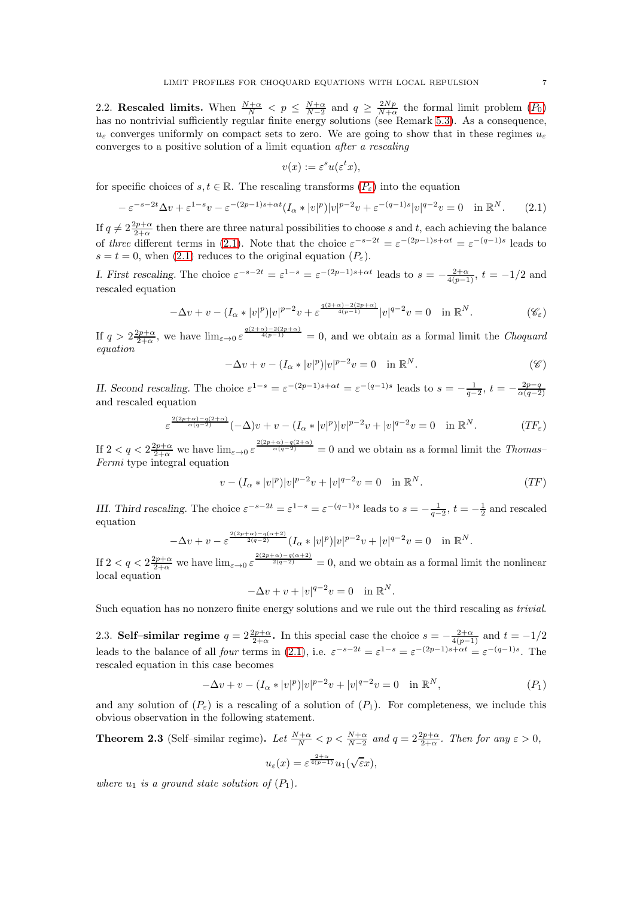2.2. Rescaled limits. When  $\frac{N+\alpha}{N} < p \leq \frac{N+\alpha}{N-2}$  and  $q \geq \frac{2Np}{N+\alpha}$  the formal limit problem  $(P_0)$  $(P_0)$  $(P_0)$ has no nontrivial sufficiently regular finite energy solutions (see Remark [5.3\)](#page-22-2). As a consequence,  $u_{\varepsilon}$  converges uniformly on compact sets to zero. We are going to show that in these regimes  $u_{\varepsilon}$ converges to a positive solution of a limit equation *after a rescaling*

<span id="page-6-2"></span>
$$
v(x) := \varepsilon^s u(\varepsilon^t x),
$$

for specific choices of  $s, t \in \mathbb{R}$ . The rescaling transforms  $(P_{\varepsilon})$  $(P_{\varepsilon})$  $(P_{\varepsilon})$  into the equation

<span id="page-6-0"></span>
$$
-\varepsilon^{-s-2t}\Delta v + \varepsilon^{1-s}v - \varepsilon^{-(2p-1)s+\alpha t}(I_\alpha * |v|^p)|v|^{p-2}v + \varepsilon^{-(q-1)s}|v|^{q-2}v = 0 \quad \text{in } \mathbb{R}^N. \tag{2.1}
$$

If  $q \neq 2\frac{2p+\alpha}{2+\alpha}$  then there are three natural possibilities to choose s and t, each achieving the balance of *three* different terms in [\(2.1\)](#page-6-0). Note that the choice  $\varepsilon^{-s-2t} = \varepsilon^{-(2p-1)s+\alpha t} = \varepsilon^{-(q-1)s}$  leads to  $s = t = 0$ , when [\(2.1\)](#page-6-0) reduces to the original equation  $(P_{\varepsilon})$ .

I. First rescaling. The choice  $\varepsilon^{-s-2t} = \varepsilon^{1-s} = \varepsilon^{-(2p-1)s+\alpha t}$  leads to  $s = -\frac{2+\alpha}{4(p-1)}$ ,  $t = -1/2$  and rescaled equation

$$
-\Delta v + v - (I_{\alpha} * |v|^p)|v|^{p-2}v + \varepsilon^{\frac{q(2+\alpha)-2(2p+\alpha)}{4(p-1)}}|v|^{q-2}v = 0 \quad \text{in } \mathbb{R}^N. \tag{C\varepsilon}
$$

If  $q > 2\frac{2p+\alpha}{2+\alpha}$ , we have  $\lim_{\varepsilon \to 0} \varepsilon^{\frac{q(2+\alpha)-2(2p+\alpha)}{4(p-1)}} = 0$ , and we obtain as a formal limit the *Choquard equation*

<span id="page-6-3"></span>
$$
-\Delta v + v - (I_{\alpha} * |v|^p)|v|^{p-2}v = 0 \quad \text{in } \mathbb{R}^N. \tag{8}
$$

II. Second rescaling. The choice  $\varepsilon^{1-s} = \varepsilon^{-(2p-1)s + \alpha t} = \varepsilon^{-(q-1)s}$  leads to  $s = -\frac{1}{q-2}, t = -\frac{2p-q}{\alpha(q-2)}$ and rescaled equation

$$
\varepsilon^{\frac{2(2p+\alpha)-q(2+\alpha)}{\alpha(q-2)}}(-\Delta)v+v-(I_{\alpha}*|v|^{p})|v|^{p-2}v+|v|^{q-2}v=0 \quad \text{in } \mathbb{R}^{N}.
$$
 (TF<sub>\varepsilon</sub>)

If  $2 < q < 2\frac{2p+\alpha}{2+\alpha}$  we have  $\lim_{\varepsilon \to 0} \varepsilon \frac{\frac{2(2p+\alpha)-q(2+\alpha)}{\alpha(q-2)}}{q(q-2)} = 0$  and we obtain as a formal limit the *Thomas*-*Fermi* type integral equation

$$
v - (I_{\alpha} * |v|^p)|v|^{p-2}v + |v|^{q-2}v = 0 \quad \text{in } \mathbb{R}^N. \tag{TF}
$$

III. Third rescaling. The choice  $\varepsilon^{-s-2t} = \varepsilon^{1-s} = \varepsilon^{-(q-1)s}$  leads to  $s = -\frac{1}{q-2}$ ,  $t = -\frac{1}{2}$  and rescaled equation

$$
-\Delta v + v - \varepsilon^{\frac{2(2p+\alpha)-q(\alpha+2)}{2(q-2)}} (I_{\alpha}*|v|^p)|v|^{p-2}v + |v|^{q-2}v = 0 \quad \text{in } \mathbb{R}^N.
$$

If  $2 < q < 2\frac{2p+\alpha}{2+\alpha}$  we have  $\lim_{\varepsilon \to 0} \varepsilon^{\frac{2(2p+\alpha)-q(\alpha+2)}{2(q-2)}} = 0$ , and we obtain as a formal limit the nonlinear local equation

$$
-\Delta v + v + |v|^{q-2}v = 0 \quad \text{in } \mathbb{R}^N.
$$

Such equation has no nonzero finite energy solutions and we rule out the third rescaling as *trivial*.

2.3. Self-similar regime  $q = 2\frac{2p+\alpha}{2+\alpha}$ . In this special case the choice  $s = -\frac{2+\alpha}{4(p-1)}$  and  $t = -1/2$ leads to the balance of all *four* terms in [\(2.1\)](#page-6-0), i.e.  $\varepsilon^{-s-2t} = \varepsilon^{1-s} = \varepsilon^{-(2p-1)s+\alpha t} = \varepsilon^{-(q-1)s}$ . The rescaled equation in this case becomes

$$
-\Delta v + v - (I_{\alpha} * |v|^p)|v|^{p-2}v + |v|^{q-2}v = 0 \quad \text{in } \mathbb{R}^N,
$$
\n<sup>(P<sub>1</sub>)</sup>

and any solution of  $(P_{\varepsilon})$  is a rescaling of a solution of  $(P_1)$ . For completeness, we include this obvious observation in the following statement.

<span id="page-6-1"></span>**Theorem 2.3** (Self-similar regime). Let 
$$
\frac{N+\alpha}{N} < p < \frac{N+\alpha}{N-2}
$$
 and  $q = 2\frac{2p+\alpha}{2+\alpha}$ . Then for any  $\varepsilon > 0$ ,

$$
u_{\varepsilon}(x) = \varepsilon^{\frac{2+\alpha}{4(p-1)}} u_1(\sqrt{\varepsilon}x),
$$

*where*  $u_1$  *is a ground state solution of*  $(P_1)$ *.*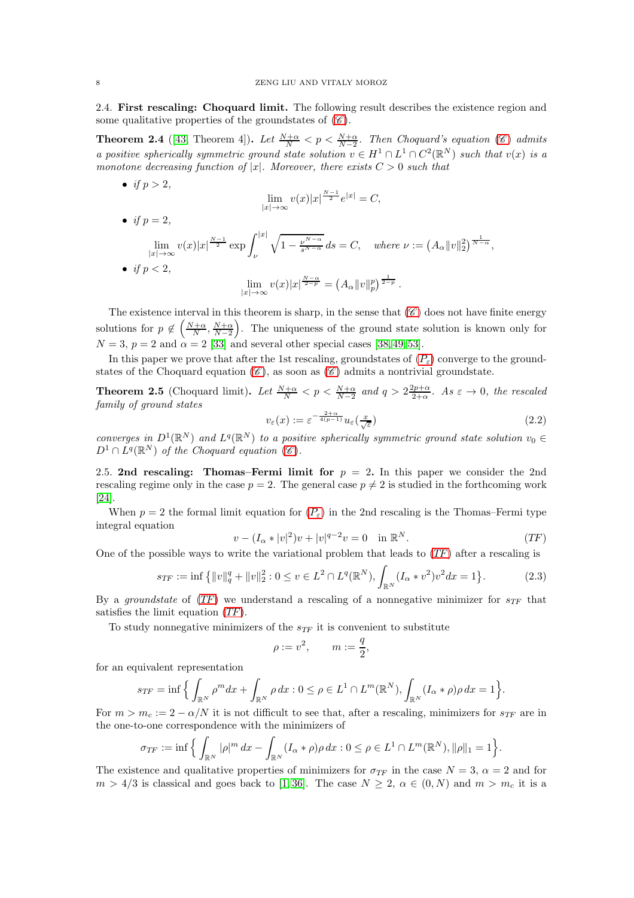2.4. First rescaling: Choquard limit. The following result describes the existence region and some qualitative properties of the groundstates of  $(\mathscr{C})$  $(\mathscr{C})$  $(\mathscr{C})$ .

<span id="page-7-0"></span>**Theorem 2.4** ([\[43,](#page-46-11) Theorem 4]). Let  $\frac{N+\alpha}{N} < p < \frac{N+\alpha}{N-2}$ . Then [C](#page-1-4)hoquard's equation (6) admits *a positive spherically symmetric ground state solution*  $v \in H^1 \cap L^1 \cap C^2(\mathbb{R}^N)$  *such that*  $v(x)$  *is a monotone decreasing function of* |x|*. Moreover, there exists*  $C > 0$  *such that* 

$$
\lim_{|x| \to \infty} v(x)|x|^{\frac{N-1}{2}}e^{|x|} = C,
$$

• *if*  $p = 2$ ,

• *if*  $p > 2$ ,

lim  $\lim_{|x|\to\infty}v(x)|x|^{\frac{N-1}{2}}\exp\int_{\nu}^{|x|}$ ν  $\sqrt{1-\frac{\nu^{N-\alpha}}{s^{N-\alpha}}}ds = C, \quad where \nu := (A_{\alpha}||v||_2^2)^{\frac{1}{N-\alpha}},$ • *if*  $p < 2$ , lim  $\lim_{|x| \to \infty} v(x)|x|^{\frac{N-\alpha}{2-p}} = (A_{\alpha} ||v||_p^p)^{\frac{1}{2-p}}.$ 

The existence interval in this theorem is sharp, in the sense that  $(\mathscr{C})$  $(\mathscr{C})$  $(\mathscr{C})$  does not have finite energy solutions for  $p \notin \left(\frac{N+\alpha}{N}, \frac{N+\alpha}{N-2}\right)$  . The uniqueness of the ground state solution is known only for  $N = 3$ ,  $p = 2$  and  $\alpha = 2$  [\[33\]](#page-46-14) and several other special cases [\[38,](#page-46-15) [49,](#page-46-16) [53\]](#page-46-17).

In this paper we prove that after the 1st rescaling, groundstates of  $(P_{\varepsilon})$  $(P_{\varepsilon})$  $(P_{\varepsilon})$  converge to the ground-states of the [C](#page-1-4)hoquard equation  $(\mathscr{C})$ , as soon as  $(\mathscr{C})$  admits a nontrivial groundstate.

<span id="page-7-1"></span>**Theorem 2.5** (Choquard limit). Let  $\frac{N+\alpha}{N} < p < \frac{N+\alpha}{N-2}$  and  $q > 2\frac{2p+\alpha}{2+\alpha}$ . As  $\varepsilon \to 0$ , the rescaled *family of ground states*

$$
v_{\varepsilon}(x) := \varepsilon^{-\frac{2+\alpha}{4(p-1)}} u_{\varepsilon}(\frac{x}{\sqrt{\varepsilon}})
$$
\n(2.2)

*converges in*  $D^1(\mathbb{R}^N)$  *and*  $L^q(\mathbb{R}^N)$  *to a positive spherically symmetric ground state solution*  $v_0 \in$  $D^1 \cap L^q(\mathbb{R}^N)$  of the [C](#page-1-4)hoquard equation  $(\mathscr{C})$ .

2.5. 2nd rescaling: Thomas–Fermi limit for  $p = 2$ . In this paper we consider the 2nd rescaling regime only in the case  $p = 2$ . The general case  $p \neq 2$  is studied in the forthcoming work [\[24\]](#page-45-14).

When  $p = 2$  the formal limit equation for  $(P_{\varepsilon})$  $(P_{\varepsilon})$  $(P_{\varepsilon})$  in the 2nd rescaling is the Thomas–Fermi type integral equation

$$
v - (I_{\alpha} * |v|^2)v + |v|^{q-2}v = 0 \quad \text{in } \mathbb{R}^N. \tag{TF}
$$

One of the possible ways to write the variational problem that leads to  $(TF)$  $(TF)$  $(TF)$  after a rescaling is

<span id="page-7-3"></span>
$$
s_{TF} := \inf \left\{ ||v||_q^q + ||v||_2^2 : 0 \le v \in L^2 \cap L^q(\mathbb{R}^N), \int_{\mathbb{R}^N} (I_\alpha * v^2) v^2 dx = 1 \right\}.
$$
 (2.3)

By a *groundstate* of  $(TF)$  $(TF)$  $(TF)$  we understand a rescaling of a nonnegative minimizer for  $s_{TF}$  that satisfies the limit equation ([TF](#page-7-2)).

To study nonnegative minimizers of the  $s_{TF}$  it is convenient to substitute

<span id="page-7-2"></span>
$$
\rho := v^2, \qquad m := \frac{q}{2},
$$

for an equivalent representation

$$
s_{TF} = \inf \Big\{ \int_{\mathbb{R}^N} \rho^m dx + \int_{\mathbb{R}^N} \rho dx : 0 \le \rho \in L^1 \cap L^m(\mathbb{R}^N), \int_{\mathbb{R}^N} (I_\alpha * \rho) \rho dx = 1 \Big\}.
$$

For  $m > m_c := 2 - \alpha/N$  it is not difficult to see that, after a rescaling, minimizers for  $s_{TF}$  are in the one-to-one correspondence with the minimizers of

$$
\sigma_{TF} := \inf \Big\{ \int_{\mathbb{R}^N} |\rho|^m dx - \int_{\mathbb{R}^N} (I_\alpha * \rho) \rho dx : 0 \le \rho \in L^1 \cap L^m(\mathbb{R}^N), ||\rho||_1 = 1 \Big\}.
$$

The existence and qualitative properties of minimizers for  $\sigma_{TF}$  in the case  $N = 3$ ,  $\alpha = 2$  and for  $m > 4/3$  is classical and goes back to [\[1,](#page-45-15)36]. The case  $N \geq 2$ ,  $\alpha \in (0, N)$  and  $m > m_c$  it is a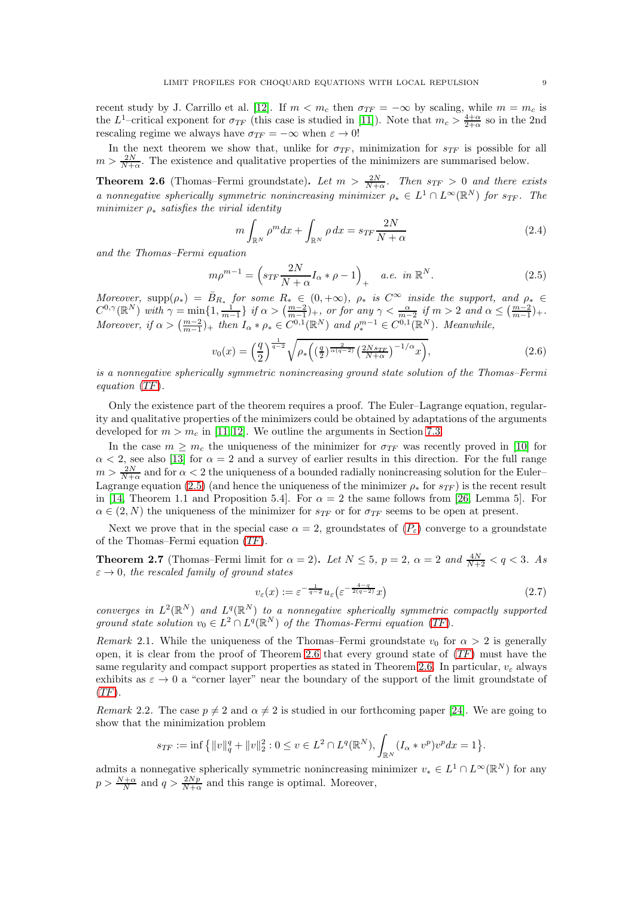recent study by J. Carrillo et al. [\[12\]](#page-45-18). If  $m < m_c$  then  $\sigma_{TF} = -\infty$  by scaling, while  $m = m_c$  is the L<sup>1</sup>-critical exponent for  $\sigma_{TF}$  (this case is studied in [\[11\]](#page-45-17)). Note that  $m_c > \frac{4+\alpha}{2+\alpha}$  so in the 2nd rescaling regime we always have  $\sigma_{TF} = -\infty$  when  $\varepsilon \to 0!$ 

In the next theorem we show that, unlike for  $\sigma_{TF}$ , minimization for  $s_{TF}$  is possible for all  $m > \frac{2N}{N+\alpha}$ . The existence and qualitative properties of the minimizers are summarised below.

<span id="page-8-0"></span>**Theorem 2.6** (Thomas–Fermi groundstate). Let  $m > \frac{2N}{N+\alpha}$ . Then  $s_{TF} > 0$  and there exists *a* nonnegative spherically symmetric nonincreasing minimizer  $\rho_* \in L^1 \cap L^\infty(\mathbb{R}^N)$  for  $s_{TF}$ . The *minimizer* ρ<sup>∗</sup> *satisfies the virial identity*

<span id="page-8-4"></span>
$$
m \int_{\mathbb{R}^N} \rho^m dx + \int_{\mathbb{R}^N} \rho dx = s_{TF} \frac{2N}{N + \alpha} \tag{2.4}
$$

*and the Thomas–Fermi equation*

<span id="page-8-2"></span>
$$
m\rho^{m-1} = \left(s_{TF}\frac{2N}{N+\alpha}I_{\alpha} * \rho - 1\right)_{+} \quad a.e. \in \mathbb{R}^{N}.
$$
 (2.5)

*Moreover,* supp $(\rho_*) = \bar{B}_{R_*}$  *for some*  $R_* \in (0, +\infty)$ *,*  $\rho_*$  *is*  $C^\infty$  *inside the support, and*  $\rho_* \in C^\infty$  $C^{0,\gamma}(\mathbb{R}^N)$  with  $\gamma = \min\{1, \frac{1}{m-1}\}$  if  $\alpha > (\frac{m-2}{m-1})_+$ , or for any  $\gamma < \frac{\alpha}{m-2}$  if  $m > 2$  and  $\alpha \leq (\frac{m-2}{m-1})_+$ . *Moreover, if*  $\alpha > \left(\frac{m-2}{m-1}\right)$  *+ then*  $I_{\alpha} * \rho_* \in C^{0,1}(\mathbb{R}^N)$  *and*  $\rho_*^{m-1} \in C^{0,1}(\mathbb{R}^N)$ *. Meanwhile,* 

<span id="page-8-3"></span>
$$
v_0(x) = \left(\frac{q}{2}\right)^{\frac{1}{q-2}} \sqrt{\rho_* \left(\left(\frac{q}{2}\right)^{\frac{2}{\alpha(q-2)}} \left(\frac{2Ns_{TF}}{N+\alpha}\right)^{-1/\alpha} x\right)},\tag{2.6}
$$

*is a nonnegative spherically symmetric nonincreasing ground state solution of the Thomas–Fermi equation* ([TF](#page-7-2))*.*

Only the existence part of the theorem requires a proof. The Euler–Lagrange equation, regularity and qualitative properties of the minimizers could be obtained by adaptations of the arguments developed for  $m > m_c$  in [\[11,](#page-45-17) [12\]](#page-45-18). We outline the arguments in Section [7.3.](#page-29-0)

In the case  $m \geq m_c$  the uniqueness of the minimizer for  $\sigma_{TF}$  was recently proved in [\[10\]](#page-45-21) for  $\alpha$  < 2, see also [\[13\]](#page-45-22) for  $\alpha = 2$  and a survey of earlier results in this direction. For the full range  $m > \frac{2N}{N+\alpha}$  and for  $\alpha < 2$  the uniqueness of a bounded radially nonincreasing solution for the Euler-Lagrange equation [\(2.5\)](#page-8-2) (and hence the uniqueness of the minimizer  $\rho_*$  for  $s_{TF}$ ) is the recent result in [\[14,](#page-45-23) Theorem 1.1 and Proposition 5.4]. For  $\alpha = 2$  the same follows from [\[26,](#page-45-24) Lemma 5]. For  $\alpha \in (2, N)$  the uniqueness of the minimizer for  $s_{TF}$  or for  $\sigma_{TF}$  seems to be open at present.

Next we prove that in the special case  $\alpha = 2$ , groundstates of  $(P_{\varepsilon})$  $(P_{\varepsilon})$  $(P_{\varepsilon})$  converge to a groundstate of the Thomas–Fermi equation ([TF](#page-7-2)).

<span id="page-8-1"></span>**Theorem 2.7** (Thomas–Fermi limit for  $\alpha = 2$ ). Let  $N \le 5$ ,  $p = 2$ ,  $\alpha = 2$  and  $\frac{4N}{N+2} < q < 3$ . As  $\varepsilon \to 0$ , the rescaled family of ground states

$$
v_{\varepsilon}(x) := \varepsilon^{-\frac{1}{q-2}} u_{\varepsilon} \left( \varepsilon^{-\frac{4-q}{2(q-2)}} x \right) \tag{2.7}
$$

*converges in*  $L^2(\mathbb{R}^N)$  *and*  $L^q(\mathbb{R}^N)$  *to a nonnegative spherically symmetric compactly supported* ground state solution  $v_0 \in L^2 \cap L^q(\mathbb{R}^N)$  of the Thomas-Fermi equation ([TF](#page-7-2)).

*Remark* 2.1. While the uniqueness of the Thomas–Fermi groundstate  $v_0$  for  $\alpha > 2$  is generally open, it is clear from the proof of Theorem [2.6](#page-8-0) that every ground state of  $(TF)$  $(TF)$  $(TF)$  must have the same regularity and compact support properties as stated in Theorem [2.6.](#page-8-0) In particular,  $v_{\varepsilon}$  always exhibits as  $\varepsilon \to 0$  a "corner layer" near the boundary of the support of the limit groundstate of  $(TF)$  $(TF)$  $(TF)$ .

*Remark* 2.2. The case  $p \neq 2$  and  $\alpha \neq 2$  is studied in our forthcoming paper [\[24\]](#page-45-14). We are going to show that the minimization problem

$$
s_{TF} := \inf \left\{ ||v||_q^q + ||v||_2^2 : 0 \le v \in L^2 \cap L^q(\mathbb{R}^N), \int_{\mathbb{R}^N} (I_\alpha * v^p) v^p dx = 1 \right\}.
$$

admits a nonnegative spherically symmetric nonincreasing minimizer  $v_* \in L^1 \cap L^\infty(\mathbb{R}^N)$  for any  $p > \frac{N+\alpha}{N}$  and  $q > \frac{2Np}{N+\alpha}$  and this range is optimal. Moreover,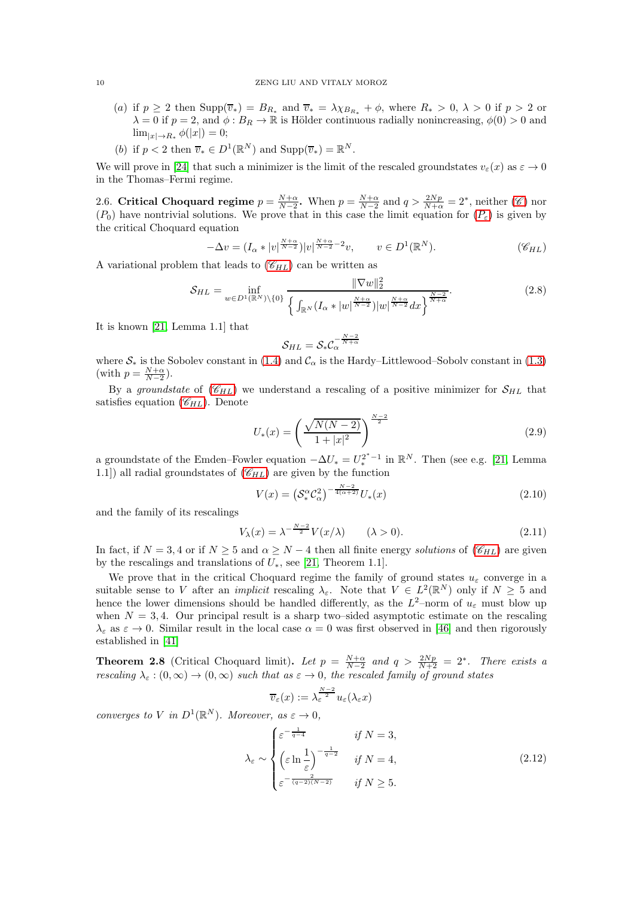- (a) if  $p \ge 2$  then  $\text{Supp}(\overline{v}_*) = B_{R_*}$  and  $\overline{v}_* = \lambda \chi_{B_{R_*}} + \phi$ , where  $R_* > 0$ ,  $\lambda > 0$  if  $p > 2$  or  $\lambda = 0$  if  $p = 2$ , and  $\phi : B_R \to \mathbb{R}$  is Hölder continuous radially nonincreasing,  $\phi(0) > 0$  and  $\lim_{|x|\to R_*} \phi(|x|) = 0;$
- (b) if  $p < 2$  then  $\overline{v}_* \in D^1(\mathbb{R}^N)$  and  $\text{Supp}(\overline{v}_*) = \mathbb{R}^N$ .

We will prove in [\[24\]](#page-45-14) that such a minimizer is the limit of the rescaled groundstates  $v_{\varepsilon}(x)$  as  $\varepsilon \to 0$ in the Thomas–Fermi regime.

2.6. [C](#page-1-4)ritical Choquard regime  $p = \frac{N+\alpha}{N-2}$ . When  $p = \frac{N+\alpha}{N-2}$  and  $q > \frac{2Np}{N+\alpha} = 2^*$ , neither (C) nor  $(P_0)$  $(P_0)$  $(P_0)$  have nontrivial solutions. We prove that in this case the limit equation for  $(P_{\varepsilon})$  is given by the critical Choquard equation

$$
-\Delta v = (I_{\alpha} * |v|^{\frac{N+\alpha}{N-2}}) |v|^{\frac{N+\alpha}{N-2}-2} v, \qquad v \in D^1(\mathbb{R}^N). \tag{8}_{HL}
$$

A variational problem that leads to  $(\mathscr{C}_{HL})$  $(\mathscr{C}_{HL})$  $(\mathscr{C}_{HL})$  can be written as

<span id="page-9-2"></span>
$$
S_{HL} = \inf_{w \in D^{1}(\mathbb{R}^{N}) \setminus \{0\}} \frac{\|\nabla w\|_{2}^{2}}{\left\{ \int_{\mathbb{R}^{N}} (I_{\alpha} * |w|^{\frac{N+\alpha}{N-2}}) |w|^{\frac{N+\alpha}{N-2}} dx \right\}^{\frac{N-2}{N+\alpha}}}.
$$
(2.8)

It is known [\[21,](#page-45-20) Lemma 1.1] that

$$
\mathcal{S}_{HL}=\mathcal{S}_{*}\mathcal{C}_{\alpha}^{-\frac{N-2}{N+\alpha}}
$$

where  $S_*$  is the Sobolev constant in [\(1.4\)](#page-2-1) and  $C_\alpha$  is the Hardy–Littlewood–Sobolv constant in [\(1.3\)](#page-2-2) (with  $p = \frac{N+\alpha}{N-2}$ ).

By a *groundstate* of  $(\mathscr{C}_{HL})$  $(\mathscr{C}_{HL})$  $(\mathscr{C}_{HL})$  we understand a rescaling of a positive minimizer for  $\mathcal{S}_{HL}$  that satisfies equation  $(\mathscr{C}_{HL})$  $(\mathscr{C}_{HL})$  $(\mathscr{C}_{HL})$ . Denote

<span id="page-9-1"></span>
$$
U_*(x) = \left(\frac{\sqrt{N(N-2)}}{1+|x|^2}\right)^{\frac{N-2}{2}}
$$
\n(2.9)

a groundstate of the Emden–Fowler equation  $-\Delta U_* = U_*^{2^*-1}$  in  $\mathbb{R}^N$ . Then (see e.g. [\[21,](#page-45-20) Lemma 1.1) all radial groundstates of  $(\mathscr{C}_{HL})$  $(\mathscr{C}_{HL})$  $(\mathscr{C}_{HL})$  are given by the function

$$
V(x) = \left(S_*^{\alpha} \mathcal{C}_{\alpha}^2\right)^{-\frac{N-2}{4(\alpha+2)}} U_*(x) \tag{2.10}
$$

and the family of its rescalings

$$
V_{\lambda}(x) = \lambda^{-\frac{N-2}{2}} V(x/\lambda) \qquad (\lambda > 0). \tag{2.11}
$$

In fact, if  $N = 3, 4$  or if  $N \ge 5$  and  $\alpha \ge N - 4$  then all finite energy *solutions* of ( $\mathcal{C}_{HL}$  $\mathcal{C}_{HL}$  $\mathcal{C}_{HL}$ ) are given by the rescalings and translations of  $U_*$ , see [\[21,](#page-45-20) Theorem 1.1].

We prove that in the critical Choquard regime the family of ground states  $u_{\varepsilon}$  converge in a suitable sense to V after an *implicit* rescaling  $\lambda_{\varepsilon}$ . Note that  $V \in L^2(\mathbb{R}^N)$  only if  $N \geq 5$  and hence the lower dimensions should be handled differently, as the  $L^2$ -norm of  $u_{\varepsilon}$  must blow up when  $N = 3, 4$ . Our principal result is a sharp two–sided asymptotic estimate on the rescaling  $\lambda_{\varepsilon}$  as  $\varepsilon \to 0$ . Similar result in the local case  $\alpha = 0$  was first observed in [\[46\]](#page-46-4) and then rigorously established in [\[41\]](#page-46-3)

<span id="page-9-0"></span>**Theorem 2.8** (Critical Choquard limit). Let  $p = \frac{N+\alpha}{N-2}$  and  $q > \frac{2Np}{N+2} = 2^*$ . There exists a *rescaling*  $\lambda_{\varepsilon} : (0, \infty) \to (0, \infty)$  *such that as*  $\varepsilon \to 0$ *, the rescaled family of ground states* 

$$
\overline{v}_{\varepsilon}(x) := \lambda_{\varepsilon}^{\frac{N-2}{2}} u_{\varepsilon}(\lambda_{\varepsilon} x)
$$

*converges to V in*  $D^1(\mathbb{R}^N)$ *. Moreover, as*  $\varepsilon \to 0$ *,* 

$$
\lambda_{\varepsilon} \sim \begin{cases} \varepsilon^{-\frac{1}{q-4}} & \text{if } N = 3, \\ \left(\varepsilon \ln \frac{1}{\varepsilon}\right)^{-\frac{1}{q-2}} & \text{if } N = 4, \\ \varepsilon^{-\frac{2}{(q-2)(N-2)}} & \text{if } N \ge 5. \end{cases} \tag{2.12}
$$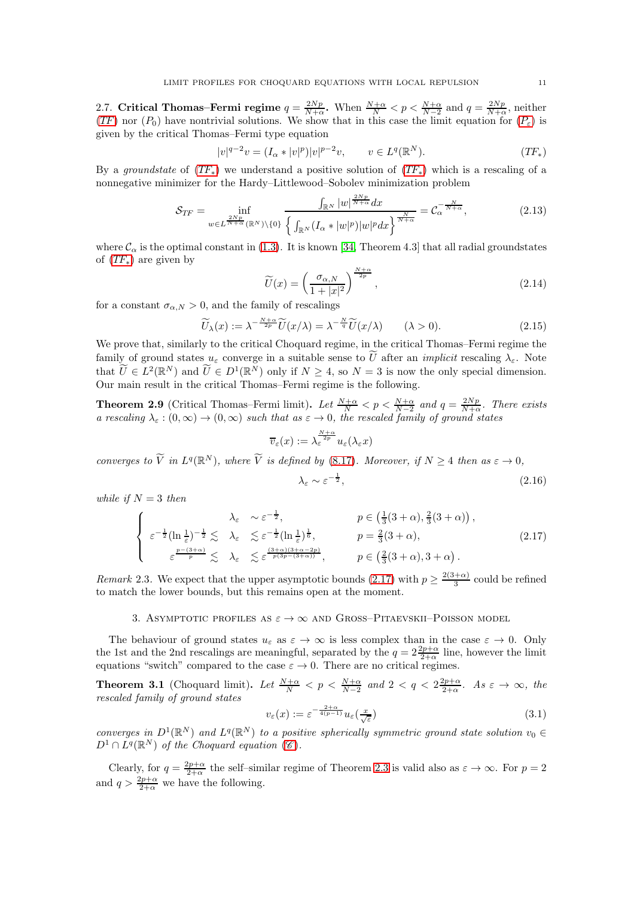2.7. Critical Thomas–Fermi regime  $q = \frac{2Np}{N+\alpha}$ . When  $\frac{N+\alpha}{N} < p < \frac{N+\alpha}{N-2}$  and  $q = \frac{2Np}{N+\alpha}$ , neither  $(TF)$  $(TF)$  $(TF)$  nor  $(P_0)$  $(P_0)$  $(P_0)$  have nontrivial solutions. We show that in this case the limit equation for  $(P_{\varepsilon})$  is given by the critical Thomas–Fermi type equation

$$
|v|^{q-2}v = (I_{\alpha} * |v|^p)|v|^{p-2}v, \qquad v \in L^q(\mathbb{R}^N). \tag{TF_*}
$$

By a *groundstate* of  $(TF_*)$  $(TF_*)$  $(TF_*)$  we understand a positive solution of  $(TF_*)$  which is a rescaling of a nonnegative minimizer for the Hardy–Littlewood–Sobolev minimization problem

<span id="page-10-4"></span>
$$
\mathcal{S}_{TF} = \inf_{w \in L^{\frac{Np}{N+\alpha}}(\mathbb{R}^N)\backslash\{0\}} \frac{\int_{\mathbb{R}^N} |w|^{\frac{2Np}{N+\alpha}} dx}{\left\{ \int_{\mathbb{R}^N} (I_\alpha * |w|^p) |w|^p dx \right\}^{\frac{N}{N+\alpha}}} = \mathcal{C}_\alpha^{-\frac{N}{N+\alpha}},\tag{2.13}
$$

where  $\mathcal{C}_{\alpha}$  is the optimal constant in [\(1.3\)](#page-2-2). It is known [\[34,](#page-46-9) Theorem 4.3] that all radial groundstates of  $(TF_*)$  $(TF_*)$  $(TF_*)$  are given by

<span id="page-10-5"></span>
$$
\widetilde{U}(x) = \left(\frac{\sigma_{\alpha,N}}{1+|x|^2}\right)^{\frac{N+\alpha}{2p}},\tag{2.14}
$$

for a constant  $\sigma_{\alpha,N} > 0$ , and the family of rescalings

$$
\widetilde{U}_{\lambda}(x) := \lambda^{-\frac{N+\alpha}{2p}} \widetilde{U}(x/\lambda) = \lambda^{-\frac{N}{q}} \widetilde{U}(x/\lambda) \qquad (\lambda > 0). \tag{2.15}
$$

We prove that, similarly to the critical Choquard regime, in the critical Thomas–Fermi regime the family of ground states  $u_{\varepsilon}$  converge in a suitable sense to U after an *implicit* rescaling  $\lambda_{\varepsilon}$ . Note that  $\tilde{U} \in L^2(\mathbb{R}^N)$  and  $\tilde{U} \in D^1(\mathbb{R}^N)$  only if  $N \ge 4$ , so  $N = 3$  is now the only special dimension. Our main result in the critical Thomas–Fermi regime is the following.

<span id="page-10-1"></span>**Theorem 2.9** (Critical Thomas–Fermi limit). Let  $\frac{N+\alpha}{N} < p < \frac{N+\alpha}{N-2}$  and  $q = \frac{2Np}{N+\alpha}$ . There exists *a rescaling*  $\lambda_{\varepsilon}$  :  $(0, \infty) \to (0, \infty)$  *such that as*  $\varepsilon \to 0$ *, the rescaled family of ground states* 

$$
\overline{v}_{\varepsilon}(x) := \lambda_{\varepsilon}^{\frac{N+\alpha}{2p}} u_{\varepsilon}(\lambda_{\varepsilon} x)
$$

*converges to*  $\tilde{V}$  *in*  $L^q(\mathbb{R}^N)$ *, where*  $\tilde{V}$  *is defined by* [\(8.17\)](#page-38-0)*. Moreover, if*  $N \geq 4$  *then as*  $\varepsilon \to 0$ *,* 

$$
\lambda_{\varepsilon} \sim \varepsilon^{-\frac{1}{2}},\tag{2.16}
$$

*while if*  $N = 3$  *then* 

<span id="page-10-2"></span>
$$
\begin{cases}\n\lambda_{\varepsilon} & \sim \varepsilon^{-\frac{1}{2}}, \quad p \in \left(\frac{1}{3}(3+\alpha), \frac{2}{3}(3+\alpha)\right), \\
\varepsilon^{-\frac{1}{2}}(\ln \frac{1}{\varepsilon})^{-\frac{1}{2}} \lesssim & \lambda_{\varepsilon} \lesssim \varepsilon^{-\frac{1}{2}}(\ln \frac{1}{\varepsilon})^{\frac{1}{6}}, \quad p = \frac{2}{3}(3+\alpha), \\
\varepsilon^{\frac{p-(3+\alpha)}{p}} \lesssim & \lambda_{\varepsilon} \lesssim \varepsilon^{\frac{(3+\alpha)(3+\alpha-2p)}{p(3p-(3+\alpha))}}, \quad p \in \left(\frac{2}{3}(3+\alpha), 3+\alpha\right).\n\end{cases} (2.17)
$$

<span id="page-10-0"></span>*Remark* 2.3. We expect that the upper asymptotic bounds [\(2.17\)](#page-10-2) with  $p \geq \frac{2(3+\alpha)}{3}$  $rac{+\alpha}{3}$  could be refined to match the lower bounds, but this remains open at the moment.

# 3. ASYMPTOTIC PROFILES AS  $\varepsilon \to \infty$  and Gross–Pitaevskii–Poisson model

The behaviour of ground states  $u_{\varepsilon}$  as  $\varepsilon \to \infty$  is less complex than in the case  $\varepsilon \to 0$ . Only the 1st and the 2nd rescalings are meaningful, separated by the  $q=2\frac{2p+\alpha}{2+\alpha}$  line, however the limit equations "switch" compared to the case  $\varepsilon \to 0$ . There are no critical regimes.

<span id="page-10-3"></span>**Theorem 3.1** (Choquard limit). Let  $\frac{N+\alpha}{N} < p < \frac{N+\alpha}{N-2}$  and  $2 < q < 2\frac{2p+\alpha}{2+\alpha}$ . As  $\varepsilon \to \infty$ , the *rescaled family of ground states*

$$
v_{\varepsilon}(x) := \varepsilon^{-\frac{2+\alpha}{4(p-1)}} u_{\varepsilon}\left(\frac{x}{\sqrt{\varepsilon}}\right) \tag{3.1}
$$

*converges in*  $D^1(\mathbb{R}^N)$  *and*  $L^q(\mathbb{R}^N)$  *to a positive spherically symmetric ground state solution*  $v_0 \in$  $D^1 \cap L^q(\mathbb{R}^N)$  of the [C](#page-1-4)hoquard equation  $(\mathscr{C})$ .

Clearly, for  $q = \frac{2p+\alpha}{2+\alpha}$  the self-similar regime of Theorem [2.3](#page-6-1) is valid also as  $\varepsilon \to \infty$ . For  $p = 2$ and  $q > \frac{2p+\alpha}{2+\alpha}$  we have the following.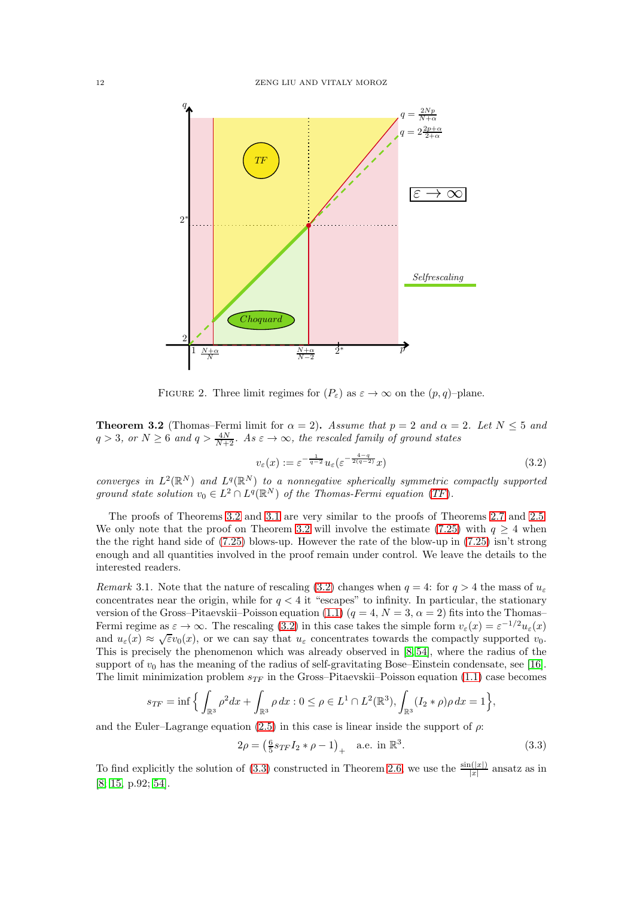

<span id="page-11-0"></span>FIGURE 2. Three limit regimes for  $(P_{\varepsilon})$  as  $\varepsilon \to \infty$  on the  $(p, q)$ –plane.

<span id="page-11-2"></span>**Theorem 3.2** (Thomas–Fermi limit for  $\alpha = 2$ ). *Assume that*  $p = 2$  *and*  $\alpha = 2$ *. Let*  $N \le 5$  *and*  $q > 3$ , or  $N \geq 6$  and  $q > \frac{4N}{N+2}$ . As  $\varepsilon \to \infty$ , the rescaled family of ground states

<span id="page-11-3"></span>
$$
v_{\varepsilon}(x) := \varepsilon^{-\frac{1}{q-2}} u_{\varepsilon}(\varepsilon^{-\frac{4-q}{2(q-2)}} x)
$$
\n(3.2)

*converges in*  $L^2(\mathbb{R}^N)$  *and*  $L^q(\mathbb{R}^N)$  *to a nonnegative spherically symmetric compactly supported* ground state solution  $v_0 \in L^2 \cap L^q(\mathbb{R}^N)$  of the Thomas-Fermi equation ([TF](#page-7-2)).

The proofs of Theorems [3.2](#page-11-2) and [3.1](#page-10-3) are very similar to the proofs of Theorems [2.7](#page-8-1) and [2.5.](#page-7-1) We only note that the proof on Theorem [3.2](#page-11-2) will involve the estimate [\(7.25\)](#page-31-0) with  $q \geq 4$  when the the right hand side of [\(7.25\)](#page-31-0) blows-up. However the rate of the blow-up in [\(7.25\)](#page-31-0) isn't strong enough and all quantities involved in the proof remain under control. We leave the details to the interested readers.

<span id="page-11-1"></span>*Remark* 3.1. Note that the nature of rescaling [\(3.2\)](#page-11-3) changes when  $q = 4$ : for  $q > 4$  the mass of  $u_{\varepsilon}$ concentrates near the origin, while for  $q < 4$  it "escapes" to infinity. In particular, the stationary version of the Gross–Pitaevskii–Poisson equation [\(1.1\)](#page-1-2)  $(q = 4, N = 3, \alpha = 2)$  fits into the Thomas– Fermi regime as  $\varepsilon \to \infty$ . The rescaling [\(3.2\)](#page-11-3) in this case takes the simple form  $v_{\varepsilon}(x) = \varepsilon^{-1/2} u_{\varepsilon}(x)$ and  $u_{\varepsilon}(x) \approx \sqrt{\varepsilon}v_0(x)$ , or we can say that  $u_{\varepsilon}$  concentrates towards the compactly supported  $v_0$ . This is precisely the phenomenon which was already observed in [\[8,](#page-45-2) [54\]](#page-46-1), where the radius of the support of  $v_0$  has the meaning of the radius of self-gravitating Bose–Einstein condensate, see [\[16\]](#page-45-3). The limit minimization problem  $s_{TF}$  in the Gross–Pitaevskii–Poisson equation [\(1.1\)](#page-1-2) case becomes

$$
s_{TF} = \inf \Big\{ \int_{\mathbb{R}^3} \rho^2 dx + \int_{\mathbb{R}^3} \rho dx : 0 \le \rho \in L^1 \cap L^2(\mathbb{R}^3), \int_{\mathbb{R}^3} (I_2 * \rho) \rho dx = 1 \Big\},\
$$

and the Euler–Lagrange equation [\(2.5\)](#page-8-2) in this case is linear inside the support of  $\rho$ :

<span id="page-11-4"></span>
$$
2\rho = \left(\frac{6}{5} s_{TF} I_2 * \rho - 1\right)_+ \quad \text{a.e. in } \mathbb{R}^3. \tag{3.3}
$$

To find explicitly the solution of [\(3.3\)](#page-11-4) constructed in Theorem [2.6,](#page-8-0) we use the  $\frac{\sin(|x|)}{|x|}$  ansatz as in [\[8;](#page-45-2) [15,](#page-45-25) p.92; [54\]](#page-46-1).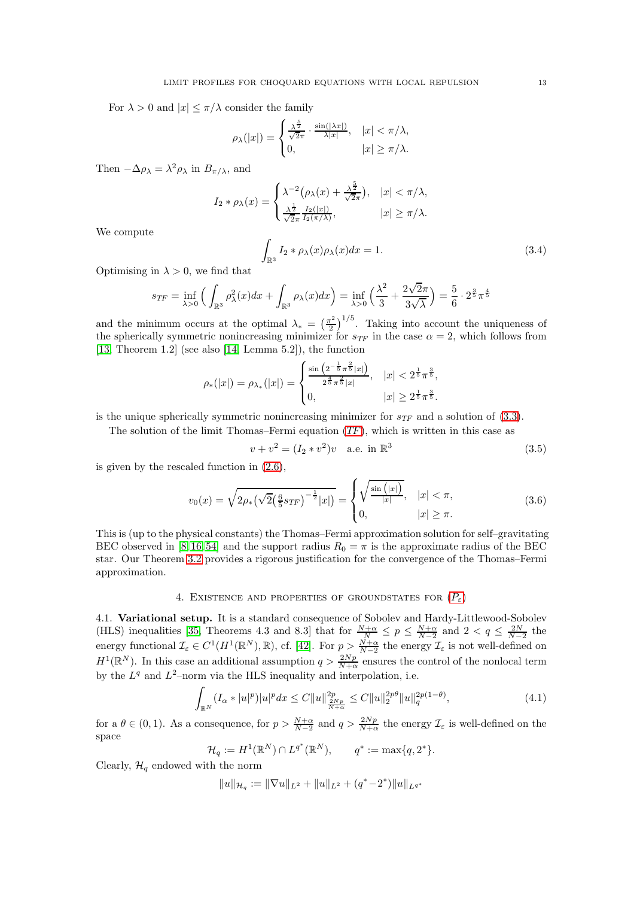For  $\lambda > 0$  and  $|x| \leq \pi/\lambda$  consider the family

$$
\rho_{\lambda}(|x|) = \begin{cases} \frac{\lambda^{\frac{5}{2}}}{\sqrt{2\pi}} \cdot \frac{\sin(|\lambda x|)}{\lambda |x|}, & |x| < \pi/\lambda, \\ 0, & |x| \ge \pi/\lambda. \end{cases}
$$

Then  $-\Delta \rho_{\lambda} = \lambda^2 \rho_{\lambda}$  in  $B_{\pi/\lambda}$ , and

$$
I_2 * \rho_\lambda(x) = \begin{cases} \lambda^{-2} (\rho_\lambda(x) + \frac{\lambda^{\frac{5}{2}}}{\sqrt{2\pi}}), & |x| < \pi/\lambda, \\ \frac{\lambda^{\frac{1}{2}}}{\sqrt{2\pi}} \frac{I_2(|x|)}{I_2(\pi/\lambda)}, & |x| \ge \pi/\lambda. \end{cases}
$$

We compute

$$
\int_{\mathbb{R}^3} I_2 * \rho_\lambda(x) \rho_\lambda(x) dx = 1.
$$
\n(3.4)

Optimising in  $\lambda > 0$ , we find that

$$
s_{TF} = \inf_{\lambda > 0} \Big( \int_{\mathbb{R}^3} \rho_{\lambda}^2(x) dx + \int_{\mathbb{R}^3} \rho_{\lambda}(x) dx \Big) = \inf_{\lambda > 0} \Big( \frac{\lambda^2}{3} + \frac{2\sqrt{2\pi}}{3\sqrt{\lambda}} \Big) = \frac{5}{6} \cdot 2^{\frac{3}{5}} \pi^{\frac{4}{5}}
$$

and the minimum occurs at the optimal  $\lambda_* = \left(\frac{\pi^2}{2}\right)$  $\left(\frac{r^2}{2}\right)^{1/5}$ . Taking into account the uniqueness of the spherically symmetric nonincreasing minimizer for  $s_{TF}$  in the case  $\alpha = 2$ , which follows from [\[13,](#page-45-22) Theorem 1.2] (see also [\[14,](#page-45-23) Lemma 5.2]), the function

$$
\rho_*(|x|) = \rho_{\lambda_*}(|x|) = \begin{cases} \frac{\sin\left(2^{-\frac{1}{5}}\pi^{\frac{2}{5}}|x|\right)}{2^{\frac{4}{5}}\pi^{\frac{2}{5}}|x|}, & |x| < 2^{\frac{1}{5}}\pi^{\frac{3}{5}},\\ 0, & |x| \ge 2^{\frac{1}{5}}\pi^{\frac{3}{5}}. \end{cases}
$$

is the unique spherically symmetric nonincreasing minimizer for  $s_{TF}$  and a solution of [\(3.3\)](#page-11-4).

The solution of the limit Thomas–Fermi equation  $(TF)$  $(TF)$  $(TF)$ , which is written in this case as

$$
v + v2 = (I2 * v2)v \quad \text{a.e. in } \mathbb{R}^3
$$
 (3.5)

is given by the rescaled function in [\(2.6\)](#page-8-3),

$$
v_0(x) = \sqrt{2\rho_*\left(\sqrt{2}\left(\frac{6}{5} s_{TF}\right)^{-\frac{1}{2}} |x|\right)} = \begin{cases} \sqrt{\frac{\sin\left(|x|\right)}{|x|}}, & |x| < \pi, \\ 0, & |x| \ge \pi. \end{cases}
$$
 (3.6)

This is (up to the physical constants) the Thomas–Fermi approximation solution for self–gravitating BEC observed in [\[8,](#page-45-2) [16,](#page-45-3) [54\]](#page-46-1) and the support radius  $R_0 = \pi$  is the approximate radius of the BEC star. Our Theorem [3.2](#page-11-2) provides a rigorous justification for the convergence of the Thomas–Fermi approximation.

# 4. EXISTENCE AND [P](#page-1-1)ROPERTIES OF GROUNDSTATES FOR  $(P_{\varepsilon})$

<span id="page-12-0"></span>4.1. Variational setup. It is a standard consequence of Sobolev and Hardy-Littlewood-Sobolev (HLS) inequalities [\[35,](#page-46-10) Theorems 4.3 and 8.3] that for  $\frac{N+\alpha}{N} \le p \le \frac{N+\alpha}{N-2}$  and  $2 < q \le \frac{2N}{N-2}$  the energy functional  $\mathcal{I}_{\varepsilon} \in C^1(H^1(\mathbb{R}^N), \mathbb{R})$ , cf. [\[42\]](#page-46-0). For  $p > \frac{N+\alpha}{N-2}$  the energy  $\mathcal{I}_{\varepsilon}$  is not well-defined on  $H^1(\mathbb{R}^N)$ . In this case an additional assumption  $q > \frac{2Np}{N+\alpha}$  ensures the control of the nonlocal term by the  $L^q$  and  $L^2$ -norm via the HLS inequality and interpolation, i.e.

$$
\int_{\mathbb{R}^N} (I_\alpha * |u|^p) |u|^p dx \le C \|u\|_{\frac{2Np}{N+\alpha}}^{2p} \le C \|u\|_2^{2p\theta} \|u\|_q^{2p(1-\theta)},\tag{4.1}
$$

for a  $\theta \in (0, 1)$ . As a consequence, for  $p > \frac{N+\alpha}{N-2}$  and  $q > \frac{2Np}{N+\alpha}$  the energy  $\mathcal{I}_{\varepsilon}$  is well-defined on the space

$$
\mathcal{H}_q := H^1(\mathbb{R}^N) \cap L^{q^*}(\mathbb{R}^N), \qquad q^* := \max\{q, 2^*\}.
$$

Clearly,  $\mathcal{H}_q$  endowed with the norm

$$
||u||_{\mathcal{H}_q} := ||\nabla u||_{L^2} + ||u||_{L^2} + (q^* - 2^*)||u||_{L^{q^*}}
$$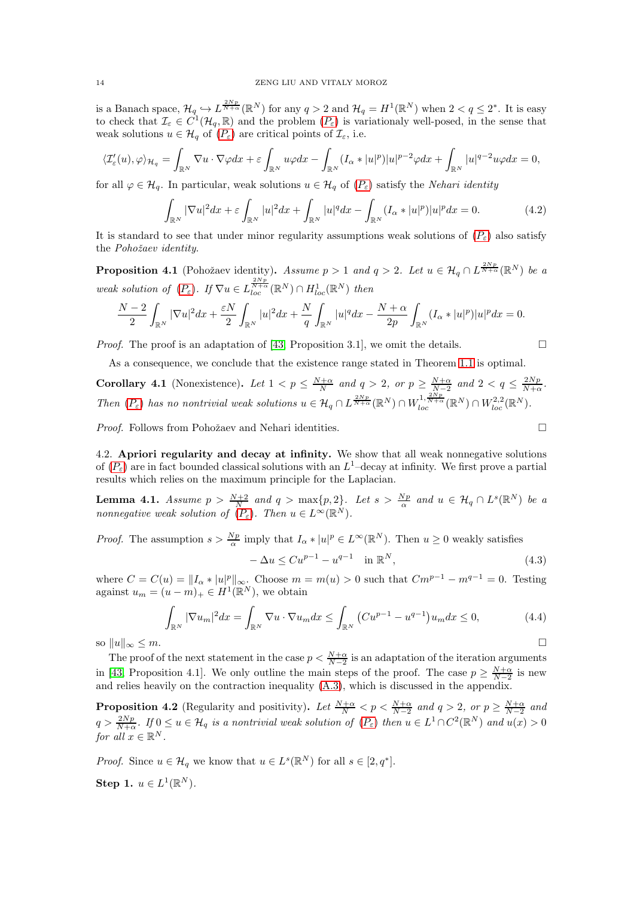is a Banach space,  $\mathcal{H}_q \hookrightarrow L^{\frac{2Np}{N+\alpha}}(\mathbb{R}^N)$  for any  $q > 2$  and  $\mathcal{H}_q = H^1(\mathbb{R}^N)$  when  $2 < q \leq 2^*$ . It is easy to check that  $\mathcal{I}_{\varepsilon} \in C^1(\mathcal{H}_q, \mathbb{R})$  and the problem  $(P_{\varepsilon})$  $(P_{\varepsilon})$  $(P_{\varepsilon})$  is variationaly well-posed, in the sense that weak solutions  $u \in \mathcal{H}_q$  of  $(P_\varepsilon)$  $(P_\varepsilon)$  $(P_\varepsilon)$  are critical points of  $\mathcal{I}_\varepsilon$ , i.e.

$$
\langle \mathcal{I}_\varepsilon'(u), \varphi \rangle_{\mathcal{H}_q} = \int_{\mathbb{R}^N} \nabla u \cdot \nabla \varphi dx + \varepsilon \int_{\mathbb{R}^N} u \varphi dx - \int_{\mathbb{R}^N} (I_\alpha * |u|^p) |u|^{p-2} \varphi dx + \int_{\mathbb{R}^N} |u|^{q-2} u \varphi dx = 0,
$$

for all  $\varphi \in \mathcal{H}_q$ . In particular, weak solutions  $u \in \mathcal{H}_q$  of  $(P_{\varepsilon})$  $(P_{\varepsilon})$  $(P_{\varepsilon})$  satisfy the *Nehari identity* 

$$
\int_{\mathbb{R}^N} |\nabla u|^2 dx + \varepsilon \int_{\mathbb{R}^N} |u|^2 dx + \int_{\mathbb{R}^N} |u|^q dx - \int_{\mathbb{R}^N} (I_\alpha * |u|^p)|u|^p dx = 0.
$$
 (4.2)

It is standard to see that under minor regularity assumptions weak solutions of  $(P_{\varepsilon})$  $(P_{\varepsilon})$  $(P_{\varepsilon})$  also satisfy the *Pohoˇzaev identity*.

<span id="page-13-2"></span>**Proposition 4.1** (Pohožaev identity). Assume  $p > 1$  and  $q > 2$ . Let  $u \in \mathcal{H}_q \cap L^{\frac{2Np}{N+\alpha}}(\mathbb{R}^N)$  be a *weak solution of*  $(P_{\varepsilon})$  $(P_{\varepsilon})$  $(P_{\varepsilon})$ *. If*  $\nabla u \in L^{\frac{2Np}{N+\alpha}}_{loc}(\mathbb{R}^N) \cap H^1_{loc}(\mathbb{R}^N)$  *then* 

$$
\frac{N-2}{2}\int_{\mathbb{R}^N}|\nabla u|^2dx+\frac{\varepsilon N}{2}\int_{\mathbb{R}^N}|u|^2dx+\frac{N}{q}\int_{\mathbb{R}^N}|u|^qdx-\frac{N+\alpha}{2p}\int_{\mathbb{R}^N}(I_\alpha*|u|^p)|u|^pdx=0.
$$

*Proof.* The proof is an adaptation of [\[43,](#page-46-11) Proposition 3.1], we omit the details.  $\square$ 

As a consequence, we conclude that the existence range stated in Theorem [1.1](#page-2-0) is optimal.

<span id="page-13-0"></span>**Corollary 4.1** (Nonexistence). Let  $1 < p \leq \frac{N+\alpha}{N}$  and  $q > 2$ , or  $p \geq \frac{N+\alpha}{N-2}$  and  $2 < q \leq \frac{2Np}{N+\alpha}$ . Then  $(P_{\varepsilon})$  $(P_{\varepsilon})$  $(P_{\varepsilon})$  has no nontrivial weak solutions  $u \in \mathcal{H}_q \cap L^{\frac{2Np}{N+\alpha}}(\mathbb{R}^N) \cap W_{loc}^{1,\frac{2Np}{N+\alpha}}(\mathbb{R}^N) \cap W_{loc}^{2,2}(\mathbb{R}^N)$ .

*Proof.* Follows from Pohožaev and Nehari identities. □

4.2. Apriori regularity and decay at infinity. We show that all weak nonnegative solutions of  $(P_{\varepsilon})$  $(P_{\varepsilon})$  $(P_{\varepsilon})$  are in fact bounded classical solutions with an  $L^1$ -decay at infinity. We first prove a partial results which relies on the maximum principle for the Laplacian.

<span id="page-13-1"></span>**Lemma 4.1.** *Assume*  $p > \frac{N+2}{N}$  and  $q > \max\{p, 2\}$ . Let  $s > \frac{Np}{\alpha}$  and  $u \in \mathcal{H}_q \cap L^s(\mathbb{R}^N)$  be a *nonnegative weak solution of*  $(P_{\varepsilon})$  $(P_{\varepsilon})$  $(P_{\varepsilon})$ *. Then*  $u \in L^{\infty}(\mathbb{R}^{N})$ *.* 

*Proof.* The assumption  $s > \frac{Np}{\alpha}$  imply that  $I_{\alpha} * |u|^p \in L^{\infty}(\mathbb{R}^N)$ . Then  $u \ge 0$  weakly satisfies

$$
-\Delta u \le C u^{p-1} - u^{q-1} \quad \text{in } \mathbb{R}^N,
$$
\n(4.3)

where  $C = C(u) = ||I_{\alpha} * |u||_{\infty}^p$ . Choose  $m = m(u) > 0$  such that  $Cm^{p-1} - m^{q-1} = 0$ . Testing against  $u_m = (u - m)_+ \in H^1(\mathbb{R}^N)$ , we obtain

$$
\int_{\mathbb{R}^N} |\nabla u_m|^2 dx = \int_{\mathbb{R}^N} \nabla u \cdot \nabla u_m dx \le \int_{\mathbb{R}^N} \left( Cu^{p-1} - u^{q-1} \right) u_m dx \le 0,
$$
\n(4.4)

so  $||u||_{\infty} \leq m$ .

The proof of the next statement in the case  $p < \frac{N+\alpha}{N-2}$  is an adaptation of the iteration arguments in [\[43,](#page-46-11) Proposition 4.1]. We only outline the main steps of the proof. The case  $p \ge \frac{N+\alpha}{N-2}$  is new and relies heavily on the contraction inequality [\(A.3\)](#page-43-1), which is discussed in the appendix.

<span id="page-13-3"></span>**Proposition 4.2** (Regularity and positivity). Let  $\frac{N+\alpha}{N} < p < \frac{N+\alpha}{N-2}$  and  $q > 2$ , or  $p \ge \frac{N+\alpha}{N-2}$  and  $q > \frac{2Np}{N+\alpha}$ . If  $0 \le u \in \mathcal{H}_q$  is a nontrivial weak solution of  $(P_\varepsilon)$  $(P_\varepsilon)$  $(P_\varepsilon)$  then  $u \in L^1 \cap C^2(\mathbb{R}^N)$  and  $u(x) > 0$ *for all*  $x \in \mathbb{R}^N$ .

*Proof.* Since  $u \in \mathcal{H}_q$  we know that  $u \in L^s(\mathbb{R}^N)$  for all  $s \in [2, q^*]$ .

Step 1.  $u \in L^1(\mathbb{R}^N)$ .

$$
f_{\rm{max}}
$$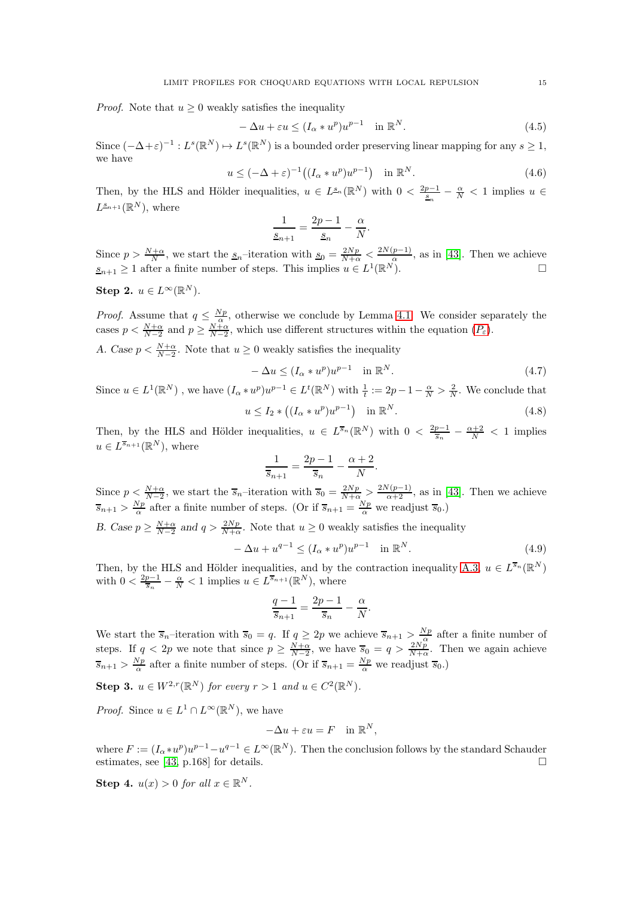*Proof.* Note that  $u \geq 0$  weakly satisfies the inequality

$$
-\Delta u + \varepsilon u \le (I_{\alpha} * u^p)u^{p-1} \quad \text{in } \mathbb{R}^N. \tag{4.5}
$$

Since  $(-\Delta + \varepsilon)^{-1}: L^s(\mathbb{R}^N) \mapsto L^s(\mathbb{R}^N)$  is a bounded order preserving linear mapping for any  $s \geq 1$ , we have

$$
u \le (-\Delta + \varepsilon)^{-1} \left( (I_{\alpha} * u^p) u^{p-1} \right) \quad \text{in } \mathbb{R}^N. \tag{4.6}
$$

.

Then, by the HLS and Hölder inequalities,  $u \in L^{\underline{s}_n}(\mathbb{R}^N)$  with  $0 < \frac{2p-1}{\underline{s}_n} - \frac{\alpha}{N} < 1$  implies  $u \in$  $L^{\underline{s}_{n+1}}(\mathbb{R}^N)$ , where

$$
\frac{1}{s_{n+1}} = \frac{2p-1}{s_n} - \frac{\alpha}{N}
$$

Since  $p > \frac{N+\alpha}{N}$ , we start the  $s_n$ -iteration with  $s_0 = \frac{2Np}{N+\alpha} < \frac{2N(p-1)}{\alpha}$ , as in [\[43\]](#page-46-11). Then we achieve  $\underline{s}_{n+1} \geq 1$  after a finite number of steps. This implies  $u \in L^1(\mathbb{R}^N)$ .

Step 2.  $u \in L^{\infty}(\mathbb{R}^N)$ .

*Proof.* Assume that  $q \leq \frac{Np}{\alpha}$ , otherwise we conclude by Lemma [4.1.](#page-13-1) We consider separately the cases  $p < \frac{N+\alpha}{N-2}$  and  $p \ge \frac{N+\alpha}{N-2}$ , which use different structures within the equation  $(P_{\varepsilon})$  $(P_{\varepsilon})$  $(P_{\varepsilon})$ .

A. Case  $p < \frac{N+\alpha}{N-2}$ . Note that  $u \ge 0$  weakly satisfies the inequality

$$
-\Delta u \le (I_{\alpha} * u^p)u^{p-1} \quad \text{in } \mathbb{R}^N. \tag{4.7}
$$

Since  $u \in L^1(\mathbb{R}^N)$ , we have  $(I_\alpha * u^p)u^{p-1} \in L^t(\mathbb{R}^N)$  with  $\frac{1}{t} := 2p - 1 - \frac{\alpha}{N} > \frac{2}{N}$ . We conclude that

$$
u \le I_2 \ast ((I_\alpha \ast u^p)u^{p-1}) \quad \text{in } \mathbb{R}^N. \tag{4.8}
$$

Then, by the HLS and Hölder inequalities,  $u \in L^{\overline{s}_n}(\mathbb{R}^N)$  with  $0 < \frac{2p-1}{\overline{s}_n} - \frac{\alpha+2}{N} < 1$  implies  $u \in L^{\overline{s}_{n+1}}(\mathbb{R}^N)$ , where

$$
\frac{1}{\overline{s}_{n+1}} = \frac{2p-1}{\overline{s}_n} - \frac{\alpha+2}{N}.
$$

Since  $p \leq \frac{N+\alpha}{N-2}$ , we start the  $\overline{s}_n$ -iteration with  $\overline{s}_0 = \frac{2Np}{N+\alpha} > \frac{2N(p-1)}{\alpha+2}$ , as in [\[43\]](#page-46-11). Then we achieve  $\overline{s}_{n+1} > \frac{Np}{\alpha}$  after a finite number of steps. (Or if  $\overline{s}_{n+1} = \frac{Np}{\alpha}$  we readjust  $\overline{s}_0$ .)

B. Case  $p \ge \frac{N+\alpha}{N-2}$  and  $q > \frac{2Np}{N+\alpha}$ . Note that  $u \ge 0$  weakly satisfies the inequality

<span id="page-14-0"></span>
$$
-\Delta u + u^{q-1} \le (I_{\alpha} * u^p)u^{p-1} \quad \text{in } \mathbb{R}^N. \tag{4.9}
$$

.

Then, by the HLS and Hölder inequalities, and by the contraction inequality [A.3,](#page-43-1)  $u \in L^{\overline{s}_n}(\mathbb{R}^N)$ with  $0 < \frac{2p-1}{\overline{s}_n} - \frac{\alpha}{N} < 1$  implies  $u \in L^{\overline{s}_{n+1}}(\mathbb{R}^N)$ , where

$$
\frac{q-1}{\overline{s}_{n+1}} = \frac{2p-1}{\overline{s}_n} - \frac{\alpha}{N}
$$

We start the  $\overline{s}_n$ -iteration with  $\overline{s}_0 = q$ . If  $q \ge 2p$  we achieve  $\overline{s}_{n+1} > \frac{Np}{n^{\alpha}}$  after a finite number of steps. If  $q < 2p$  we note that since  $p \geq \frac{N+\alpha}{N-2}$ , we have  $\overline{s}_0 = q > \frac{2Np}{N+\alpha}$ . Then we again achieve  $\overline{s}_{n+1} > \frac{Np}{\alpha}$  after a finite number of steps. (Or if  $\overline{s}_{n+1} = \frac{Np}{\alpha}$  we readjust  $\overline{s}_0$ .)

**Step 3.**  $u \in W^{2,r}(\mathbb{R}^N)$  for every  $r > 1$  and  $u \in C^2(\mathbb{R}^N)$ .

*Proof.* Since  $u \in L^1 \cap L^\infty(\mathbb{R}^N)$ , we have

$$
-\Delta u + \varepsilon u = F \quad \text{in } \mathbb{R}^N,
$$

where  $F := (I_{\alpha} * u^p)u^{p-1} - u^{q-1} \in L^{\infty}(\mathbb{R}^N)$ . Then the conclusion follows by the standard Schauder estimates, see [\[43,](#page-46-11) p.168] for details.  $\square$ 

Step 4.  $u(x) > 0$  for all  $x \in \mathbb{R}^N$ .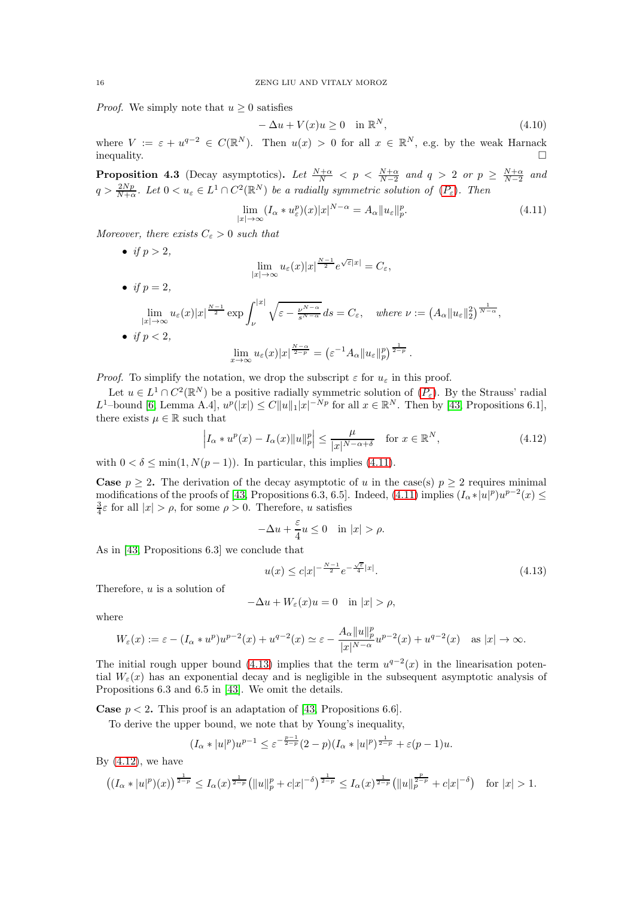*Proof.* We simply note that  $u \geq 0$  satisfies

$$
-\Delta u + V(x)u \ge 0 \quad \text{in } \mathbb{R}^N,
$$
\n(4.10)

where  $V := \varepsilon + u^{q-2} \in C(\mathbb{R}^N)$ . Then  $u(x) > 0$  for all  $x \in \mathbb{R}^N$ , e.g. by the weak Harnack  $\Box$ 

**Proposition 4.3** (Decay asymptotics). Let  $\frac{N+\alpha}{N} < p < \frac{N+\alpha}{N-2}$  and  $q > 2$  or  $p \ge \frac{N+\alpha}{N-2}$  and  $q > \frac{2Np}{N+\alpha}$ . Let  $0 < u_{\varepsilon} \in L^1 \cap C^2(\mathbb{R}^N)$  be a radially symmetric solution of  $(P_{\varepsilon})$  $(P_{\varepsilon})$  $(P_{\varepsilon})$ . Then

<span id="page-15-0"></span>
$$
\lim_{|x| \to \infty} (I_{\alpha} * u_{\varepsilon}^p)(x)|x|^{N-\alpha} = A_{\alpha} ||u_{\varepsilon}||_p^p. \tag{4.11}
$$

*Moreover, there exists*  $C_{\varepsilon} > 0$  *such that* 

• *if*  $p > 2$ , lim  $\lim_{|x| \to \infty} u_{\varepsilon}(x)|x|^{\frac{N-1}{2}} e^{\sqrt{\varepsilon}|x|} = C_{\varepsilon},$ • *if*  $p = 2$ *,* lim  $\lim_{|x| \to \infty} u_{\varepsilon}(x)|x|^{\frac{N-1}{2}} \exp \int_{\nu}^{|x|}$ ν  $\sqrt{\varepsilon - \frac{\nu^{N-\alpha}}{s^{N-\alpha}}} ds = C_{\varepsilon}, \quad where \nu := (A_{\alpha} || u_{\varepsilon} ||_2^2)^{\frac{1}{N-\alpha}},$ • *if*  $p < 2$ *,*  $\lim_{x\to\infty} u_\varepsilon(x)|x|^{\frac{N-\alpha}{2-p}} = (\varepsilon^{-1}A_\alpha||u_\varepsilon||_p^p)^{\frac{1}{2-p}}.$ 

*Proof.* To simplify the notation, we drop the subscript  $\varepsilon$  for  $u_{\varepsilon}$  in this proof.

Let  $u \in L^1 \cap C^2(\mathbb{R}^N)$  be a positive radially symmetric solution of  $(P_\varepsilon)$  $(P_\varepsilon)$  $(P_\varepsilon)$ . By the Strauss' radial L<sup>1</sup>-bound [\[6,](#page-45-7) Lemma A.4],  $u^p(|x|) \leq C ||u||_1 |x|^{-Np}$  for all  $x \in \mathbb{R}^N$ . Then by [\[43,](#page-46-11) Propositions 6.1], there exists  $\mu \in \mathbb{R}$  such that

<span id="page-15-2"></span>
$$
\left| I_{\alpha} * u^{p}(x) - I_{\alpha}(x) \| u \|_{p}^{p} \right| \leq \frac{\mu}{|x|^{N-\alpha+\delta}} \quad \text{for } x \in \mathbb{R}^{N}, \tag{4.12}
$$

with  $0 < \delta \le \min(1, N(p-1))$ . In particular, this implies [\(4.11\)](#page-15-0).

**Case**  $p \geq 2$ . The derivation of the decay asymptotic of u in the case(s)  $p \geq 2$  requires minimal modifications of the proofs of [\[43,](#page-46-11) Propositions 6.3, 6.5]. Indeed,  $(4.11)$  implies  $(I_\alpha * |u|^p)u^{p-2}(x) \le$  $\frac{3}{4}\varepsilon$  for all  $|x| > \rho$ , for some  $\rho > 0$ . Therefore, u satisfies

$$
-\Delta u + \frac{\varepsilon}{4}u \le 0 \quad \text{in } |x| > \rho.
$$

As in [\[43,](#page-46-11) Propositions 6.3] we conclude that

<span id="page-15-1"></span>
$$
u(x) \le c|x|^{-\frac{N-1}{2}}e^{-\frac{\sqrt{\varepsilon}}{4}|x|}.\tag{4.13}
$$

Therefore,  $u$  is a solution of

$$
-\Delta u + W_{\varepsilon}(x)u = 0 \quad \text{in } |x| > \rho,
$$

where

$$
W_{\varepsilon}(x) := \varepsilon - (I_{\alpha} * u^p)u^{p-2}(x) + u^{q-2}(x) \simeq \varepsilon - \frac{A_{\alpha}||u||_p^p}{|x|^{N-\alpha}}u^{p-2}(x) + u^{q-2}(x) \quad \text{as } |x| \to \infty.
$$

The initial rough upper bound [\(4.13\)](#page-15-1) implies that the term  $u^{q-2}(x)$  in the linearisation potential  $W_{\varepsilon}(x)$  has an exponential decay and is negligible in the subsequent asymptotic analysis of Propositions 6.3 and 6.5 in [\[43\]](#page-46-11). We omit the details.

**Case**  $p < 2$ . This proof is an adaptation of [\[43,](#page-46-11) Propositions 6.6].

To derive the upper bound, we note that by Young's inequality,

$$
(I_{\alpha}*|u|^{p})u^{p-1} \leq \varepsilon^{-\frac{p-1}{2-p}}(2-p)(I_{\alpha}*|u|^{p})^{\frac{1}{2-p}} + \varepsilon(p-1)u.
$$

By  $(4.12)$ , we have

$$
((I_{\alpha}*|u|^p)(x))^{\frac{1}{2-p}} \leq I_{\alpha}(x)^{\frac{1}{2-p}} \left( \|u\|_p^p + c|x|^{-\delta}\right)^{\frac{1}{2-p}} \leq I_{\alpha}(x)^{\frac{1}{2-p}} \left( \|u\|_p^{\frac{p}{2-p}} + c|x|^{-\delta}\right) \text{ for } |x| > 1.
$$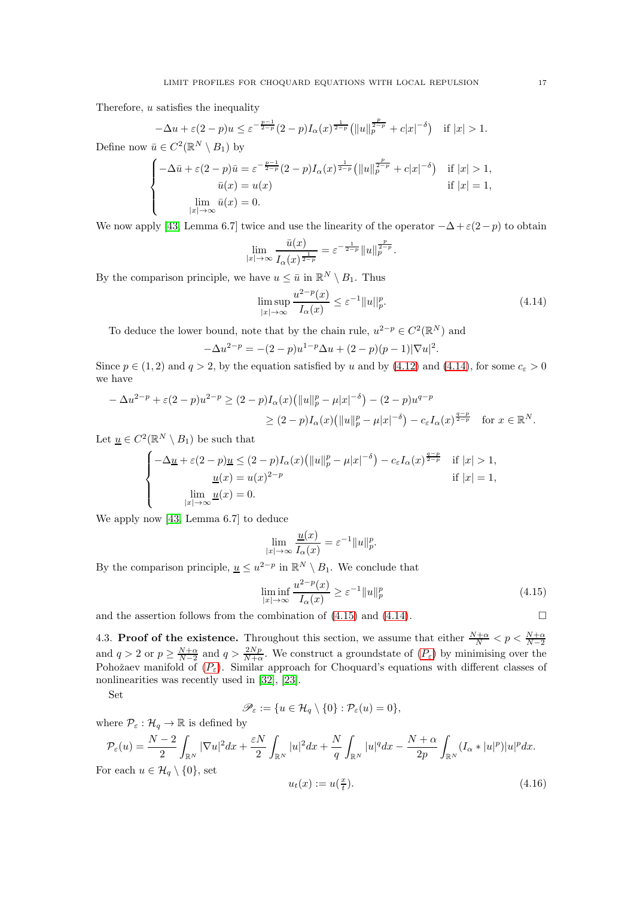Therefore,  $u$  satisfies the inequality

 $|x| \rightarrow \infty$ 

 $\mathbf{I}$ 

$$
-\Delta u + \varepsilon (2 - p)u \le \varepsilon^{-\frac{p-1}{2-p}} (2 - p) I_{\alpha}(x)^{\frac{1}{2-p}} \left( \|u\|_{p}^{\frac{p}{2-p}} + c|x|^{-\delta} \right) \quad \text{if } |x| > 1.
$$
  
Define now  $\bar{u} \in C^2(\mathbb{R}^N \setminus B_1)$  by  

$$
\begin{cases} -\Delta \bar{u} + \varepsilon (2 - p)\bar{u} = \varepsilon^{-\frac{p-1}{2-p}} (2 - p) I_{\alpha}(x)^{\frac{1}{2-p}} \left( \|u\|_{p}^{\frac{p}{2-p}} + c|x|^{-\delta} \right) & \text{if } |x| > 1, \\ \bar{u}(x) = u(x) & \text{if } |x| = 1, \end{cases}
$$
  

$$
\lim_{\bar{u}(x) = 0} \bar{u}(x) = 0.
$$

We now apply [\[43,](#page-46-11) Lemma 6.7] twice and use the linearity of the operator  $-\Delta + \varepsilon(2-p)$  to obtain

$$
\lim_{|x| \to \infty} \frac{\bar{u}(x)}{I_{\alpha}(x)^{\frac{1}{2-p}}} = \varepsilon^{-\frac{1}{2-p}} \|u\|_p^{\frac{p}{2-p}}.
$$

By the comparison principle, we have  $u \leq \bar{u}$  in  $\mathbb{R}^N \setminus B_1$ . Thus

<span id="page-16-0"></span>
$$
\limsup_{|x| \to \infty} \frac{u^{2-p}(x)}{I_{\alpha}(x)} \le \varepsilon^{-1} \|u\|_{p}^{p}.
$$
\n(4.14)

To deduce the lower bound, note that by the chain rule,  $u^{2-p} \in C^2(\mathbb{R}^N)$  and

$$
-\Delta u^{2-p} = -(2-p)u^{1-p}\Delta u + (2-p)(p-1)|\nabla u|^2.
$$

Since  $p \in (1, 2)$  and  $q > 2$ , by the equation satisfied by u and by [\(4.12\)](#page-15-2) and [\(4.14\)](#page-16-0), for some  $c_{\varepsilon} > 0$ we have

$$
-\Delta u^{2-p} + \varepsilon (2-p) u^{2-p} \ge (2-p) I_{\alpha}(x) (\|u\|_p^p - \mu |x|^{-\delta}) - (2-p) u^{q-p}
$$
  
 
$$
\ge (2-p) I_{\alpha}(x) (\|u\|_p^p - \mu |x|^{-\delta}) - c_{\varepsilon} I_{\alpha}(x)^{\frac{q-p}{2-p}} \quad \text{for } x \in \mathbb{R}^N.
$$

Let  $\underline{u} \in C^2(\mathbb{R}^N \setminus B_1)$  be such that

$$
\begin{cases}\n-\Delta \underline{u} + \varepsilon (2 - p)\underline{u} \le (2 - p)I_{\alpha}(x) \left( \|u\|_{p}^{p} - \mu |x|^{-\delta} \right) - c_{\varepsilon}I_{\alpha}(x)^{\frac{q-p}{2-p}} & \text{if } |x| > 1, \\
\underline{u}(x) = u(x)^{2-p} & \text{if } |x| = 1, \\
\lim_{|x| \to \infty} \underline{u}(x) = 0.\n\end{cases}
$$

We apply now [\[43,](#page-46-11) Lemma 6.7] to deduce

$$
\lim_{|x| \to \infty} \frac{u(x)}{I_{\alpha}(x)} = \varepsilon^{-1} ||u||_p^p.
$$

By the comparison principle,  $\underline{u} \leq u^{2-p}$  in  $\mathbb{R}^N \setminus B_1$ . We conclude that

<span id="page-16-1"></span>
$$
\liminf_{|x| \to \infty} \frac{u^{2-p}(x)}{I_{\alpha}(x)} \ge \varepsilon^{-1} \|u\|_p^p \tag{4.15}
$$

and the assertion follows from the combination of [\(4.15\)](#page-16-1) and [\(4.14\)](#page-16-0).

$$
\qquad \qquad \Box
$$

4.3. **Proof of the existence.** Throughout this section, we assume that either  $\frac{N+\alpha}{N} < p < \frac{N+\alpha}{N-2}$ and  $q > 2$  or  $p \ge \frac{N+\alpha}{N-2}$  and  $q > \frac{2Np}{N+\alpha}$ . We construct a groundstate of  $(P_{\varepsilon})$  $(P_{\varepsilon})$  $(P_{\varepsilon})$  by minimising over the [P](#page-1-1)ohožaev manifold of  $(P_{\varepsilon})$ . Similar approach for Choquard's equations with different classes of nonlinearities was recently used in [\[32\]](#page-46-18), [\[23\]](#page-45-26).

Set

$$
\mathscr{P}_{\varepsilon}:=\{u\in\mathcal{H}_q\setminus\{0\}:\mathcal{P}_{\varepsilon}(u)=0\},
$$

where  $\mathcal{P}_{\varepsilon} : \mathcal{H}_q \to \mathbb{R}$  is defined by

$$
\mathcal{P}_{\varepsilon}(u) = \frac{N-2}{2} \int_{\mathbb{R}^N} |\nabla u|^2 dx + \frac{\varepsilon N}{2} \int_{\mathbb{R}^N} |u|^2 dx + \frac{N}{q} \int_{\mathbb{R}^N} |u|^q dx - \frac{N+\alpha}{2p} \int_{\mathbb{R}^N} (I_{\alpha} * |u|^p)|u|^p dx.
$$
  
For each  $u \in \mathcal{H}_q \setminus \{0\}$ , set

<span id="page-16-2"></span>
$$
u_t(x) := u\left(\frac{x}{t}\right). \tag{4.16}
$$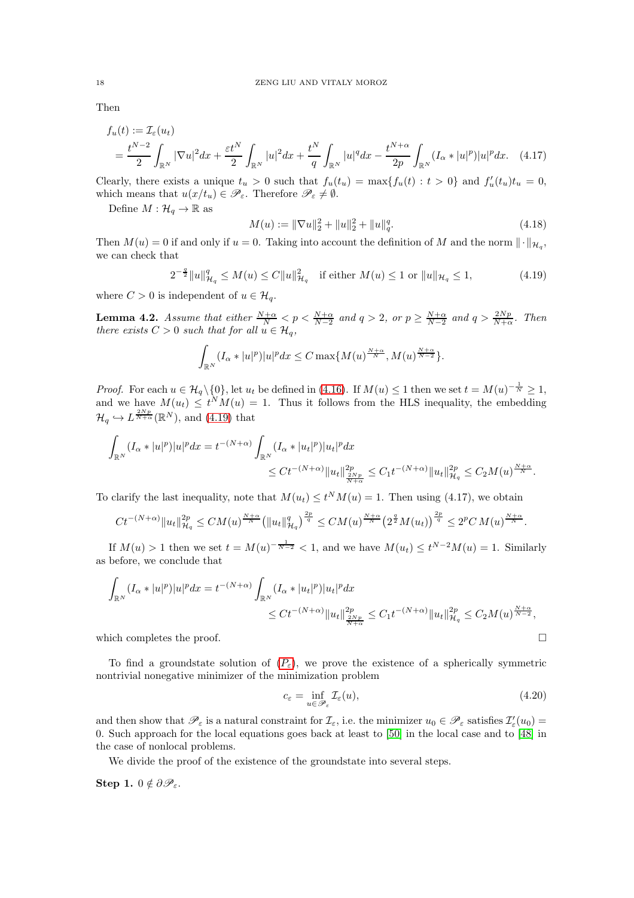Then

$$
f_u(t) := \mathcal{I}_{\varepsilon}(u_t)
$$
  
=  $\frac{t^{N-2}}{2} \int_{\mathbb{R}^N} |\nabla u|^2 dx + \frac{\varepsilon t^N}{2} \int_{\mathbb{R}^N} |u|^2 dx + \frac{t^N}{q} \int_{\mathbb{R}^N} |u|^q dx - \frac{t^{N+\alpha}}{2p} \int_{\mathbb{R}^N} (I_{\alpha} * |u|^p)|u|^p dx.$  (4.17)

Clearly, there exists a unique  $t_u > 0$  such that  $f_u(t_u) = \max\{f_u(t) : t > 0\}$  and  $f'_u(t_u)t_u = 0$ , which means that  $u(x/t_u) \in \mathscr{P}_{\varepsilon}$ . Therefore  $\mathscr{P}_{\varepsilon} \neq \emptyset$ .

Define  $M : \mathcal{H}_q \to \mathbb{R}$  as

<span id="page-17-3"></span><span id="page-17-2"></span>
$$
M(u) := \|\nabla u\|_2^2 + \|u\|_2^2 + \|u\|_q^q. \tag{4.18}
$$

Then  $M(u) = 0$  if and only if  $u = 0$ . Taking into account the definition of M and the norm  $\|\cdot\|_{\mathcal{H}_q}$ , we can check that

<span id="page-17-0"></span>
$$
2^{-\frac{q}{2}} \|u\|_{\mathcal{H}_q}^q \le M(u) \le C \|u\|_{\mathcal{H}_q}^2 \quad \text{if either } M(u) \le 1 \text{ or } \|u\|_{\mathcal{H}_q} \le 1,
$$
 (4.19)

where  $C > 0$  is independent of  $u \in \mathcal{H}_q$ .

<span id="page-17-1"></span>**Lemma 4.2.** *Assume that either*  $\frac{N+\alpha}{N} < p < \frac{N+\alpha}{N-2}$  and  $q > 2$ , or  $p \ge \frac{N+\alpha}{N-2}$  and  $q > \frac{2Np}{N+\alpha}$ . Then *there exists*  $C > 0$  *such that for all*  $u \in H_q$ *,* 

$$
\int_{\mathbb{R}^N} (I_\alpha * |u|^p)|u|^p dx \le C \max\{M(u)^{\frac{N+\alpha}{N}}, M(u)^{\frac{N+\alpha}{N-2}}\}.
$$

*Proof.* For each  $u \in \mathcal{H}_q \setminus \{0\}$ , let  $u_t$  be defined in [\(4.16\)](#page-16-2). If  $M(u) \leq 1$  then we set  $t = M(u)^{-\frac{1}{N}} \geq 1$ , and we have  $M(u_t) \leq t^N M(u) = 1$ . Thus it follows from the HLS inequality, the embedding  $\mathcal{H}_q \hookrightarrow L^{\frac{2Np}{N+\alpha}}(\mathbb{R}^N)$ , and  $(4.19)$  that

$$
\begin{aligned} \int_{\mathbb{R}^N}(I_\alpha*|u|^p)|u|^pdx=t^{-(N+\alpha)}&\int_{\mathbb{R}^N}(I_\alpha*|u_t|^p)|u_t|^pdx\\ &\le Ct^{-(N+\alpha)}\|u_t\|_{\frac{2Np}{N+\alpha}}^{2p}\le C_1t^{-(N+\alpha)}\|u_t\|_{\mathcal{H}_q}^{2p}\le C_2M(u)^{\frac{N+\alpha}{N}}. \end{aligned}
$$

To clarify the last inequality, note that  $M(u_t) \le t^N M(u) = 1$ . Then using (4.17), we obtain

$$
C t^{-(N+\alpha)} \|u_t\|_{\mathcal{H}_q}^{2p} \leq CM(u)^{\frac{N+\alpha}{N}} \big( \|u_t\|_{\mathcal{H}_q}^q \big)^{\frac{2p}{q}} \leq CM(u)^{\frac{N+\alpha}{N}} \big( 2^{\frac{q}{2}} M(u_t) \big)^{\frac{2p}{q}} \leq 2^p C\, M(u)^{\frac{N+\alpha}{N}}.
$$

If  $M(u) > 1$  then we set  $t = M(u)^{-\frac{1}{N-2}} < 1$ , and we have  $M(u_t) \leq t^{N-2}M(u) = 1$ . Similarly as before, we conclude that

$$
\int_{\mathbb{R}^N} (I_\alpha * |u|^p)|u|^p dx = t^{-(N+\alpha)} \int_{\mathbb{R}^N} (I_\alpha * |u_t|^p)|u_t|^p dx
$$
  

$$
\leq Ct^{-(N+\alpha)} \|u_t\|_{\frac{2Np}{N+\alpha}}^{2p} \leq C_1 t^{-(N+\alpha)} \|u_t\|_{\mathcal{H}_q}^{2p} \leq C_2 M(u)^{\frac{N+\alpha}{N-2}},
$$

which completes the proof.  $\Box$ 

To find a groundstate solution of  $(P_{\varepsilon})$  $(P_{\varepsilon})$  $(P_{\varepsilon})$ , we prove the existence of a spherically symmetric nontrivial nonegative minimizer of the minimization problem

<span id="page-17-4"></span>
$$
c_{\varepsilon} = \inf_{u \in \mathcal{P}_{\varepsilon}} \mathcal{I}_{\varepsilon}(u),\tag{4.20}
$$

and then show that  $\mathscr{P}_{\varepsilon}$  is a natural constraint for  $\mathcal{I}_{\varepsilon}$ , i.e. the minimizer  $u_0 \in \mathscr{P}_{\varepsilon}$  satisfies  $\mathcal{I}'_{\varepsilon}(u_0)$  = 0. Such approach for the local equations goes back at least to [\[50\]](#page-46-19) in the local case and to [\[48\]](#page-46-20) in the case of nonlocal problems.

We divide the proof of the existence of the groundstate into several steps.

Step 1.  $0 \notin \partial \mathscr{P}_{\varepsilon}$ .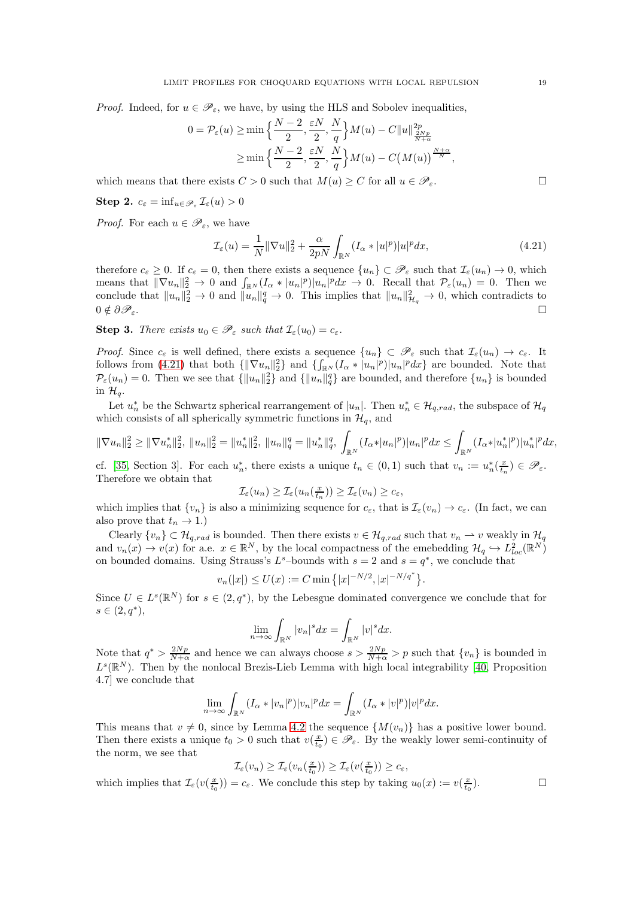*Proof.* Indeed, for  $u \in \mathscr{P}_{\varepsilon}$ , we have, by using the HLS and Sobolev inequalities,

$$
0 = \mathcal{P}_{\varepsilon}(u) \ge \min\left\{\frac{N-2}{2}, \frac{\varepsilon N}{2}, \frac{N}{q}\right\} M(u) - C \|u\|_{\frac{2Np}{N+\alpha}}^{2p}
$$

$$
\ge \min\left\{\frac{N-2}{2}, \frac{\varepsilon N}{2}, \frac{N}{q}\right\} M(u) - C\left(M(u)\right)^{\frac{N+\alpha}{N}},
$$

which means that there exists  $C > 0$  such that  $M(u) \geq C$  for all  $u \in \mathcal{P}_{\varepsilon}$ .

**Step 2.** 
$$
c_{\varepsilon} = \inf_{u \in \mathscr{P}_{\varepsilon}} \mathcal{I}_{\varepsilon}(u) > 0
$$

*Proof.* For each  $u \in \mathscr{P}_{\varepsilon}$ , we have

<span id="page-18-0"></span>
$$
\mathcal{I}_{\varepsilon}(u) = \frac{1}{N} \|\nabla u\|_2^2 + \frac{\alpha}{2pN} \int_{\mathbb{R}^N} (I_{\alpha} * |u|^p) |u|^p dx,
$$
\n(4.21)

therefore  $c_{\varepsilon} \geq 0$ . If  $c_{\varepsilon} = 0$ , then there exists a sequence  $\{u_n\} \subset \mathscr{P}_{\varepsilon}$  such that  $\mathcal{I}_{\varepsilon}(u_n) \to 0$ , which means that  $\|\nabla u_n\|_2^2 \to 0$  and  $\int_{\mathbb{R}^N} (I_\alpha * |u_n|^p)|u_n|^p dx \to 0$ . Recall that  $\mathcal{P}_\varepsilon(u_n) = 0$ . Then we conclude that  $||u_n||_2^2 \to 0$  and  $||u_n||_q^q \to 0$ . This implies that  $||u_n||_{\mathcal{H}_q}^2 \to 0$ , which contradicts to  $0 \notin \partial \mathscr{P}_{\varepsilon}$ .

**Step 3.** *There exists*  $u_0 \in \mathscr{P}_{\varepsilon}$  *such that*  $\mathcal{I}_{\varepsilon}(u_0) = c_{\varepsilon}$ *.* 

*Proof.* Since  $c_{\varepsilon}$  is well defined, there exists a sequence  $\{u_n\} \subset \mathscr{P}_{\varepsilon}$  such that  $\mathcal{I}_{\varepsilon}(u_n) \to c_{\varepsilon}$ . It follows from [\(4.21\)](#page-18-0) that both  $\{\|\nabla u_n\|_2^2\}$  and  $\{\int_{\mathbb{R}^N} (I_\alpha * |u_n|^p)|u_n|^p dx\}$  are bounded. Note that  $P_{\varepsilon}(u_n) = 0$ . Then we see that  $\{||u_n||_2^2\}$  and  $\{||u_n||_q^q\}$  are bounded, and therefore  $\{u_n\}$  is bounded in  $\mathcal{H}_a$ .

Let  $u_n^*$  be the Schwartz spherical rearrangement of  $|u_n|$ . Then  $u_n^* \in \mathcal{H}_{q,rad}$ , the subspace of  $\mathcal{H}_q$ which consists of all spherically symmetric functions in  $\mathcal{H}_q$ , and

$$
\|\nabla u_n\|_2^2 \ge \|\nabla u_n^*\|_2^2, \|u_n\|_2^2 = \|u_n^*\|_2^2, \|u_n\|_q^q = \|u_n^*\|_q^q, \int_{\mathbb{R}^N} (I_\alpha * |u_n|^p)|u_n|^p dx \le \int_{\mathbb{R}^N} (I_\alpha * |u_n^*|^p)|u_n^*|^p dx,
$$

cf. [\[35,](#page-46-10) Section 3]. For each  $u_n^*$ , there exists a unique  $t_n \in (0,1)$  such that  $v_n := u_n^*(\frac{x}{t_n}) \in \mathscr{P}_{\varepsilon}$ . Therefore we obtain that

$$
\mathcal{I}_{\varepsilon}(u_n) \geq \mathcal{I}_{\varepsilon}(u_n(\tfrac{x}{t_n})) \geq \mathcal{I}_{\varepsilon}(v_n) \geq c_{\varepsilon},
$$

which implies that  $\{v_n\}$  is also a minimizing sequence for  $c_{\varepsilon}$ , that is  $\mathcal{I}_{\varepsilon}(v_n) \to c_{\varepsilon}$ . (In fact, we can also prove that  $t_n \to 1$ .)

Clearly  $\{v_n\} \subset \mathcal{H}_{q,rad}$  is bounded. Then there exists  $v \in \mathcal{H}_{q,rad}$  such that  $v_n \rightharpoonup v$  weakly in  $\mathcal{H}_q$ and  $v_n(x) \to v(x)$  for a.e.  $x \in \mathbb{R}^N$ , by the local compactness of the emebedding  $\mathcal{H}_q \hookrightarrow L^2_{loc}(\mathbb{R}^N)$ on bounded domains. Using Strauss's  $L^s$ -bounds with  $s = 2$  and  $s = q^*$ , we conclude that

$$
v_n(|x|) \le U(x) := C \min\{|x|^{-N/2}, |x|^{-N/q^*}\}.
$$

Since  $U \in L^{s}(\mathbb{R}^{N})$  for  $s \in (2,q^*)$ , by the Lebesgue dominated convergence we conclude that for  $s \in (2, q^*),$ 

$$
\lim_{n \to \infty} \int_{\mathbb{R}^N} |v_n|^s dx = \int_{\mathbb{R}^N} |v|^s dx.
$$

Note that  $q^* > \frac{2Np}{N+\alpha}$  and hence we can always choose  $s > \frac{2Np}{N+\alpha} > p$  such that  $\{v_n\}$  is bounded in  $L^{s}(\mathbb{R}^{N})$ . Then by the nonlocal Brezis-Lieb Lemma with high local integrability [\[40,](#page-46-21) Proposition 4.7] we conclude that

$$
\lim_{n \to \infty} \int_{\mathbb{R}^N} (I_\alpha * |v_n|^p) |v_n|^p dx = \int_{\mathbb{R}^N} (I_\alpha * |v|^p) |v|^p dx.
$$

This means that  $v \neq 0$ , since by Lemma [4.2](#page-17-1) the sequence  $\{M(v_n)\}\$  has a positive lower bound. Then there exists a unique  $t_0 > 0$  such that  $v(\frac{x}{t_0}) \in \mathscr{P}_{\varepsilon}$ . By the weakly lower semi-continuity of the norm, we see that

$$
\mathcal{I}_{\varepsilon}(v_n) \geq \mathcal{I}_{\varepsilon}(v_n(\tfrac{x}{t_0})) \geq \mathcal{I}_{\varepsilon}(v(\tfrac{x}{t_0})) \geq c_{\varepsilon},
$$

which implies that  $\mathcal{I}_{\varepsilon}(v(\frac{x}{t_0})) = c_{\varepsilon}$ . We conclude this step by taking  $u_0(x) := v(\frac{x}{t_0})$ 

 $\Box$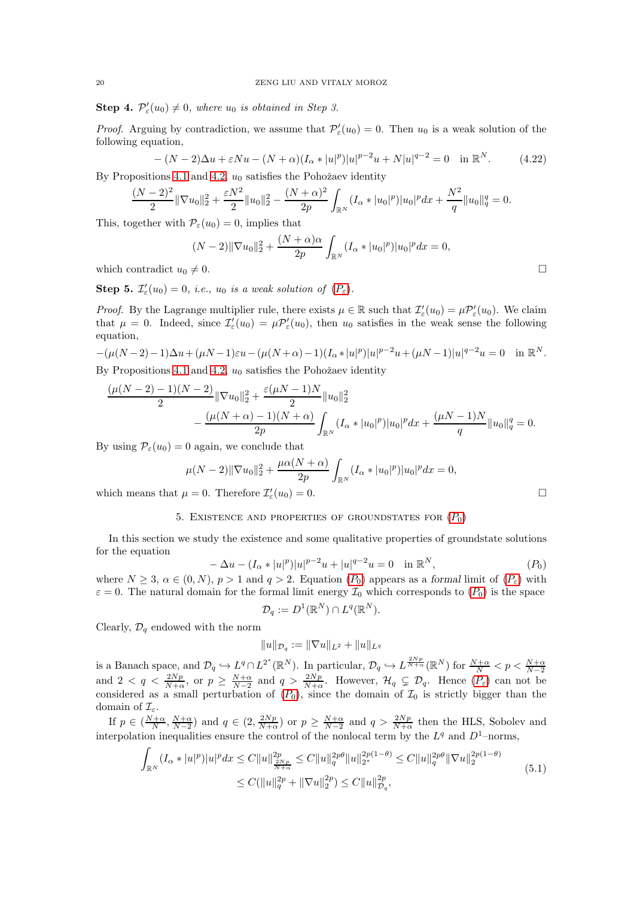**Step 4.**  $\mathcal{P}'_{\varepsilon}(u_0) \neq 0$ , where  $u_0$  is obtained in Step 3.

*Proof.* Arguing by contradiction, we assume that  $\mathcal{P}'_{\varepsilon}(u_0) = 0$ . Then  $u_0$  is a weak solution of the following equation,

$$
-(N-2)\Delta u + \varepsilon Nu - (N+\alpha)(I_{\alpha}*|u|^p)|u|^{p-2}u + N|u|^{q-2} = 0 \quad \text{in } \mathbb{R}^N. \tag{4.22}
$$

By Propositions [4.1](#page-13-2) and [4.2,](#page-13-3)  $u_0$  satisfies the Pohožaev identity

$$
\frac{(N-2)^2}{2} \|\nabla u_0\|_2^2 + \frac{\varepsilon N^2}{2} \|u_0\|_2^2 - \frac{(N+\alpha)^2}{2p} \int_{\mathbb{R}^N} (I_\alpha * |u_0|^p) |u_0|^p dx + \frac{N^2}{q} \|u_0\|_q^q = 0.
$$

This, together with  $P_{\varepsilon}(u_0) = 0$ , implies that

$$
(N-2)||\nabla u_0||_2^2 + \frac{(N+\alpha)\alpha}{2p} \int_{\mathbb{R}^N} (I_\alpha * |u_0|^p)|u_0|^p dx = 0,
$$

which contradict  $u_0 \neq 0$ .

**Step 5.**  $\mathcal{I}'_{\varepsilon}(u_0) = 0$ , *i.e.*,  $u_0$  *is a weak solution of*  $(P_{\varepsilon})$  $(P_{\varepsilon})$  $(P_{\varepsilon})$ *.* 

*Proof.* By the Lagrange multiplier rule, there exists  $\mu \in \mathbb{R}$  such that  $\mathcal{I}'_{\varepsilon}(u_0) = \mu \mathcal{P}'_{\varepsilon}(u_0)$ . We claim that  $\mu = 0$ . Indeed, since  $\mathcal{I}'_{\varepsilon}(u_0) = \mu \mathcal{P}'_{\varepsilon}(u_0)$ , then  $u_0$  satisfies in the weak sense the following equation,

 $-(\mu(N-2)-1)\Delta u + (\mu N-1)\varepsilon u - (\mu(N+\alpha)-1)(I_{\alpha}*|u|^p)|u|^{p-2}u + (\mu N-1)|u|^{q-2}u = 0$  in  $\mathbb{R}^N$ . By Propositions [4.1](#page-13-2) and [4.2,](#page-13-3)  $u_0$  satisfies the Pohožaev identity

$$
\frac{(\mu(N-2)-1)(N-2)}{2} \|\nabla u_0\|_2^2 + \frac{\varepsilon(\mu N-1)N}{2} \|u_0\|_2^2
$$
  
 
$$
- \frac{(\mu(N+\alpha)-1)(N+\alpha)}{2p} \int_{\mathbb{R}^N} (I_\alpha * |u_0|^p)|u_0|^p dx + \frac{(\mu N-1)N}{q} \|u_0\|_q^q = 0.
$$

By using  $P_{\varepsilon}(u_0) = 0$  again, we conclude that

$$
\mu(N-2) \|\nabla u_0\|_2^2 + \frac{\mu \alpha (N+\alpha)}{2p} \int_{\mathbb{R}^N} (I_\alpha * |u_0|^p) |u_0|^p dx = 0,
$$
  
 
$$
u = 0 \text{ Therefore } T(u_0) = 0 \tag{5}
$$

<span id="page-19-0"></span>which means that  $\mu = 0$ . Therefore  $\mathcal{I}'_{\varepsilon}(u_0) = 0$ .

#### 5. EXISTENCE AND [P](#page-3-0)ROPERTIES OF GROUNDSTATES FOR  $(P_0)$

In this section we study the existence and some qualitative properties of groundstate solutions for the equation

$$
-\Delta u - (I_{\alpha} * |u|^p)|u|^{p-2}u + |u|^{q-2}u = 0 \quad \text{in } \mathbb{R}^N,
$$
\n<sup>(P\_0)</sup>

where  $N \geq 3$ ,  $\alpha \in (0, N)$ ,  $p > 1$  and  $q > 2$ . Equation  $(P_0)$  $(P_0)$  $(P_0)$  appears as a formal limit of  $(P_{\varepsilon})$  with  $\varepsilon = 0$ . The natural domain for the formal limit energy  $\mathcal{I}_0$  which corresponds to  $(P_0)$  $(P_0)$  $(P_0)$  is the space

$$
\mathcal{D}_q := D^1(\mathbb{R}^N) \cap L^q(\mathbb{R}^N).
$$

Clearly,  $\mathcal{D}_q$  endowed with the norm

$$
||u||_{\mathcal{D}_q} := ||\nabla u||_{L^2} + ||u||_{L^q}
$$

is a Banach space, and  $\mathcal{D}_q \hookrightarrow L^q \cap L^{2^*}(\mathbb{R}^N)$ . In particular,  $\mathcal{D}_q \hookrightarrow L^{\frac{2Np}{N+\alpha}}(\mathbb{R}^N)$  for  $\frac{N+\alpha}{N} < p < \frac{N+\alpha}{N-2}$ <br>and  $2 < q < \frac{2Np}{N+\alpha}$ , or  $p \ge \frac{N+\alpha}{N-2}$  and  $q > \frac{2Np}{N+\alpha}$ . However,  $\mathcal{H}_q \subsetne$ considered as a small perturbation of  $(P_0)$  $(P_0)$  $(P_0)$ , since the domain of  $\mathcal{I}_0$  is strictly bigger than the domain of  $\mathcal{I}_{\varepsilon}$ .

If  $p \in (\frac{N+\alpha}{N}, \frac{N+\alpha}{N-2})$  and  $q \in (2, \frac{2Np}{N+\alpha})$  or  $p \ge \frac{N+\alpha}{N-2}$  and  $q > \frac{2Np}{N+\alpha}$  then the HLS, Sobolev and interpolation inequalities ensure the control of the nonlocal term by the  $L^q$  and  $D^1$ -norms,

<span id="page-19-1"></span>
$$
\int_{\mathbb{R}^N} (I_{\alpha} * |u|^p)|u|^p dx \le C \|u\|_{\frac{2Np}{N+\alpha}}^{2p} \le C \|u\|_{q}^{2p\theta} \|u\|_{2^*}^{2p(1-\theta)} \le C \|u\|_{q}^{2p\theta} \|\nabla u\|_{2}^{2p(1-\theta)} \le C (\|u\|_{q}^{2p} + \|\nabla u\|_{2}^{2p}) \le C \|u\|_{\mathcal{D}_q}^{2p},
$$
\n
$$
(5.1)
$$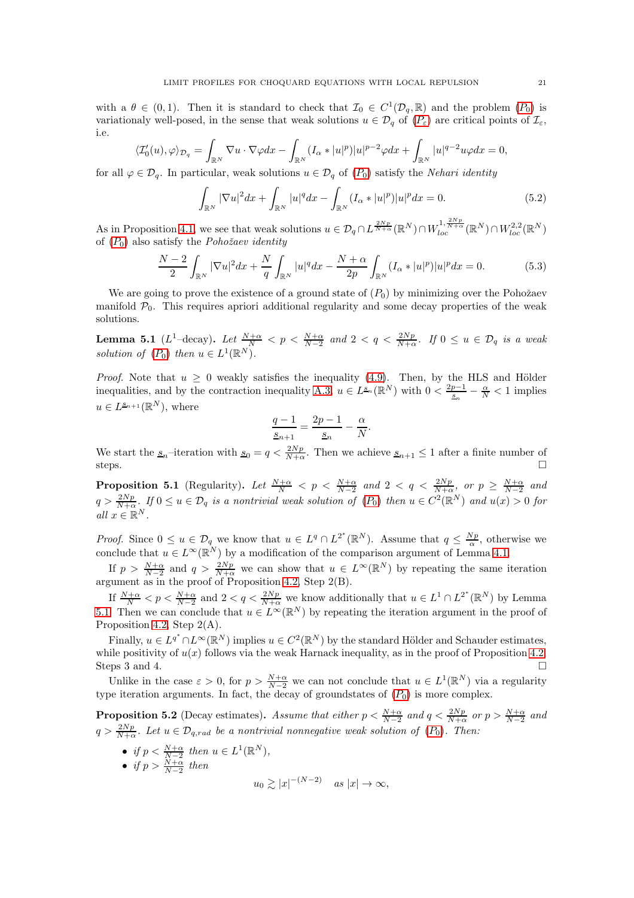with a  $\theta \in (0,1)$ . Then it is standard to check that  $\mathcal{I}_0 \in C^1(\mathcal{D}_q, \mathbb{R})$  and the problem  $(P_0)$  $(P_0)$  $(P_0)$  is variationaly well-posed, in the sense that weak solutions  $u \in \mathcal{D}_q$  of  $(P_\varepsilon)$  $(P_\varepsilon)$  $(P_\varepsilon)$  are critical points of  $\mathcal{I}_\varepsilon$ , i.e.

$$
\langle \mathcal{I}_0'(u), \varphi \rangle_{\mathcal{D}_q} = \int_{\mathbb{R}^N} \nabla u \cdot \nabla \varphi dx - \int_{\mathbb{R}^N} (I_\alpha * |u|^p) |u|^{p-2} \varphi dx + \int_{\mathbb{R}^N} |u|^{q-2} u \varphi dx = 0,
$$

for all  $\varphi \in \mathcal{D}_q$ . In particular, weak solutions  $u \in \mathcal{D}_q$  of  $(P_0)$  $(P_0)$  $(P_0)$  satisfy the *Nehari identity* 

<span id="page-20-1"></span>
$$
\int_{\mathbb{R}^N} |\nabla u|^2 dx + \int_{\mathbb{R}^N} |u|^q dx - \int_{\mathbb{R}^N} (I_\alpha * |u|^p)|u|^p dx = 0.
$$
\n(5.2)

As in Proposition [4.1,](#page-13-2) we see that weak solutions  $u \in \mathcal{D}_q \cap L^{\frac{2Np}{N+\alpha}}(\mathbb{R}^N) \cap W_{loc}^{1,\frac{2Np}{N+\alpha}}(\mathbb{R}^N) \cap W_{loc}^{2,2}(\mathbb{R}^N)$ of ([P](#page-3-0)0) also satisfy the *Pohoˇzaev identity*

<span id="page-20-2"></span>
$$
\frac{N-2}{2} \int_{\mathbb{R}^N} |\nabla u|^2 dx + \frac{N}{q} \int_{\mathbb{R}^N} |u|^q dx - \frac{N+\alpha}{2p} \int_{\mathbb{R}^N} (I_\alpha * |u|^p) |u|^p dx = 0.
$$
 (5.3)

We are going to prove the existence of a ground state of  $(P_0)$  by minimizing over the Pohožaev manifold  $P_0$ . This requires apriori additional regularity and some decay properties of the weak solutions.

<span id="page-20-0"></span>**Lemma 5.1** ( $L^1$ -decay). Let  $\frac{N+\alpha}{N} < p < \frac{N+\alpha}{N-2}$  and  $2 < q < \frac{2Np}{N+\alpha}$ . If  $0 \le u \in \mathcal{D}_q$  is a weak *solution of*  $(P_0)$  $(P_0)$  $(P_0)$  *then*  $u \in L^1(\mathbb{R}^N)$ *.* 

*Proof.* Note that  $u \geq 0$  weakly satisfies the inequality [\(4.9\)](#page-14-0). Then, by the HLS and Hölder inequalities, and by the contraction inequality [A.3,](#page-43-1)  $u \in L^{s_n}(\mathbb{R}^N)$  with  $0 < \frac{2p-1}{s_n} - \frac{\alpha}{N} < 1$  implies  $u \in L^{\underline{s}_{n+1}}(\mathbb{R}^N)$ , where

$$
\frac{q-1}{s_{n+1}} = \frac{2p-1}{s_n} - \frac{\alpha}{N}.
$$

We start the  $\underline{s}_n$ -iteration with  $\underline{s}_0 = q < \frac{2Np}{N+\alpha}$ . Then we achieve  $\underline{s}_{n+1} \leq 1$  after a finite number of steps.  $\Box$ 

**Proposition 5.1** (Regularity). Let  $\frac{N+\alpha}{N} < p < \frac{N+\alpha}{N-2}$  and  $2 < q < \frac{2Np}{N+\alpha}$ , or  $p \ge \frac{N+\alpha}{N-2}$  and  $q > \frac{2Np}{N+\alpha}$ . If  $0 \le u \in \mathcal{D}_q$  is a nontrivial weak solution of  $(P_0)$  $(P_0)$  $(P_0)$  then  $u \in C^2(\mathbb{R}^N)$  and  $u(x) > 0$  for  $all x \in \mathbb{R}^N$ .

*Proof.* Since  $0 \le u \in \mathcal{D}_q$  we know that  $u \in L^q \cap L^{2^*}(\mathbb{R}^N)$ . Assume that  $q \le \frac{Np}{\alpha}$ , otherwise we conclude that  $u \in L^{\infty}(\mathbb{R}^N)$  by a modification of the comparison argument of Lemma [4.1.](#page-13-1)

If  $p > \frac{N+\alpha}{N-2}$  and  $q > \frac{2Np}{N+\alpha}$  we can show that  $u \in L^{\infty}(\mathbb{R}^N)$  by repeating the same iteration argument as in the proof of Proposition [4.2,](#page-13-3) Step 2(B).

If  $\frac{N+\alpha}{N} < p < \frac{N+\alpha}{N-2}$  and  $2 < q < \frac{2Np}{N+\alpha}$  we know additionally that  $u \in L^1 \cap L^{2^*}(\mathbb{R}^N)$  by Lemma [5.1.](#page-20-0) Then we can conclude that  $u \in L^{\infty}(\mathbb{R}^{N})$  by repeating the iteration argument in the proof of Proposition [4.2,](#page-13-3) Step 2(A).

Finally,  $u \in L^{q^*} \cap L^{\infty}(\mathbb{R}^N)$  implies  $u \in C^2(\mathbb{R}^N)$  by the standard Hölder and Schauder estimates, while positivity of  $u(x)$  follows via the weak Harnack inequality, as in the proof of Proposition [4.2,](#page-13-3) Steps 3 and 4.  $\Box$ 

Unlike in the case  $\varepsilon > 0$ , for  $p > \frac{N+\alpha}{N-2}$  we can not conclude that  $u \in L^1(\mathbb{R}^N)$  via a regularity type iteration arguments. In fact, the decay of groundstates of  $(P_0)$  $(P_0)$  $(P_0)$  is more complex.

**Proposition 5.2** (Decay estimates). Assume that either  $p < \frac{N+\alpha}{N-2}$  and  $q < \frac{2Np}{N+\alpha}$  or  $p > \frac{N+\alpha}{N-2}$  and  $q > \frac{2Np}{N+\alpha}$ . Let  $u \in \mathcal{D}_{q,rad}$  be a nontrivial nonnegative weak solution of  $(P_0)$  $(P_0)$  $(P_0)$ . Then:

- *if*  $p < \frac{N+\alpha}{N-2}$  then  $u \in L^1(\mathbb{R}^N)$ ,
- *if*  $p > \frac{N+\alpha}{N-2}$  then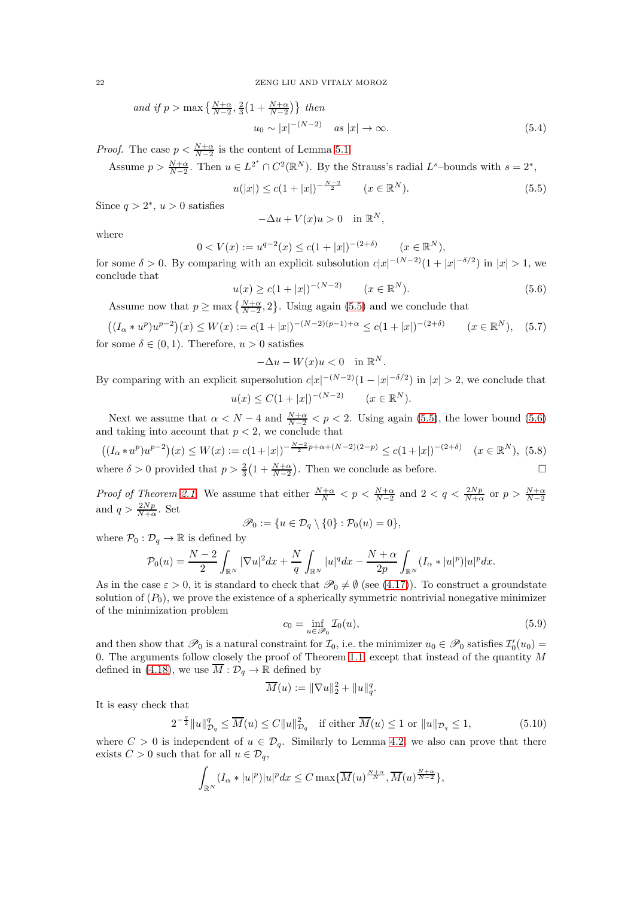and if 
$$
p > \max \left\{ \frac{N+\alpha}{N-2}, \frac{2}{3} \left( 1 + \frac{N+\alpha}{N-2} \right) \right\}
$$
 then  
\n
$$
u_0 \sim |x|^{-(N-2)} \quad \text{as } |x| \to \infty.
$$
\n(5.4)

*Proof.* The case  $p < \frac{N+\alpha}{N-2}$  is the content of Lemma [5.1.](#page-20-0)

Assume  $p > \frac{N+\alpha}{N-2}$ . Then  $u \in L^{2^*} \cap C^2(\mathbb{R}^N)$ . By the Strauss's radial  $L^s$ -bounds with  $s = 2^*$ ,

<span id="page-21-2"></span><span id="page-21-0"></span>
$$
u(|x|) \le c(1+|x|)^{-\frac{N-2}{2}} \qquad (x \in \mathbb{R}^N). \tag{5.5}
$$

Since  $q > 2^*$ ,  $u > 0$  satisfies

$$
-\Delta u + V(x)u > 0 \quad \text{in } \mathbb{R}^N,
$$

where

$$
0 < V(x) := u^{q-2}(x) \le c(1+|x|)^{-(2+\delta)} \qquad (x \in \mathbb{R}^N),
$$

for some  $\delta > 0$ . By comparing with an explicit subsolution  $c|x|^{-(N-2)}(1+|x|^{-\delta/2})$  in  $|x| > 1$ , we conclude that

<span id="page-21-1"></span>
$$
u(x) \ge c(1+|x|)^{-(N-2)} \qquad (x \in \mathbb{R}^N). \tag{5.6}
$$

Assume now that  $p \ge \max\left\{\frac{N+\alpha}{N-2}, 2\right\}$ . Using again [\(5.5\)](#page-21-0) and we conclude that

$$
((I_{\alpha} * u^{p})u^{p-2})(x) \le W(x) := c(1+|x|)^{-(N-2)(p-1)+\alpha} \le c(1+|x|)^{-(2+\delta)} \qquad (x \in \mathbb{R}^{N}), \quad (5.7)
$$

for some  $\delta \in (0,1)$ . Therefore,  $u > 0$  satisfies

$$
-\Delta u - W(x)u < 0 \quad \text{in } \mathbb{R}^N.
$$

By comparing with an explicit supersolution  $c|x|^{-(N-2)}(1-|x|^{-\delta/2})$  in  $|x| > 2$ , we conclude that  $u(x) \leq C(1+|x|)^{-(N-2)}$   $(x \in \mathbb{R}^N)$ .

Next we assume that  $\alpha < N - 4$  and  $\frac{N+\alpha}{N-2} < p < 2$ . Using again [\(5.5\)](#page-21-0), the lower bound [\(5.6\)](#page-21-1) and taking into account that  $p < 2$ , we conclude that

 $((I_{\alpha}*u^p)u^{p-2})(x) \le W(x) := c(1+|x|)^{-\frac{N-2}{2}p+\alpha+(N-2)(2-p)} \le c(1+|x|)^{-(2+\delta)} \quad (x \in \mathbb{R}^N),$  (5.8) where  $\delta > 0$  provided that  $p > \frac{2}{3} \left( 1 + \frac{N+\alpha}{N-2} \right)$ . Then we conclude as before.

*Proof of Theorem [2.1.](#page-5-1)* We assume that either  $\frac{N+\alpha}{N} < p < \frac{N+\alpha}{N-2}$  and  $2 < q < \frac{2Np}{N+\alpha}$  or  $p > \frac{N+\alpha}{N-2}$ and  $q > \frac{2Np}{N+\alpha}$ . Set

$$
\mathscr{P}_0 := \{ u \in \mathcal{D}_q \setminus \{0\} : \mathcal{P}_0(u) = 0 \},\
$$

where  $\mathcal{P}_0 : \mathcal{D}_q \to \mathbb{R}$  is defined by

$$
\mathcal{P}_0(u) = \frac{N-2}{2} \int_{\mathbb{R}^N} |\nabla u|^2 dx + \frac{N}{q} \int_{\mathbb{R}^N} |u|^q dx - \frac{N+\alpha}{2p} \int_{\mathbb{R}^N} (I_\alpha * |u|^p)|u|^p dx.
$$

As in the case  $\varepsilon > 0$ , it is standard to check that  $\mathscr{P}_0 \neq \emptyset$  (see [\(4.17\)](#page-17-2)). To construct a groundstate solution of  $(P_0)$ , we prove the existence of a spherically symmetric nontrivial nonegative minimizer of the minimization problem

$$
c_0 = \inf_{u \in \mathcal{P}_0} \mathcal{I}_0(u),\tag{5.9}
$$

and then show that  $\mathscr{P}_0$  is a natural constraint for  $\mathcal{I}_0$ , i.e. the minimizer  $u_0 \in \mathscr{P}_0$  satisfies  $\mathcal{I}'_0(u_0) =$ 0. The arguments follow closely the proof of Theorem [1.1,](#page-2-0) except that instead of the quantity  $M$ defined in [\(4.18\)](#page-17-3), we use  $\overline{M}: \mathcal{D}_q \to \mathbb{R}$  defined by

$$
\overline{M}(u) := \|\nabla u\|_2^2 + \|u\|_q^q.
$$

It is easy check that

$$
2^{-\frac{q}{2}}\|u\|_{\mathcal{D}_q}^q \le \overline{M}(u) \le C\|u\|_{\mathcal{D}_q}^2 \quad \text{if either } \overline{M}(u) \le 1 \text{ or } \|u\|_{\mathcal{D}_q} \le 1,\tag{5.10}
$$

where  $C > 0$  is independent of  $u \in \mathcal{D}_a$ . Similarly to Lemma [4.2,](#page-17-1) we also can prove that there exists  $C > 0$  such that for all  $u \in \mathcal{D}_q$ ,

$$
\int_{\mathbb{R}^N} (I_\alpha * |u|^p)|u|^p dx \leq C \max\{\overline{M}(u)^{\frac{N+\alpha}{N}}, \overline{M}(u)^{\frac{N+\alpha}{N-2}}\},\
$$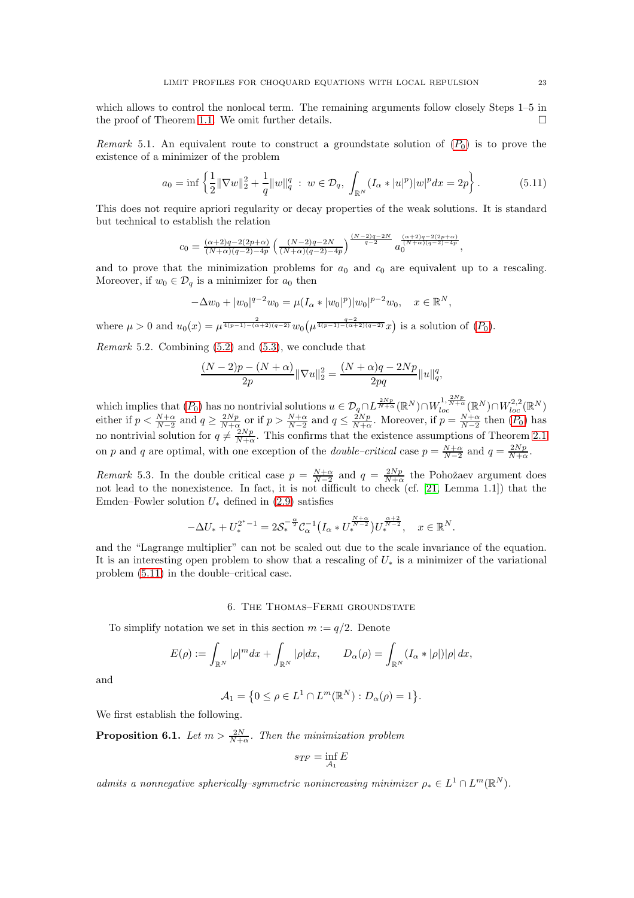which allows to control the nonlocal term. The remaining arguments follow closely Steps 1–5 in the proof of Theorem [1.1.](#page-2-0) We omit further details.  $\Box$ 

*Remark* 5.1. An equivalent route to construct a groundstate solution of  $(P_0)$  $(P_0)$  $(P_0)$  is to prove the existence of a minimizer of the problem

<span id="page-22-3"></span>
$$
a_0 = \inf \left\{ \frac{1}{2} \|\nabla w\|_2^2 + \frac{1}{q} \|w\|_q^q \; : \; w \in \mathcal{D}_q, \; \int_{\mathbb{R}^N} (I_\alpha * |u|^p) |w|^p dx = 2p \right\}.
$$
 (5.11)

This does not require apriori regularity or decay properties of the weak solutions. It is standard but technical to establish the relation

$$
c_0 = \frac{(\alpha+2)q - 2(2p+\alpha)}{(N+\alpha)(q-2) - 4p} \left(\frac{(N-2)q - 2N}{(N+\alpha)(q-2) - 4p}\right)^{\frac{(N-2)q - 2N}{q-2}} a_0^{\frac{(\alpha+2)q - 2(2p+\alpha)}{(N+\alpha)(q-2) - 4p}},
$$

and to prove that the minimization problems for  $a_0$  and  $c_0$  are equivalent up to a rescaling. Moreover, if  $w_0 \in \mathcal{D}_q$  is a minimizer for  $a_0$  then

$$
-\Delta w_0 + |w_0|^{q-2} w_0 = \mu (I_\alpha * |w_0|^p) |w_0|^{p-2} w_0, \quad x \in \mathbb{R}^N,
$$

where  $\mu > 0$  and  $u_0(x) = \mu^{\frac{2}{4(p-1)-(\alpha+2)(q-2)}} w_0(\mu^{\frac{q-2}{4(p-1)-(\alpha+2)(q-2)}} x)$  is a solution of  $(P_0)$  $(P_0)$  $(P_0)$ .

<span id="page-22-1"></span>*Remark* 5.2*.* Combining [\(5.2\)](#page-20-1) and [\(5.3\)](#page-20-2), we conclude that

$$
\frac{(N-2)p-(N+\alpha)}{2p}\|\nabla u\|_2^2=\frac{(N+\alpha)q-2Np}{2pq}\|u\|_q^q,
$$

which implies that  $(P_0)$  $(P_0)$  $(P_0)$  has no nontrivial solutions  $u \in \mathcal{D}_{q\cap L} \mathbb{Z}_{N+\alpha}^{2Np}(\mathbb{R}^N) \cap W_{loc}^{1,2,N+\alpha}(\mathbb{R}^N) \cap W_{loc}^{2,2}(\mathbb{R}^N)$ either if  $p < \frac{N+\alpha}{N-2}$  and  $q \ge \frac{2Np}{N+\alpha}$  or if  $p > \frac{N+\alpha}{N-2}$  and  $q \le \frac{2Np}{N+\alpha}$ . Moreover, if  $p = \frac{N+\alpha}{N-2}$  then  $(P_0)$  $(P_0)$  $(P_0)$  has no nontrivial solution for  $q \neq \frac{2Np}{N+\alpha}$ . This confirms that the existence assumptions of Theorem [2.1](#page-5-1) on p and q are optimal, with one exception of the *double-critical* case  $p = \frac{N+\alpha}{N-2}$  and  $q = \frac{2Np}{N+\alpha}$ .

<span id="page-22-2"></span>*Remark* 5.3. In the double critical case  $p = \frac{N+\alpha}{N-2}$  and  $q = \frac{2Np}{N+\alpha}$  the Pohožaev argument does not lead to the nonexistence. In fact, it is not difficult to check (cf. [\[21,](#page-45-20) Lemma 1.1]) that the Emden–Fowler solution  $U_*$  defined in [\(2.9\)](#page-9-1) satisfies

$$
-\Delta U_* + U_*^{2^*-1} = 2\mathcal{S}_*^{-\frac{\alpha}{2}} \mathcal{C}_\alpha^{-1} \big( I_\alpha * U_*^{\frac{N+\alpha}{N-2}} \big) U_*^{\frac{\alpha+2}{N-2}}, \quad x \in \mathbb{R}^N.
$$

and the "Lagrange multiplier" can not be scaled out due to the scale invariance of the equation. It is an interesting open problem to show that a rescaling of  $U_*$  is a minimizer of the variational problem [\(5.11\)](#page-22-3) in the double–critical case.

## 6. The Thomas–Fermi groundstate

<span id="page-22-0"></span>To simplify notation we set in this section  $m := q/2$ . Denote

$$
E(\rho) := \int_{\mathbb{R}^N} |\rho|^m dx + \int_{\mathbb{R}^N} |\rho| dx, \qquad D_\alpha(\rho) = \int_{\mathbb{R}^N} (I_\alpha * |\rho|) |\rho| dx,
$$

and

$$
\mathcal{A}_1 = \big\{0 \leq \rho \in L^1 \cap L^m(\mathbb{R}^N) : D_\alpha(\rho) = 1\big\}.
$$

We first establish the following.

<span id="page-22-4"></span>**Proposition 6.1.** *Let*  $m > \frac{2N}{N+\alpha}$ *. Then the minimization problem* 

$$
s_{TF} = \inf_{\mathcal{A}_1} E
$$

*admits a nonnegative spherically–symmetric nonincreasing minimizer*  $\rho_* \in L^1 \cap L^m(\mathbb{R}^N)$ *.*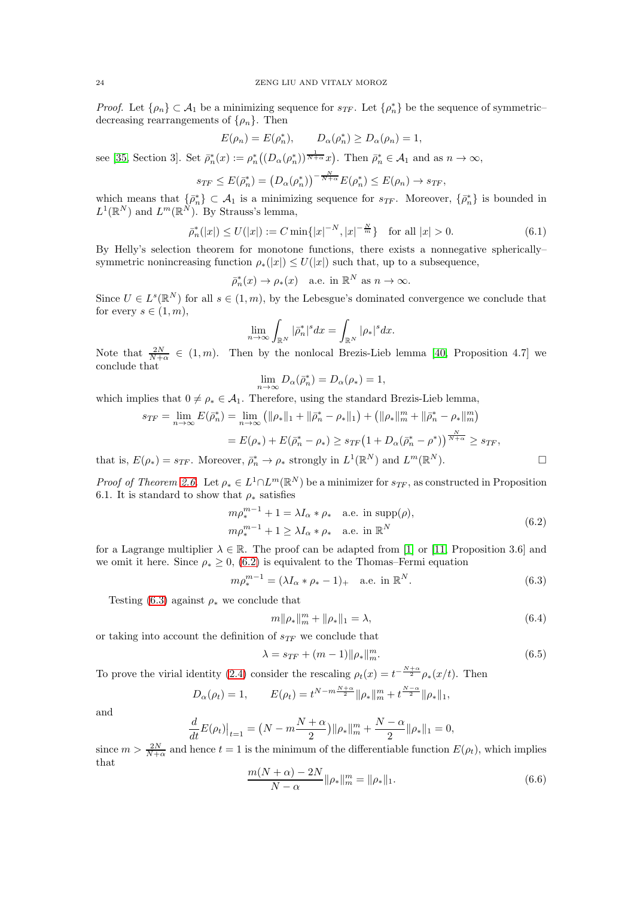*Proof.* Let  $\{\rho_n\} \subset \mathcal{A}_1$  be a minimizing sequence for  $s_{TF}$ . Let  $\{\rho_n^*\}$  be the sequence of symmetric– decreasing rearrangements of  $\{\rho_n\}$ . Then

$$
E(\rho_n) = E(\rho_n^*), \qquad D_\alpha(\rho_n^*) \ge D_\alpha(\rho_n) = 1,
$$

see [\[35,](#page-46-10) Section 3]. Set  $\bar{\rho}_n^*(x) := \rho_n^*\big( (D_\alpha(\rho_n^*))^{\frac{1}{N+\alpha}} x \big)$ . Then  $\bar{\rho}_n^* \in \mathcal{A}_1$  and as  $n \to \infty$ ,

$$
s_{TF} \leq E(\bar{\rho}_n^*) = \left(D_\alpha(\rho_n^*)\right)^{-\frac{N}{N+\alpha}} E(\rho_n^*) \leq E(\rho_n) \to s_{TF},
$$

which means that  $\{\bar{\rho}_n^*\} \subset \mathcal{A}_1$  is a minimizing sequence for  $s_{TF}$ . Moreover,  $\{\bar{\rho}_n^*\}$  is bounded in  $L^1(\mathbb{R}^N)$  and  $L^m(\mathbb{R}^N)$ . By Strauss's lemma,

<span id="page-23-2"></span>
$$
\bar{\rho}_n^*(|x|) \le U(|x|) := C \min\{|x|^{-N}, |x|^{-\frac{N}{m}}\} \quad \text{for all } |x| > 0. \tag{6.1}
$$

By Helly's selection theorem for monotone functions, there exists a nonnegative spherically– symmetric nonincreasing function  $\rho_*(x) \leq U(x)$  such that, up to a subsequence,

$$
\bar{\rho}_n^*(x) \to \rho_*(x) \quad \text{a.e. in } \mathbb{R}^N \text{ as } n \to \infty.
$$

Since  $U \in L^{s}(\mathbb{R}^{N})$  for all  $s \in (1, m)$ , by the Lebesgue's dominated convergence we conclude that for every  $s \in (1, m)$ ,

$$
\lim_{n\to\infty}\int_{\mathbb{R}^N}|\bar{\rho}_n^*|^sdx=\int_{\mathbb{R}^N}|\rho_*|^sdx.
$$

Note that  $\frac{2N}{N+\alpha} \in (1,m)$ . Then by the nonlocal Brezis-Lieb lemma [\[40,](#page-46-21) Proposition 4.7] we conclude that

$$
\lim_{n \to \infty} D_{\alpha}(\bar{\rho}_n^*) = D_{\alpha}(\rho_*) = 1,
$$

which implies that  $0 \neq \rho_* \in \mathcal{A}_1$ . Therefore, using the standard Brezis-Lieb lemma,

$$
s_{TF} = \lim_{n \to \infty} E(\bar{\rho}_n^*) = \lim_{n \to \infty} (||\rho_*||_1 + ||\bar{\rho}_n^* - \rho_*||_1) + (||\rho_*||_m^m + ||\bar{\rho}_n^* - \rho_*||_m^m)
$$
  
=  $E(\rho_*) + E(\bar{\rho}_n^* - \rho_*) \ge s_{TF} (1 + D_\alpha(\bar{\rho}_n^* - \rho^*))^{\frac{N}{N+\alpha}} \ge s_{TF},$   
 $E(\rho_*) = s_{TF}$  Moreover,  $\bar{\rho}_*^*$  be a strongly in  $L^1(\mathbb{R}^N)$  and  $L^m(\mathbb{R}^N)$ 

that is,  $E(\rho_*) = s_{TF}$ . Moreover,  $\bar{\rho}_n^* \to \rho_*$  strongly in  $L^1(\mathbb{R}^N)$  and  $L^m(\mathbb{R}^N)$ .

*Proof of Theorem [2.6.](#page-8-0)* Let  $\rho_* \in L^1 \cap L^m(\mathbb{R}^N)$  be a minimizer for  $s_{TF}$ , as constructed in Proposition 6.1. It is standard to show that  $\rho_*$  satisfies

<span id="page-23-0"></span>
$$
m\rho_*^{m-1} + 1 = \lambda I_\alpha * \rho_* \quad \text{a.e. in } \text{supp}(\rho),
$$
  

$$
m\rho_*^{m-1} + 1 \ge \lambda I_\alpha * \rho_* \quad \text{a.e. in } \mathbb{R}^N
$$
  
(6.2)

for a Lagrange multiplier  $\lambda \in \mathbb{R}$ . The proof can be adapted from [\[1\]](#page-45-15) or [\[11,](#page-45-17) Proposition 3.6] and we omit it here. Since  $\rho_* \geq 0$ , [\(6.2\)](#page-23-0) is equivalent to the Thomas–Fermi equation

<span id="page-23-1"></span>
$$
m\rho_*^{m-1} = (\lambda I_\alpha * \rho_* - 1)_+ \quad \text{a.e. in } \mathbb{R}^N. \tag{6.3}
$$

Testing [\(6.3\)](#page-23-1) against  $\rho_*$  we conclude that

$$
m\|\rho_*\|_m^m + \|\rho_*\|_1 = \lambda,\tag{6.4}
$$

or taking into account the definition of  $s_{TF}$  we conclude that

$$
\lambda = s_{TF} + (m-1) \|\rho_*\|_m^m. \tag{6.5}
$$

To prove the virial identity [\(2.4\)](#page-8-4) consider the rescaling  $\rho_t(x) = t^{-\frac{N+\alpha}{2}} \rho_*(x/t)$ . Then

$$
D_{\alpha}(\rho_t) = 1, \qquad E(\rho_t) = t^{N - m\frac{N + \alpha}{2}} \|\rho_*\|_m^m + t^{\frac{N - \alpha}{2}} \|\rho_*\|_1,
$$

and

$$
\frac{d}{dt}E(\rho_t)\big|_{t=1} = \big(N - m\frac{N+\alpha}{2}\big)\|\rho_*\|_m^m + \frac{N-\alpha}{2}\|\rho_*\|_1 = 0,
$$

since  $m > \frac{2N}{N+\alpha}$  and hence  $t = 1$  is the minimum of the differentiable function  $E(\rho_t)$ , which implies that

$$
\frac{m(N+\alpha)-2N}{N-\alpha} \|\rho_*\|_m^m = \|\rho_*\|_1.
$$
\n(6.6)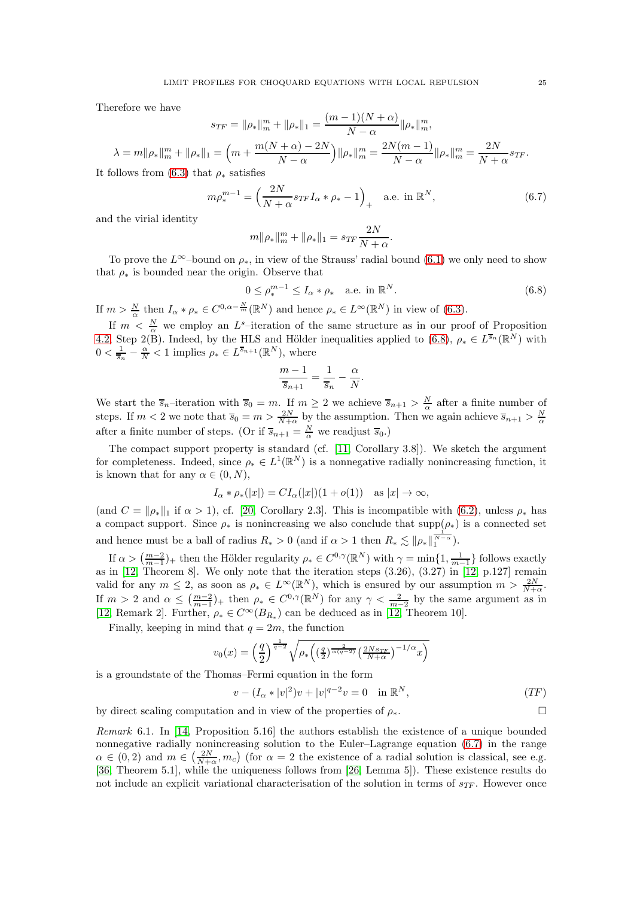Therefore we have

$$
s_{TF} = \|\rho_*\|_m^m + \|\rho_*\|_1 = \frac{(m-1)(N+\alpha)}{N-\alpha} \|\rho_*\|_m^m,
$$
  

$$
\lambda = m \|\rho_*\|_m^m + \|\rho_*\|_1 = \left(m + \frac{m(N+\alpha)-2N}{N-\alpha}\right) \|\rho_*\|_m^m = \frac{2N(m-1)}{N-\alpha} \|\rho_*\|_m^m = \frac{2N}{N+\alpha} s_{TF}.
$$

It follows from [\(6.3\)](#page-23-1) that  $\rho_*$  satisfies

<span id="page-24-1"></span>
$$
m\rho_*^{m-1} = \left(\frac{2N}{N+\alpha} s_{TF} I_\alpha * \rho_* - 1\right)_+ \quad \text{a.e. in } \mathbb{R}^N, \tag{6.7}
$$

and the virial identity

$$
m\|\rho_*\|_m^m + \|\rho_*\|_1 = s_{TF}\frac{2N}{N+\alpha}
$$

To prove the L<sup>∞</sup>–bound on  $\rho_*$ , in view of the Strauss' radial bound [\(6.1\)](#page-23-2) we only need to show that  $\rho_*$  is bounded near the origin. Observe that

<span id="page-24-0"></span>
$$
0 \le \rho_*^{m-1} \le I_\alpha * \rho_* \quad \text{a.e. in } \mathbb{R}^N. \tag{6.8}
$$

.

If  $m > \frac{N}{\alpha}$  then  $I_{\alpha} * \rho_* \in C^{0, \alpha - \frac{N}{m}}(\mathbb{R}^N)$  and hence  $\rho_* \in L^{\infty}(\mathbb{R}^N)$  in view of [\(6.3\)](#page-23-1).

If  $m < \frac{N}{\alpha}$  we employ an L<sup>s</sup>-iteration of the same structure as in our proof of Proposition [4.2,](#page-13-3) Step 2(B). Indeed, by the HLS and Hölder inequalities applied to [\(6.8\)](#page-24-0),  $\rho_* \in L^{\overline{s}_n}(\mathbb{R}^N)$  with  $0 < \frac{1}{\overline{s}_n} - \frac{\alpha}{N} < 1$  implies  $\rho_* \in L^{\overline{s}_{n+1}}(\mathbb{R}^N)$ , where

$$
\frac{m-1}{\overline{s}_{n+1}} = \frac{1}{\overline{s}_n} - \frac{\alpha}{N}.
$$

We start the  $\overline{s}_n$ -iteration with  $\overline{s}_0 = m$ . If  $m \geq 2$  we achieve  $\overline{s}_{n+1} > \frac{N}{\alpha}$  after a finite number of steps. If  $m < 2$  we note that  $\overline{s}_0 = m > \frac{2N}{N+\alpha}$  by the assumption. Then we again achieve  $\overline{s}_{n+1} > \frac{N}{\alpha}$ after a finite number of steps. (Or if  $\overline{s}_{n+1} = \frac{N}{\alpha}$  we readjust  $\overline{s}_0$ .)

The compact support property is standard (cf. [\[11,](#page-45-17) Corollary 3.8]). We sketch the argument for completeness. Indeed, since  $\rho_* \in L^1(\mathbb{R}^N)$  is a nonnegative radially nonincreasing function, it is known that for any  $\alpha \in (0, N)$ ,

$$
I_{\alpha} * \rho_*(|x|) = CI_{\alpha}(|x|)(1+o(1)) \text{ as } |x| \to \infty,
$$

(and  $C = ||\rho_*||_1$  if  $\alpha > 1$ ), cf. [\[20,](#page-45-27) Corollary 2.3]. This is incompatible with [\(6.2\)](#page-23-0), unless  $\rho_*$  has a compact support. Since  $\rho_*$  is nonincreasing we also conclude that supp $(\rho_*)$  is a connected set and hence must be a ball of radius  $R_* > 0$  (and if  $\alpha > 1$  then  $R_* \lesssim \|\rho_*\|_1^{\frac{1}{N-\alpha}}$ ).

If  $\alpha > \left(\frac{m-2}{m-1}\right)$ + then the Hölder regularity  $\rho_* \in C^{0,\gamma}(\mathbb{R}^N)$  with  $\gamma = \min\{1, \frac{1}{m-1}\}$  follows exactly as in  $[12,$  Theorem 8]. We only note that the iteration steps  $(3.26), (3.27)$  in  $[12, p.127]$  remain valid for any  $m \leq 2$ , as soon as  $\rho_* \in L^{\infty}(\mathbb{R}^N)$ , which is ensured by our assumption  $m > \frac{2N}{N+\alpha}$ . If  $m > 2$  and  $\alpha \leq \left(\frac{m-2}{m-1}\right)$  then  $\rho_* \in C^{0,\gamma}(\mathbb{R}^N)$  for any  $\gamma < \frac{2}{m-2}$  by the same argument as in [\[12,](#page-45-18) Remark 2]. Further,  $\rho_* \in C^{\infty}(B_{R_*})$  can be deduced as in [\[12,](#page-45-18) Theorem 10].

Finally, keeping in mind that  $q = 2m$ , the function

$$
v_0(x) = \left(\frac{q}{2}\right)^{\frac{1}{q-2}} \sqrt{\rho_* \left(\left(\frac{q}{2}\right)^{\frac{2}{\alpha(q-2)}} \left(\frac{2Ns_{TF}}{N+\alpha}\right)^{-1/\alpha} x\right)}
$$

is a groundstate of the Thomas–Fermi equation in the form

$$
v - (I_{\alpha} * |v|^2)v + |v|^{q-2}v = 0 \quad \text{in } \mathbb{R}^N,
$$
\n<sup>(TF)</sup>

by direct scaling computation and in view of the properties of  $\rho_*$ .

*Remark* 6.1*.* In [\[14,](#page-45-23) Proposition 5.16] the authors establish the existence of a unique bounded nonnegative radially nonincreasing solution to the Euler–Lagrange equation [\(6.7\)](#page-24-1) in the range  $\alpha \in (0, 2)$  and  $m \in (\frac{2N}{N+\alpha}, m_c)$  (for  $\alpha = 2$  the existence of a radial solution is classical, see e.g. [\[36,](#page-46-13) Theorem 5.1], while the uniqueness follows from [\[26,](#page-45-24) Lemma 5]). These existence results do not include an explicit variational characterisation of the solution in terms of  $s_{TF}$ . However once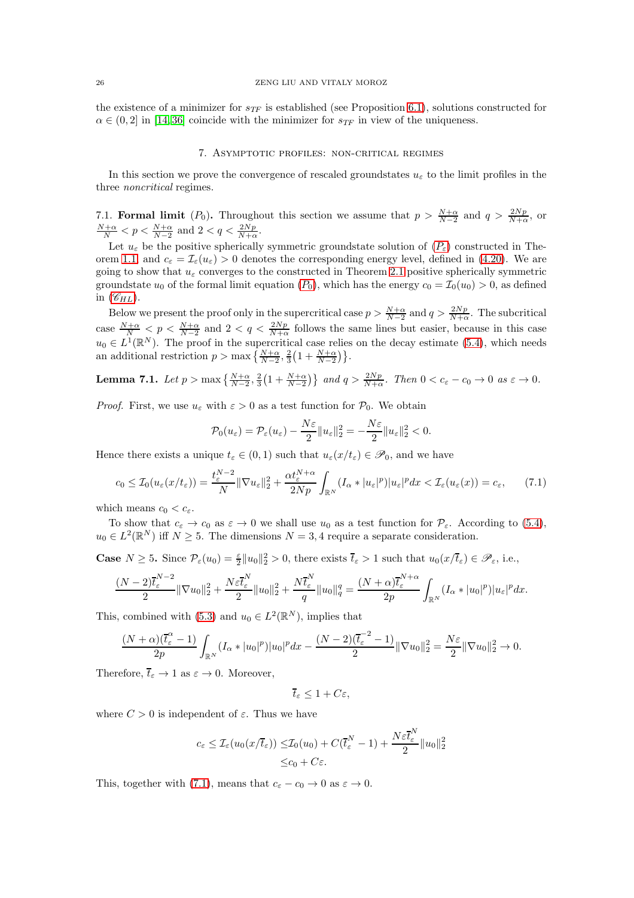<span id="page-25-0"></span>the existence of a minimizer for  $s_{TF}$  is established (see Proposition [6.1\)](#page-22-4), solutions constructed for  $\alpha \in (0, 2]$  in [\[14,](#page-45-23)36] coincide with the minimizer for  $s_{TF}$  in view of the uniqueness.

### 7. Asymptotic profiles: non-critical regimes

In this section we prove the convergence of rescaled groundstates  $u_{\varepsilon}$  to the limit profiles in the three *noncritical* regimes.

7.1. Formal limit  $(P_0)$ . Throughout this section we assume that  $p > \frac{N+\alpha}{N-2}$  and  $q > \frac{2Np}{N+\alpha}$ , or  $\frac{N+\alpha}{N} < p < \frac{N+\alpha}{N-2}$  and  $2 < q < \frac{2Np}{N+\alpha}$ .

Let  $u_{\varepsilon}$  be the positive spherically symmetric groundstate solution of  $(P_{\varepsilon})$  $(P_{\varepsilon})$  $(P_{\varepsilon})$  constructed in The-orem [1.1,](#page-2-0) and  $c_{\varepsilon} = \mathcal{I}_{\varepsilon}(u_{\varepsilon}) > 0$  denotes the corresponding energy level, defined in [\(4.20\)](#page-17-4). We are going to show that  $u_{\varepsilon}$  converges to the constructed in Theorem [2.1](#page-5-1) positive spherically symmetric groundstate  $u_0$  of the formal limit equation  $(P_0)$  $(P_0)$  $(P_0)$ , which has the energy  $c_0 = \mathcal{I}_0(u_0) > 0$ , as defined in  $(\mathscr{C}_{HL})$  $(\mathscr{C}_{HL})$  $(\mathscr{C}_{HL})$ .

Below we present the proof only in the supercritical case  $p > \frac{N+\alpha}{N-2}$  and  $q > \frac{2Np}{N+\alpha}$ . The subcritical case  $\frac{N+\alpha}{N} < p < \frac{N+\alpha}{N-2}$  and  $2 < q < \frac{2Np}{N+\alpha}$  follows the same lines but easier, because in this case  $u_0 \in L^1(\mathbb{R}^N)$ . The proof in the supercritical case relies on the decay estimate [\(5.4\)](#page-21-2), which needs an additional restriction  $p > \max\left\{\frac{N+\alpha}{N-2}, \frac{2}{3}\left(1 + \frac{N+\alpha}{N-2}\right)\right\}.$ 

<span id="page-25-2"></span>**Lemma 7.1.** *Let*  $p > \max\left\{\frac{N+\alpha}{N-2}, \frac{2}{3}\left(1+\frac{N+\alpha}{N-2}\right)\right\}$  *and*  $q > \frac{2Np}{N+\alpha}$ *. Then*  $0 < c_{\varepsilon} - c_0 \to 0$  *as*  $\varepsilon \to 0$ *.* 

*Proof.* First, we use  $u_{\varepsilon}$  with  $\varepsilon > 0$  as a test function for  $\mathcal{P}_0$ . We obtain

$$
\mathcal{P}_0(u_{\varepsilon}) = \mathcal{P}_{\varepsilon}(u_{\varepsilon}) - \frac{N\varepsilon}{2} \|u_{\varepsilon}\|_2^2 = -\frac{N\varepsilon}{2} \|u_{\varepsilon}\|_2^2 < 0.
$$

Hence there exists a unique  $t_{\varepsilon} \in (0,1)$  such that  $u_{\varepsilon}(x/t_{\varepsilon}) \in \mathscr{P}_0$ , and we have

<span id="page-25-1"></span>
$$
c_0 \leq \mathcal{I}_0(u_\varepsilon(x/t_\varepsilon)) = \frac{t_\varepsilon^{N-2}}{N} \|\nabla u_\varepsilon\|_2^2 + \frac{\alpha t_\varepsilon^{N+\alpha}}{2Np} \int_{\mathbb{R}^N} (I_\alpha * |u_\varepsilon|^p) |u_\varepsilon|^p dx < \mathcal{I}_\varepsilon(u_\varepsilon(x)) = c_\varepsilon,\tag{7.1}
$$

which means  $c_0 < c_{\varepsilon}$ .

To show that  $c_{\varepsilon} \to c_0$  as  $\varepsilon \to 0$  we shall use  $u_0$  as a test function for  $\mathcal{P}_{\varepsilon}$ . According to [\(5.4\)](#page-21-2),  $u_0 \in L^2(\mathbb{R}^N)$  iff  $N \ge 5$ . The dimensions  $N = 3, 4$  require a separate consideration.

**Case**  $N \ge 5$ . Since  $\mathcal{P}_{\varepsilon}(u_0) = \frac{\varepsilon}{2} ||u_0||_2^2 > 0$ , there exists  $\overline{t}_{\varepsilon} > 1$  such that  $u_0(x/\overline{t}_{\varepsilon}) \in \mathcal{P}_{\varepsilon}$ , i.e.,

$$
\frac{(N-2)\overline{t}_{\varepsilon}^{N-2}}{2}\|\nabla u_0\|_2^2 + \frac{N\varepsilon \overline{t}_{\varepsilon}^N}{2}\|u_0\|_2^2 + \frac{N\overline{t}_{\varepsilon}^N}{q}\|u_0\|_q^q = \frac{(N+\alpha)\overline{t}_{\varepsilon}^{N+\alpha}}{2p}\int_{\mathbb{R}^N}(I_\alpha * |u_0|^p)|u_\varepsilon|^pdx.
$$

This, combined with [\(5.3\)](#page-20-2) and  $u_0 \in L^2(\mathbb{R}^N)$ , implies that

$$
\frac{(N+\alpha)(\overline{t}_{\varepsilon}^{\alpha}-1)}{2p}\int_{\mathbb{R}^{N}}(I_{\alpha}*|u_{0}|^{p})|u_{0}|^{p}dx-\frac{(N-2)(\overline{t}_{\varepsilon}^{-2}-1)}{2}\|\nabla u_{0}\|_{2}^{2}=\frac{N\varepsilon}{2}\|\nabla u_{0}\|_{2}^{2}\to 0.
$$

Therefore,  $\overline{t}_{\varepsilon} \to 1$  as  $\varepsilon \to 0$ . Moreover,

$$
\overline{t}_{\varepsilon}\leq 1+C\varepsilon,
$$

where  $C > 0$  is independent of  $\varepsilon$ . Thus we have

$$
c_{\varepsilon} \leq \mathcal{I}_{\varepsilon}(u_0(x/\overline{t}_{\varepsilon})) \leq \mathcal{I}_0(u_0) + C(\overline{t}_{\varepsilon}^N - 1) + \frac{N \varepsilon \overline{t}_{\varepsilon}^N}{2} ||u_0||_2^2
$$
  
 
$$
\leq c_0 + C\varepsilon.
$$

<sub>N</sub><sub>r</sub>

This, together with [\(7.1\)](#page-25-1), means that  $c_{\varepsilon} - c_0 \to 0$  as  $\varepsilon \to 0$ .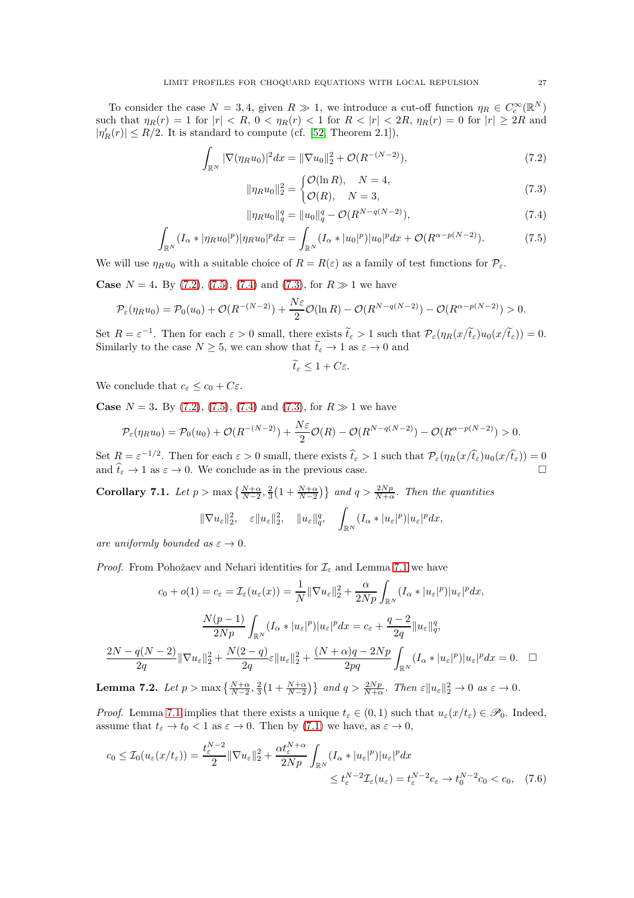To consider the case  $N = 3, 4$ , given  $R \gg 1$ , we introduce a cut-off function  $\eta_R \in C_c^{\infty}(\mathbb{R}^N)$ such that  $\eta_R(r) = 1$  for  $|r| < R$ ,  $0 < \eta_R(r) < 1$  for  $R < |r| < 2R$ ,  $\eta_R(r) = 0$  for  $|r| \geq 2R$  and  $|\eta'_{R}(r)| \leq R/2$ . It is standard to compute (cf. [\[52,](#page-46-22) Theorem 2.1]),

$$
\int_{\mathbb{R}^N} |\nabla (\eta_R u_0)|^2 dx = \|\nabla u_0\|_2^2 + \mathcal{O}(R^{-(N-2)}),
$$
\n(7.2)

<span id="page-26-3"></span><span id="page-26-0"></span>
$$
\|\eta_R u_0\|_2^2 = \begin{cases} \mathcal{O}(\ln R), & N = 4, \\ \mathcal{O}(R), & N = 3, \end{cases}
$$
\n(7.3)

<span id="page-26-2"></span>
$$
\|\eta_R u_0\|_q^q = \|u_0\|_q^q - \mathcal{O}(R^{N-q(N-2)}),\tag{7.4}
$$

$$
\int_{\mathbb{R}^N} (I_\alpha * |\eta_R u_0|^p) |\eta_R u_0|^p dx = \int_{\mathbb{R}^N} (I_\alpha * |u_0|^p) |u_0|^p dx + \mathcal{O}(R^{\alpha - p(N-2)}).
$$
 (7.5)

We will use  $\eta_R u_0$  with a suitable choice of  $R = R(\varepsilon)$  as a family of test functions for  $\mathcal{P}_{\varepsilon}$ .

**Case**  $N = 4$ . By [\(7.2\)](#page-26-0), [\(7.5\)](#page-26-1), [\(7.4\)](#page-26-2) and [\(7.3\)](#page-26-3), for  $R \gg 1$  we have

$$
\mathcal{P}_{\varepsilon}(\eta_R u_0) = \mathcal{P}_0(u_0) + \mathcal{O}(R^{-(N-2)}) + \frac{N\varepsilon}{2}\mathcal{O}(\ln R) - \mathcal{O}(R^{N-q(N-2)}) - \mathcal{O}(R^{\alpha - p(N-2)}) > 0.
$$

Set  $R = \varepsilon^{-1}$ . Then for each  $\varepsilon > 0$  small, there exists  $\tilde{t}_{\varepsilon} > 1$  such that  $\mathcal{P}_{\varepsilon}(\eta_R(x/\tilde{t}_{\varepsilon}))(x/\tilde{t}_{\varepsilon})) = 0$ . Similarly to the case  $N \ge 5$ , we can show that  $t_{\varepsilon} \to 1$  as  $\varepsilon \to 0$  and

<span id="page-26-1"></span>
$$
\widetilde{t}_{\varepsilon} \leq 1 + C \varepsilon.
$$

We conclude that  $c_{\varepsilon} \leq c_0 + C_{\varepsilon}$ .

**Case**  $N = 3$ . By [\(7.2\)](#page-26-0), [\(7.5\)](#page-26-1), [\(7.4\)](#page-26-2) and [\(7.3\)](#page-26-3), for  $R \gg 1$  we have

$$
\mathcal{P}_{\varepsilon}(\eta_R u_0) = \mathcal{P}_0(u_0) + \mathcal{O}(R^{-(N-2)}) + \frac{N\varepsilon}{2}\mathcal{O}(R) - \mathcal{O}(R^{N-q(N-2)}) - \mathcal{O}(R^{\alpha - p(N-2)}) > 0.
$$

Set  $R = \varepsilon^{-1/2}$ . Then for each  $\varepsilon > 0$  small, there exists  $\hat{t}_{\varepsilon} > 1$  such that  $\mathcal{P}_{\varepsilon}(\eta_R(x/\hat{t}_{\varepsilon})) u_0(x/\hat{t}_{\varepsilon})) = 0$ and  $\hat{t}_{\varepsilon} \to 1$  as  $\varepsilon \to 0$ . We conclude as in the previous case.

<span id="page-26-4"></span>**Corollary 7.1.** Let  $p > \max\left\{\frac{N+\alpha}{N-2}, \frac{2}{3}\left(1+\frac{N+\alpha}{N-2}\right)\right\}$  and  $q > \frac{2Np}{N+\alpha}$ . Then the quantities

<span id="page-26-5"></span>
$$
\|\nabla u_{\varepsilon}\|_{2}^{2}, \quad \varepsilon \|u_{\varepsilon}\|_{2}^{2}, \quad \|u_{\varepsilon}\|_{q}^{q}, \quad \int_{\mathbb{R}^{N}} (I_{\alpha}*|u_{\varepsilon}|^{p})|u_{\varepsilon}|^{p} dx,
$$

*are uniformly bounded as*  $\varepsilon \to 0$ *.* 

*Proof.* From Pohožaev and Nehari identities for  $\mathcal{I}_{\varepsilon}$  and Lemma [7.1](#page-25-2) we have

$$
c_0 + o(1) = c_{\varepsilon} = \mathcal{I}_{\varepsilon}(u_{\varepsilon}(x)) = \frac{1}{N} \|\nabla u_{\varepsilon}\|_{2}^{2} + \frac{\alpha}{2Np} \int_{\mathbb{R}^N} (I_{\alpha} * |u_{\varepsilon}|^p) |u_{\varepsilon}|^p dx,
$$

$$
\frac{N(p-1)}{2Np} \int_{\mathbb{R}^N} (I_{\alpha} * |u_{\varepsilon}|^p) |u_{\varepsilon}|^p dx = c_{\varepsilon} + \frac{q-2}{2q} \|u_{\varepsilon}\|_{q}^q,
$$

$$
\frac{2N - q(N-2)}{2q} \|\nabla u_{\varepsilon}\|_{2}^{2} + \frac{N(2-q)}{2q} \varepsilon \|u_{\varepsilon}\|_{2}^{2} + \frac{(N+\alpha)q - 2Np}{2pq} \int_{\mathbb{R}^N} (I_{\alpha} * |u_{\varepsilon}|^p) |u_{\varepsilon}|^p dx = 0.
$$

Lemma 7.2. Let  $p > \max\left\{\frac{N+\alpha}{N-2}, \frac{2}{3}\left(1+\frac{N+\alpha}{N-2}\right)\right\}$  and  $q > \frac{2Np}{N+\alpha}$ . Then  $\varepsilon ||u_{\varepsilon}||_2^2 \to 0$  as  $\varepsilon \to 0$ .

*Proof.* Lemma [7.1](#page-25-2) implies that there exists a unique  $t_{\varepsilon} \in (0,1)$  such that  $u_{\varepsilon}(x/t_{\varepsilon}) \in \mathscr{P}_0$ . Indeed, assume that  $t_{\varepsilon} \to t_0 < 1$  as  $\varepsilon \to 0$ . Then by [\(7.1\)](#page-25-1) we have, as  $\varepsilon \to 0$ ,

$$
c_0 \le \mathcal{I}_0(u_\varepsilon(x/t_\varepsilon)) = \frac{t_\varepsilon^{N-2}}{2} \|\nabla u_\varepsilon\|_2^2 + \frac{\alpha t_\varepsilon^{N+\alpha}}{2Np} \int_{\mathbb{R}^N} (I_\alpha * |u_\varepsilon|^p) |u_\varepsilon|^p dx
$$
  

$$
\le t_\varepsilon^{N-2} \mathcal{I}_\varepsilon(u_\varepsilon) = t_\varepsilon^{N-2} c_\varepsilon \to t_0^{N-2} c_0 < c_0, \quad (7.6)
$$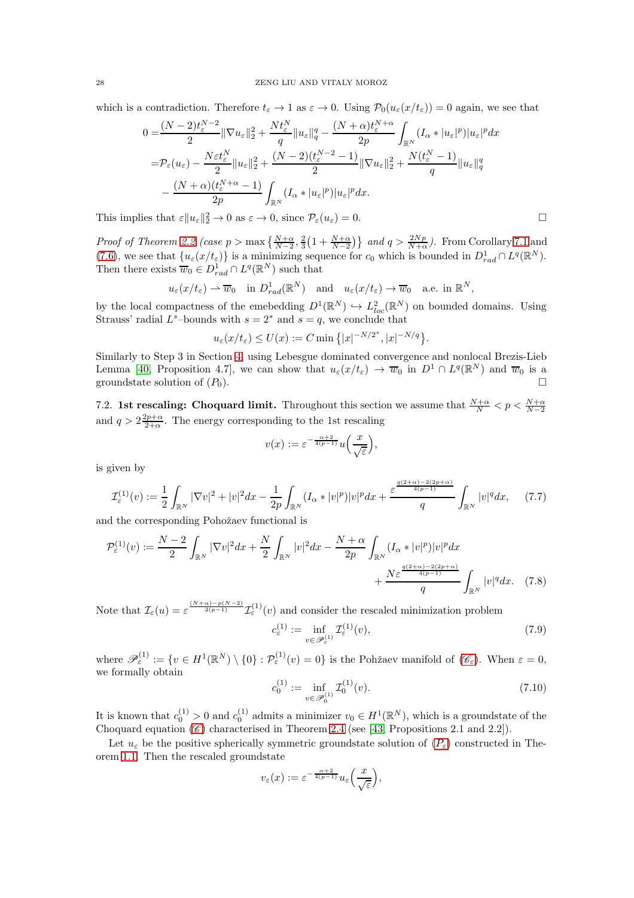which is a contradiction. Therefore  $t_{\varepsilon} \to 1$  as  $\varepsilon \to 0$ . Using  $\mathcal{P}_0(u_{\varepsilon}(x/t_{\varepsilon})) = 0$  again, we see that

$$
0 = \frac{(N-2)t_{\varepsilon}^{N-2}}{2} \|\nabla u_{\varepsilon}\|_{2}^{2} + \frac{Nt_{\varepsilon}^{N}}{q} \|u_{\varepsilon}\|_{q}^{q} - \frac{(N+\alpha)t_{\varepsilon}^{N+\alpha}}{2p} \int_{\mathbb{R}^{N}} (I_{\alpha}*|u_{\varepsilon}|^{p}) |u_{\varepsilon}|^{p} dx
$$
  
\n
$$
= \mathcal{P}_{\varepsilon}(u_{\varepsilon}) - \frac{N\varepsilon t_{\varepsilon}^{N}}{2} \|u_{\varepsilon}\|_{2}^{2} + \frac{(N-2)(t_{\varepsilon}^{N-2}-1)}{2} \|\nabla u_{\varepsilon}\|_{2}^{2} + \frac{N(t_{\varepsilon}^{N}-1)}{q} \|u_{\varepsilon}\|_{q}^{q}
$$
  
\n
$$
- \frac{(N+\alpha)(t_{\varepsilon}^{N+\alpha}-1)}{2p} \int_{\mathbb{R}^{N}} (I_{\alpha}*|u_{\varepsilon}|^{p}) |u_{\varepsilon}|^{p} dx.
$$

This implies that  $\varepsilon ||u_{\varepsilon}||_2^2 \to 0$  as  $\varepsilon \to 0$ , since  $\mathcal{P}_{\varepsilon}(u_{\varepsilon}) = 0$ .

*Proof of Theorem [2.2](#page-5-2)* (case  $p > \max\left\{\frac{N+\alpha}{N-2}, \frac{2}{3}\left(1+\frac{N+\alpha}{N-2}\right)\right\}$  and  $q > \frac{2Np}{N+\alpha}$ ). From Corollary [7.1](#page-26-4) and [\(7.6\)](#page-26-5), we see that  $\{u_{\varepsilon}(x/t_{\varepsilon})\}$  is a minimizing sequence for  $c_0$  which is bounded in  $D_{rad}^1 \cap L^q(\mathbb{R}^N)$ . Then there exists  $\overline{w}_0 \in D_{rad}^1 \cap L^q(\mathbb{R}^N)$  such that

$$
u_{\varepsilon}(x/t_{\varepsilon}) \rightharpoonup \overline{w}_0
$$
 in  $D_{rad}^1(\mathbb{R}^N)$  and  $u_{\varepsilon}(x/t_{\varepsilon}) \rightharpoonup \overline{w}_0$  a.e. in  $\mathbb{R}^N$ ,

by the local compactness of the emebedding  $D^1(\mathbb{R}^N) \hookrightarrow L^2_{loc}(\mathbb{R}^N)$  on bounded domains. Using Strauss' radial  $L^s$ -bounds with  $s = 2^*$  and  $s = q$ , we conclude that

$$
u_{\varepsilon}(x/t_{\varepsilon}) \le U(x) := C \min\left\{|x|^{-N/2^*}, |x|^{-N/q}\right\}.
$$

Similarly to Step 3 in Section [4,](#page-12-0) using Lebesgue dominated convergence and nonlocal Brezis-Lieb Lemma [\[40,](#page-46-21) Proposition 4.7], we can show that  $u_{\varepsilon}(x/t_{\varepsilon}) \to \overline{w}_0$  in  $D^1 \cap L^q(\mathbb{R}^N)$  and  $\overline{w}_0$  is a groundstate solution of  $(P_0)$ .

7.2. 1st rescaling: Choquard limit. Throughout this section we assume that  $\frac{N+\alpha}{N} < p < \frac{N+\alpha}{N-2}$ and  $q > 2\frac{2p+\alpha}{2+\alpha}$ . The energy corresponding to the 1st rescaling

$$
v(x) := \varepsilon^{-\frac{\alpha+2}{4(p-1)}} u\left(\frac{x}{\sqrt{\varepsilon}}\right),
$$

is given by

$$
\mathcal{I}_{\varepsilon}^{(1)}(v) := \frac{1}{2} \int_{\mathbb{R}^N} |\nabla v|^2 + |v|^2 dx - \frac{1}{2p} \int_{\mathbb{R}^N} (I_{\alpha} * |v|^p) |v|^p dx + \frac{\varepsilon^{\frac{q(2+\alpha)-2(2p+\alpha)}{4(p-1)}}}{q} \int_{\mathbb{R}^N} |v|^q dx, \tag{7.7}
$$

and the corresponding Pohožaev functional is

$$
\mathcal{P}_{\varepsilon}^{(1)}(v) := \frac{N-2}{2} \int_{\mathbb{R}^N} |\nabla v|^2 dx + \frac{N}{2} \int_{\mathbb{R}^N} |v|^2 dx - \frac{N+\alpha}{2p} \int_{\mathbb{R}^N} (I_{\alpha} * |v|^p) |v|^p dx + \frac{N \varepsilon^{\frac{q(2+\alpha)-2(2p+\alpha)}{4(p-1)}}}{q} \int_{\mathbb{R}^N} |v|^q dx. \tag{7.8}
$$

Note that  $\mathcal{I}_{\varepsilon}(u) = \varepsilon^{\frac{(N+\alpha)-p(N-2)}{2(p-1)}} \mathcal{I}_{\varepsilon}^{(1)}(v)$  and consider the rescaled minimization problem

$$
c_{\varepsilon}^{(1)} := \inf_{v \in \mathcal{P}_{\varepsilon}^{(1)}} \mathcal{I}_{\varepsilon}^{(1)}(v),\tag{7.9}
$$

where  $\mathscr{P}_{\varepsilon}^{(1)} := \{v \in H^1(\mathbb{R}^N) \setminus \{0\} : \mathcal{P}_{\varepsilon}^{(1)}(v) = 0\}$  is the Pohžaev manifold of  $(\mathscr{C}_{\varepsilon})$  $(\mathscr{C}_{\varepsilon})$  $(\mathscr{C}_{\varepsilon})$ . When  $\varepsilon = 0$ , we formally obtain

$$
c_0^{(1)} := \inf_{v \in \mathcal{P}_0^{(1)}} \mathcal{I}_0^{(1)}(v). \tag{7.10}
$$

It is known that  $c_0^{(1)} > 0$  and  $c_0^{(1)}$  admits a minimizer  $v_0 \in H^1(\mathbb{R}^N)$ , which is a groundstate of the [C](#page-1-4)hoquard equation  $(\mathscr{C})$  characterised in Theorem [2.4](#page-7-0) (see [\[43,](#page-46-11) Propositions 2.1 and 2.2]).

Let  $u_{\varepsilon}$  be the positive spherically symmetric groundstate solution of  $(P_{\varepsilon})$  $(P_{\varepsilon})$  $(P_{\varepsilon})$  constructed in Theorem [1.1.](#page-2-0) Then the rescaled groundstate

$$
v_\varepsilon(x):=\varepsilon^{-\frac{\alpha+2}{4(p-1)}}u_\varepsilon\Big(\frac{x}{\sqrt{\varepsilon}}\Big),
$$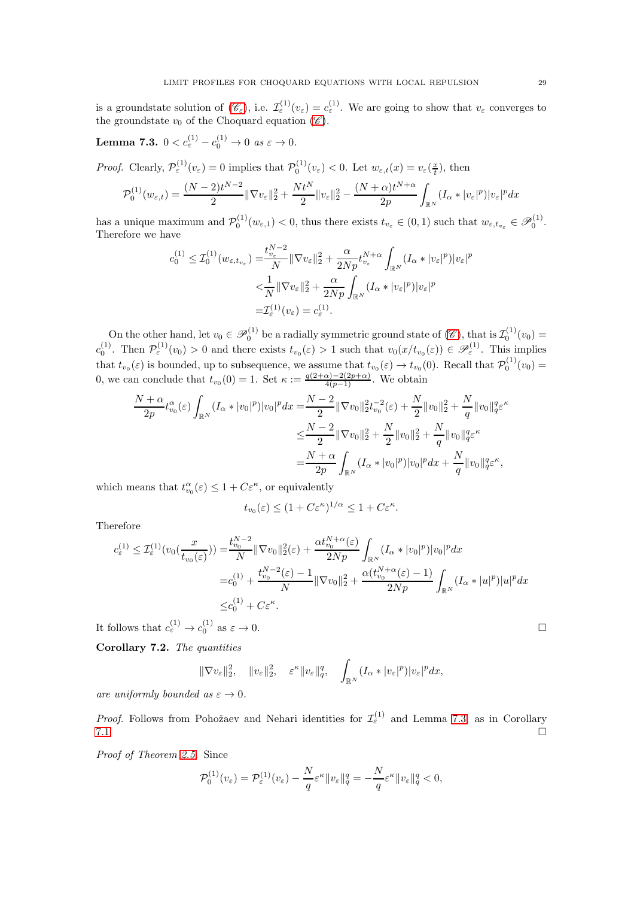is a groundstate solution of  $(\mathscr{C}_{\varepsilon})$  $(\mathscr{C}_{\varepsilon})$  $(\mathscr{C}_{\varepsilon})$ , i.e.  $\mathcal{I}_{\varepsilon}^{(1)}(v_{\varepsilon}) = c_{\varepsilon}^{(1)}$ . We are going to show that  $v_{\varepsilon}$  converges to the groundstate  $v_0$  of the [C](#page-1-4)hoquard equation  $(\mathscr{C})$ .

<span id="page-28-0"></span>Lemma 7.3.  $0 < c_{\varepsilon}^{(1)} - c_0^{(1)} \to 0 \text{ as } \varepsilon \to 0.$ 

*Proof.* Clearly,  $\mathcal{P}^{(1)}_{\varepsilon}(v_{\varepsilon}) = 0$  implies that  $\mathcal{P}^{(1)}_{0}(v_{\varepsilon}) < 0$ . Let  $w_{\varepsilon,t}(x) = v_{\varepsilon}(\frac{x}{t})$ , then

$$
\mathcal{P}_0^{(1)}(w_{\varepsilon,t}) = \frac{(N-2)t^{N-2}}{2} \|\nabla v_{\varepsilon}\|_2^2 + \frac{Nt^N}{2} \|v_{\varepsilon}\|_2^2 - \frac{(N+\alpha)t^{N+\alpha}}{2p} \int_{\mathbb{R}^N} (I_\alpha * |v_{\varepsilon}|^p) |v_{\varepsilon}|^p dx
$$

has a unique maximum and  $\mathcal{P}_0^{(1)}(w_{\varepsilon,1}) < 0$ , thus there exists  $t_{v_{\varepsilon}} \in (0,1)$  such that  $w_{\varepsilon,t_{v_{\varepsilon}}} \in \mathcal{P}_0^{(1)}$ . Therefore we have

$$
c_0^{(1)} \leq \mathcal{I}_0^{(1)}(w_{\varepsilon, t_{v_\varepsilon}}) = \frac{t_{v_\varepsilon}^{N-2}}{N} \|\nabla v_\varepsilon\|_2^2 + \frac{\alpha}{2Np} t_{v_\varepsilon}^{N+\alpha} \int_{\mathbb{R}^N} (I_\alpha * |v_\varepsilon|^p) |v_\varepsilon|^p
$$
  

$$
< \frac{1}{N} \|\nabla v_\varepsilon\|_2^2 + \frac{\alpha}{2Np} \int_{\mathbb{R}^N} (I_\alpha * |v_\varepsilon|^p) |v_\varepsilon|^p
$$
  

$$
= \mathcal{I}_\varepsilon^{(1)}(v_\varepsilon) = c_\varepsilon^{(1)}.
$$

On the other hand, let  $v_0 \in \mathscr{P}_0^{(1)}$  be a radially symmetric ground state of  $(\mathscr{C})$  $(\mathscr{C})$  $(\mathscr{C})$ , that is  $\mathcal{I}_0^{(1)}(v_0)$  =  $c_0^{(1)}$ . Then  $\mathcal{P}^{(1)}_{\varepsilon}(v_0) > 0$  and there exists  $t_{v_0}(\varepsilon) > 1$  such that  $v_0(x/t_{v_0}(\varepsilon)) \in \mathscr{P}^{(1)}_{\varepsilon}$ . This implies that  $t_{v_0}(\varepsilon)$  is bounded, up to subsequence, we assume that  $t_{v_0}(\varepsilon) \to t_{v_0}(0)$ . Recall that  $\mathcal{P}_0^{(1)}(v_0) =$ 0, we can conclude that  $t_{v_0}(0) = 1$ . Set  $\kappa := \frac{q(2+\alpha)-2(2p+\alpha)}{4(p-1)}$ . We obtain

$$
\frac{N+\alpha}{2p}t_{v_0}^{\alpha}(\varepsilon)\int_{\mathbb{R}^N}(I_{\alpha}*|v_0|^p)|v_0|^pdx = \frac{N-2}{2}\|\nabla v_0\|_2^2t_{v_0}^{-2}(\varepsilon) + \frac{N}{2}\|v_0\|_2^2 + \frac{N}{q}\|v_0\|_q^q\varepsilon^{\kappa} \n\leq \frac{N-2}{2}\|\nabla v_0\|_2^2 + \frac{N}{2}\|v_0\|_2^2 + \frac{N}{q}\|v_0\|_q^q\varepsilon^{\kappa} \n= \frac{N+\alpha}{2p}\int_{\mathbb{R}^N}(I_{\alpha}*|v_0|^p)|v_0|^pdx + \frac{N}{q}\|v_0\|_q^q\varepsilon^{\kappa},
$$

which means that  $t_{v_0}^{\alpha}(\varepsilon) \leq 1 + C\varepsilon^{\kappa}$ , or equivalently

$$
t_{v_0}(\varepsilon) \le (1 + C\varepsilon^{\kappa})^{1/\alpha} \le 1 + C\varepsilon^{\kappa}.
$$

Therefore

$$
c_{\varepsilon}^{(1)} \leq \mathcal{I}_{\varepsilon}^{(1)}(v_{0}(\frac{x}{t_{v_{0}}(\varepsilon)})) = \frac{t_{v_{0}}^{N-2}}{N} \|\nabla v_{0}\|_{2}^{2}(\varepsilon) + \frac{\alpha t_{v_{0}}^{N+\alpha}(\varepsilon)}{2Np} \int_{\mathbb{R}^{N}} (I_{\alpha} * |v_{0}|^{p}) |v_{0}|^{p} dx
$$
  

$$
= c_{0}^{(1)} + \frac{t_{v_{0}}^{N-2}(\varepsilon) - 1}{N} \|\nabla v_{0}\|_{2}^{2} + \frac{\alpha (t_{v_{0}}^{N+\alpha}(\varepsilon) - 1)}{2Np} \int_{\mathbb{R}^{N}} (I_{\alpha} * |u|^{p}) |u|^{p} dx
$$
  

$$
\leq c_{0}^{(1)} + C\varepsilon^{\kappa}.
$$

It follows that  $c_{\varepsilon}^{(1)} \to c_0^{(1)}$  as  $\varepsilon \to 0$ .

<span id="page-28-1"></span>Corollary 7.2. *The quantities*

$$
\|\nabla v_{\varepsilon}\|_{2}^{2}, \quad \|v_{\varepsilon}\|_{2}^{2}, \quad \varepsilon^{\kappa} \|v_{\varepsilon}\|_{q}^{q}, \quad \int_{\mathbb{R}^{N}} (I_{\alpha}*|v_{\varepsilon}|^{p}) |v_{\varepsilon}|^{p} dx,
$$

*are uniformly bounded as*  $\varepsilon \to 0$ *.* 

*Proof.* Follows from Pohožaev and Nehari identities for  $\mathcal{I}^{(1)}_{\varepsilon}$  and Lemma [7.3,](#page-28-0) as in Corollary  $7.1.$ 

*Proof of Theorem [2.5.](#page-7-1)* Since

$$
\mathcal{P}_0^{(1)}(v_{\varepsilon}) = \mathcal{P}_{\varepsilon}^{(1)}(v_{\varepsilon}) - \frac{N}{q} \varepsilon^{\kappa} \|v_{\varepsilon}\|_q^q = -\frac{N}{q} \varepsilon^{\kappa} \|v_{\varepsilon}\|_q^q < 0,
$$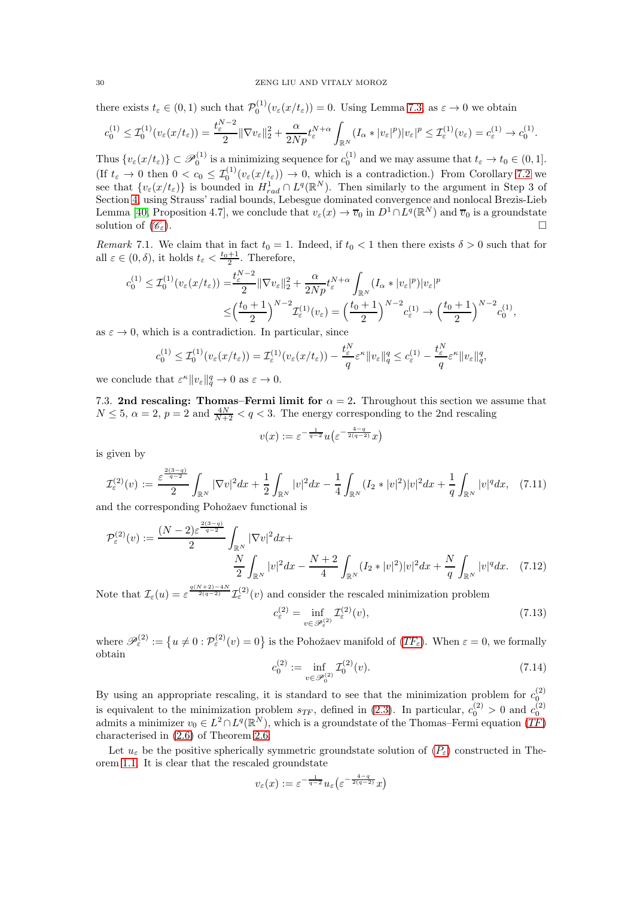there exists  $t_{\varepsilon} \in (0,1)$  such that  $\mathcal{P}_0^{(1)}(v_{\varepsilon}(x/t_{\varepsilon})) = 0$ . Using Lemma [7.3,](#page-28-0) as  $\varepsilon \to 0$  we obtain

$$
c_0^{(1)} \leq \mathcal{I}_0^{(1)}(v_{\varepsilon}(x/t_{\varepsilon})) = \frac{t_{\varepsilon}^{N-2}}{2} \|\nabla v_{\varepsilon}\|_2^2 + \frac{\alpha}{2Np} t_{\varepsilon}^{N+\alpha} \int_{\mathbb{R}^N} (I_{\alpha}*|v_{\varepsilon}|^p)|v_{\varepsilon}|^p \leq \mathcal{I}_{\varepsilon}^{(1)}(v_{\varepsilon}) = c_{\varepsilon}^{(1)} \to c_0^{(1)}.
$$

Thus  $\{v_{\varepsilon}(x/t_{\varepsilon})\} \subset \mathscr{P}_0^{(1)}$  is a minimizing sequence for  $c_0^{(1)}$  and we may assume that  $t_{\varepsilon} \to t_0 \in (0,1]$ . Thus  $\{v_{\varepsilon}(x/\varepsilon_{\varepsilon})\}\subset\mathcal{F}_0$  is a minimizing sequence for  $c_0$  and we may assume that  $\iota_{\varepsilon}\to\iota_0\in(0,1]$ .<br>(If  $t_{\varepsilon}\to 0$  then  $0 < c_0 \leq \mathcal{I}_0^{(1)}(v_{\varepsilon}(x/t_{\varepsilon})) \to 0$ , which is a contradiction.) From Co see that  $\{v_{\varepsilon}(x/t_{\varepsilon})\}$  is bounded in  $H_{rad}^1 \cap L^q(\mathbb{R}^N)$ . Then similarly to the argument in Step 3 of Section [4,](#page-12-0) using Strauss' radial bounds, Lebesgue dominated convergence and nonlocal Brezis-Lieb Lemma [\[40,](#page-46-21) Proposition 4.7], we conclude that  $v_{\varepsilon}(x) \to \overline{v}_0$  in  $D^1 \cap L^q(\mathbb{R}^N)$  and  $\overline{v}_0$  is a groundstate solution of  $(\mathscr{C}_{\varepsilon})$  $(\mathscr{C}_{\varepsilon})$  $(\mathscr{C}_{\varepsilon})$ .

*Remark* 7.1. We claim that in fact  $t_0 = 1$ . Indeed, if  $t_0 < 1$  then there exists  $\delta > 0$  such that for all  $\varepsilon \in (0, \delta)$ , it holds  $t_{\varepsilon} < \frac{t_0+1}{2}$ . Therefore,

$$
c_0^{(1)} \leq \mathcal{I}_0^{(1)}(v_\varepsilon(x/t_\varepsilon)) = \frac{t_\varepsilon^{N-2}}{2} \|\nabla v_\varepsilon\|_2^2 + \frac{\alpha}{2Np} t_\varepsilon^{N+\alpha} \int_{\mathbb{R}^N} (I_\alpha * |v_\varepsilon|^p) |v_\varepsilon|^p
$$
  

$$
\leq \left(\frac{t_0+1}{2}\right)^{N-2} \mathcal{I}_\varepsilon^{(1)}(v_\varepsilon) = \left(\frac{t_0+1}{2}\right)^{N-2} c_\varepsilon^{(1)} \to \left(\frac{t_0+1}{2}\right)^{N-2} c_0^{(1)},
$$

as  $\varepsilon \to 0$ , which is a contradiction. In particular, since

$$
c_0^{(1)} \leq \mathcal{I}_0^{(1)}(v_\varepsilon(x/t_\varepsilon)) = \mathcal{I}_\varepsilon^{(1)}(v_\varepsilon(x/t_\varepsilon)) - \frac{t_\varepsilon^N}{q} \varepsilon^\kappa \|v_\varepsilon\|_q^q \leq c_\varepsilon^{(1)} - \frac{t_\varepsilon^N}{q} \varepsilon^\kappa \|v_\varepsilon\|_q^q,
$$

<span id="page-29-0"></span>we conclude that  $\varepsilon^{\kappa} \|v_{\varepsilon}\|_q^q \to 0$  as  $\varepsilon \to 0$ .

7.3. 2nd rescaling: Thomas–Fermi limit for  $\alpha = 2$ . Throughout this section we assume that  $N \leq 5$ ,  $\alpha = 2$ ,  $p = 2$  and  $\frac{4N}{N+2} < q < 3$ . The energy corresponding to the 2nd rescaling

$$
v(x) := \varepsilon^{-\frac{1}{q-2}} u\left(\varepsilon^{-\frac{4-q}{2(q-2)}} x\right)
$$

is given by

$$
\mathcal{I}_{\varepsilon}^{(2)}(v) := \frac{\varepsilon^{\frac{2(3-q)}{q-2}}}{2} \int_{\mathbb{R}^N} |\nabla v|^2 dx + \frac{1}{2} \int_{\mathbb{R}^N} |v|^2 dx - \frac{1}{4} \int_{\mathbb{R}^N} (I_2 * |v|^2) |v|^2 dx + \frac{1}{q} \int_{\mathbb{R}^N} |v|^q dx, \tag{7.11}
$$

and the corresponding Pohožaev functional is

$$
\mathcal{P}_{\varepsilon}^{(2)}(v) := \frac{(N-2)\varepsilon^{\frac{2(3-q)}{q-2}}}{2} \int_{\mathbb{R}^N} |\nabla v|^2 dx + \frac{N}{2} \int_{\mathbb{R}^N} |v|^2 dx - \frac{N+2}{4} \int_{\mathbb{R}^N} (I_2 * |v|^2) |v|^2 dx + \frac{N}{q} \int_{\mathbb{R}^N} |v|^q dx. \tag{7.12}
$$

Note that  $\mathcal{I}_{\varepsilon}(u) = \varepsilon^{\frac{q(N+2)-4N}{2(q-2)}} \mathcal{I}_{\varepsilon}^{(2)}(v)$  and consider the rescaled minimization problem c

$$
\mathcal{L}^{(2)}_{\varepsilon} = \inf_{v \in \mathcal{P}^{(2)}_{\varepsilon}} \mathcal{I}^{(2)}_{\varepsilon}(v),\tag{7.13}
$$

where  $\mathscr{P}_{\varepsilon}^{(2)} := \{ u \neq 0 : \mathcal{P}_{\varepsilon}^{(2)}(v) = 0 \}$  is the Pohožaev manifold of  $(TF_{\varepsilon})$  $(TF_{\varepsilon})$  $(TF_{\varepsilon})$ . When  $\varepsilon = 0$ , we formally obtain

$$
c_0^{(2)} := \inf_{v \in \mathcal{P}_0^{(2)}} \mathcal{I}_0^{(2)}(v). \tag{7.14}
$$

By using an appropriate rescaling, it is standard to see that the minimization problem for  $c_0^{(2)}$ is equivalent to the minimization problem  $s_{TF}$  $s_{TF}$  $s_{TF}$ , defined in [\(2.3\)](#page-7-3). In particular,  $c_0^{(2)} > 0$  and  $c_0^{(2)}$  admits a minimizer  $v_0 \in L^2 \cap L^q(\mathbb{R}^N)$ , which is a groundstate of the Thomas–Fermi equation (TF) characterised in [\(2.6\)](#page-8-3) of Theorem [2.6.](#page-8-0)

Let  $u_{\varepsilon}$  be the positive spherically symmetric groundstate solution of  $(P_{\varepsilon})$  $(P_{\varepsilon})$  $(P_{\varepsilon})$  constructed in Theorem [1.1.](#page-2-0) It is clear that the rescaled groundstate

$$
v_{\varepsilon}(x) := \varepsilon^{-\frac{1}{q-2}} u_{\varepsilon}\left(\varepsilon^{-\frac{4-q}{2(q-2)}} x\right)
$$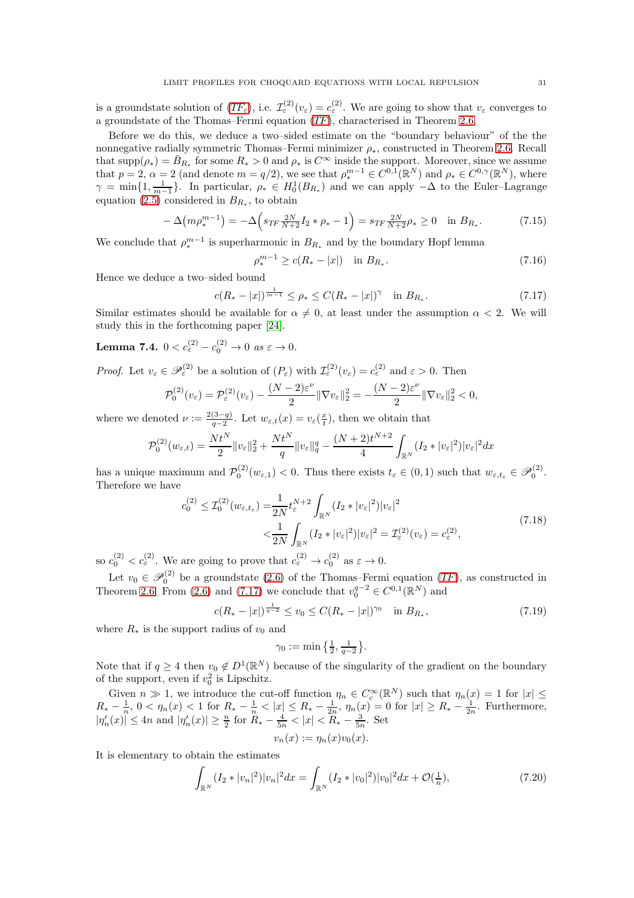is a groundstate solution of  $(TF_{\varepsilon})$  $(TF_{\varepsilon})$  $(TF_{\varepsilon})$ , i.e.  $\mathcal{I}_{\varepsilon}^{(2)}(v_{\varepsilon}) = c_{\varepsilon}^{(2)}$ . We are going to show that  $v_{\varepsilon}$  converges to a groundstate of the Thomas–Fermi equation ([TF](#page-3-2)), characterised in Theorem [2.6.](#page-8-0)

Before we do this, we deduce a two–sided estimate on the "boundary behaviour" of the the nonnegative radially symmetric Thomas–Fermi minimizer  $\rho_*$ , constructed in Theorem [2.6.](#page-8-0) Recall that  $\text{supp}(\rho_*) = \bar{B}_{R_*}$  for some  $R_* > 0$  and  $\rho_*$  is  $C^\infty$  inside the support. Moreover, since we assume that  $p = 2$ ,  $\alpha = 2$  (and denote  $m = q/2$ ), we see that  $\rho_*^{m-1} \in C^{0,1}(\mathbb{R}^N)$  and  $\rho_* \in C^{0,\gamma}(\mathbb{R}^N)$ , where  $\gamma = \min\{1, \frac{1}{m-1}\}.$  In particular,  $\rho_* \in H_0^1(B_{R_*})$  and we can apply  $-\Delta$  to the Euler–Lagrange equation [\(2.5\)](#page-8-2) considered in  $B_{R_*}$ , to obtain

$$
-\Delta\left(m\rho_*^{m-1}\right) = -\Delta\left(s_{TF}\frac{2N}{N+2}I_2*\rho_*-1\right) = s_{TF}\frac{2N}{N+2}\rho_* \ge 0 \quad \text{in } B_{R_*}.\tag{7.15}
$$

We conclude that  $\rho_*^{m-1}$  is superharmonic in  $B_{R_*}$  and by the boundary Hopf lemma

$$
\rho_*^{m-1} \ge c(R_* - |x|) \quad \text{in } B_{R_*}.\tag{7.16}
$$

Hence we deduce a two–sided bound

<span id="page-30-0"></span>
$$
c(R_* - |x|)^{\frac{1}{m-1}} \le \rho_* \le C(R_* - |x|)^\gamma \quad \text{in } B_{R_*}.\tag{7.17}
$$

Similar estimates should be available for  $\alpha \neq 0$ , at least under the assumption  $\alpha < 2$ . We will study this in the forthcoming paper [\[24\]](#page-45-14).

<span id="page-30-3"></span>Lemma 7.4.  $0 < c_{\varepsilon}^{(2)} - c_0^{(2)} \to 0 \text{ as } \varepsilon \to 0.$ 

*Proof.* Let  $v_{\varepsilon} \in \mathscr{P}_{\varepsilon}^{(2)}$  be a solution of  $(P_{\varepsilon})$  with  $\mathcal{I}_{\varepsilon}^{(2)}(v_{\varepsilon}) = c_{\varepsilon}^{(2)}$  and  $\varepsilon > 0$ . Then

$$
\mathcal{P}_0^{(2)}(v_{\varepsilon}) = \mathcal{P}_{\varepsilon}^{(2)}(v_{\varepsilon}) - \frac{(N-2)\varepsilon^{\nu}}{2} \|\nabla v_{\varepsilon}\|_2^2 = -\frac{(N-2)\varepsilon^{\nu}}{2} \|\nabla v_{\varepsilon}\|_2^2 < 0,
$$

where we denoted  $\nu := \frac{2(3-q)}{q-2}$  $\frac{(3-q)}{q-2}$ . Let  $w_{\varepsilon,t}(x) = v_{\varepsilon}(\frac{x}{t})$ , then we obtain that

$$
\mathcal{P}_0^{(2)}(w_{\varepsilon,t}) = \frac{N t^N}{2} \|v_{\varepsilon}\|_2^2 + \frac{N t^N}{q} \|v_{\varepsilon}\|_q^q - \frac{(N+2) t^{N+2}}{4} \int_{\mathbb{R}^N} (I_2 * |v_{\varepsilon}|^2) |v_{\varepsilon}|^2 dx
$$

has a unique maximum and  $\mathcal{P}_0^{(2)}(w_{\varepsilon,1}) < 0$ . Thus there exists  $t_{\varepsilon} \in (0,1)$  such that  $w_{\varepsilon,t_{\varepsilon}} \in \mathcal{P}_0^{(2)}$ . Therefore we have

$$
c_0^{(2)} \le \mathcal{I}_0^{(2)}(w_{\varepsilon, t_\varepsilon}) = \frac{1}{2N} t_\varepsilon^{N+2} \int_{\mathbb{R}^N} (I_2 * |v_\varepsilon|^2) |v_\varepsilon|^2
$$
  

$$
< \frac{1}{2N} \int_{\mathbb{R}^N} (I_2 * |v_\varepsilon|^2) |v_\varepsilon|^2 = \mathcal{I}_\varepsilon^{(2)}(v_\varepsilon) = c_\varepsilon^{(2)},
$$
\n(7.18)

so  $c_0^{(2)} < c_\varepsilon^{(2)}$ . We are going to prove that  $c_\varepsilon^{(2)} \to c_0^{(2)}$  as  $\varepsilon \to 0$ .

Let  $v_0 \in \mathcal{P}_0^{(2)}$  be a groundstate  $(2.6)$  of the Thomas–Fermi equation  $(TF)$  $(TF)$  $(TF)$ , as constructed in Theorem [2.6.](#page-8-0) From [\(2.6\)](#page-8-3) and [\(7.17\)](#page-30-0) we conclude that  $v_0^{q-2} \in C^{0,1}(\mathbb{R}^N)$  and

<span id="page-30-1"></span>
$$
c(R_* - |x|)^{\frac{1}{q-2}} \le v_0 \le C(R_* - |x|)^{\gamma_0} \quad \text{in } B_{R_*},
$$
\n
$$
(7.19)
$$

where  $R_*$  is the support radius of  $v_0$  and

$$
\gamma_0:=\min\big\{\tfrac{1}{2},\tfrac{1}{q-2}\big\}.
$$

Note that if  $q \ge 4$  then  $v_0 \notin D^1(\mathbb{R}^N)$  because of the singularity of the gradient on the boundary of the support, even if  $v_0^2$  is Lipschitz.

Given  $n \gg 1$ , we introduce the cut-off function  $\eta_n \in C_c^{\infty}(\mathbb{R}^N)$  such that  $\eta_n(x) = 1$  for  $|x| \le$  $R_* - \frac{1}{n}, 0 < \eta_n(x) < 1$  for  $R_* - \frac{1}{n} < |x| \le R_* - \frac{1}{2n}, \eta_n(x) = 0$  for  $|x| \ge R_* - \frac{1}{2n}$ . Furthermore,  $|\eta_n'(x)| \le 4n$  and  $|\eta_n'(x)| \ge \frac{n}{2}$  for  $R_* - \frac{4}{5n} < |x| < R_* - \frac{3}{5n}$ . Set  $v_n(x) := \eta_n(x)v_0(x).$ 

It is elementary to obtain the estimates

<span id="page-30-2"></span>
$$
\int_{\mathbb{R}^N} (I_2 * |v_n|^2) |v_n|^2 dx = \int_{\mathbb{R}^N} (I_2 * |v_0|^2) |v_0|^2 dx + \mathcal{O}(\frac{1}{n}),\tag{7.20}
$$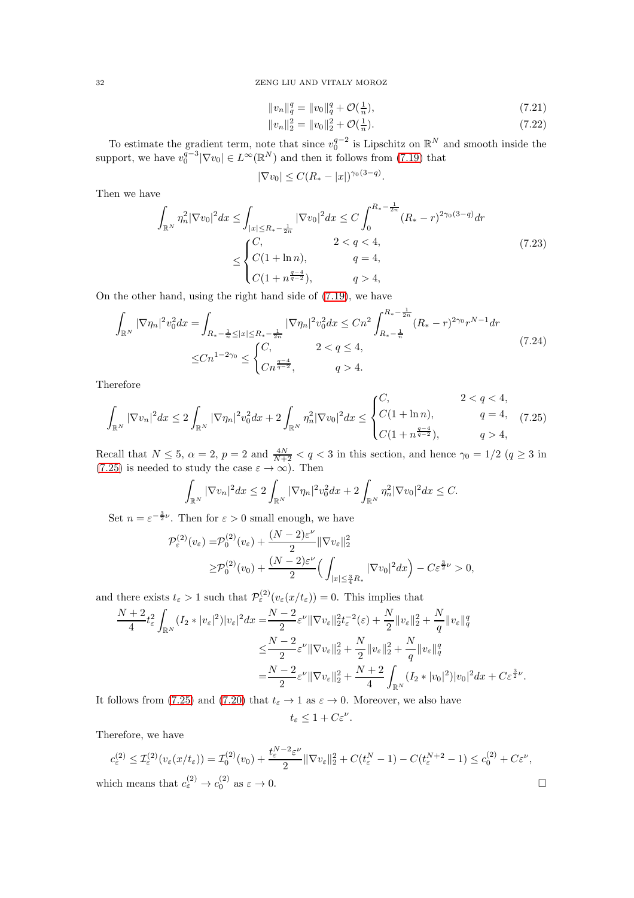$$
||v_n||_q^q = ||v_0||_q^q + \mathcal{O}(\frac{1}{n}),\tag{7.21}
$$

$$
||v_n||_2^2 = ||v_0||_2^2 + \mathcal{O}(\frac{1}{n}).\tag{7.22}
$$

To estimate the gradient term, note that since  $v_0^{q-2}$  is Lipschitz on  $\mathbb{R}^N$  and smooth inside the support, we have  $v_0^{q-3}|\nabla v_0| \in L^{\infty}(\mathbb{R}^N)$  and then it follows from [\(7.19\)](#page-30-1) that

$$
|\nabla v_0| \le C(R_* - |x|)^{\gamma_0(3-q)}.
$$

Then we have

$$
\int_{\mathbb{R}^N} \eta_n^2 |\nabla v_0|^2 dx \le \int_{|x| \le R_* - \frac{1}{2n}} |\nabla v_0|^2 dx \le C \int_0^{R_* - \frac{1}{2n}} (R_* - r)^{2\gamma_0(3-q)} dr
$$
\n
$$
\le \begin{cases}\nC, & 2 < q < 4, \\
C(1 + \ln n), & q = 4, \\
C(1 + n^{\frac{q-4}{q-2}}), & q > 4,\n\end{cases} (7.23)
$$

On the other hand, using the right hand side of [\(7.19\)](#page-30-1), we have

$$
\int_{\mathbb{R}^N} |\nabla \eta_n|^2 v_0^2 dx = \int_{R_* - \frac{1}{n} \le |x| \le R_* - \frac{1}{2n}} |\nabla \eta_n|^2 v_0^2 dx \le Cn^2 \int_{R_* - \frac{1}{n}}^{R_* - \frac{1}{2n}} (R_* - r)^{2\gamma_0} r^{N-1} dr
$$
\n
$$
\le Cn^{1-2\gamma_0} \le \begin{cases} C, & 2 < q \le 4, \\ Cn^{\frac{q-4}{q-2}}, & q > 4. \end{cases} \tag{7.24}
$$

Therefore

<span id="page-31-0"></span>
$$
\int_{\mathbb{R}^N} |\nabla v_n|^2 dx \le 2 \int_{\mathbb{R}^N} |\nabla \eta_n|^2 v_0^2 dx + 2 \int_{\mathbb{R}^N} \eta_n^2 |\nabla v_0|^2 dx \le \begin{cases} C, & 2 < q < 4, \\ C(1 + \ln n), & q = 4, \\ C(1 + n^{\frac{q-4}{q-2}}), & q > 4, \end{cases}
$$
(7.25)

Recall that  $N \le 5$ ,  $\alpha = 2$ ,  $p = 2$  and  $\frac{4N}{N+2} < q < 3$  in this section, and hence  $\gamma_0 = 1/2$   $(q \ge 3$  in [\(7.25\)](#page-31-0) is needed to study the case  $\varepsilon \to \infty$ ). Then

$$
\int_{\mathbb{R}^N} |\nabla v_n|^2 dx \le 2 \int_{\mathbb{R}^N} |\nabla \eta_n|^2 v_0^2 dx + 2 \int_{\mathbb{R}^N} \eta_n^2 |\nabla v_0|^2 dx \le C.
$$

Set  $n = \varepsilon^{-\frac{3}{2}\nu}$ . Then for  $\varepsilon > 0$  small enough, we have

$$
\mathcal{P}_{\varepsilon}^{(2)}(v_{\varepsilon}) = \mathcal{P}_{0}^{(2)}(v_{\varepsilon}) + \frac{(N-2)\varepsilon^{\nu}}{2} \|\nabla v_{\varepsilon}\|_{2}^{2}
$$
  
\n
$$
\geq \mathcal{P}_{0}^{(2)}(v_{0}) + \frac{(N-2)\varepsilon^{\nu}}{2} \Big(\int_{|x| \leq \frac{3}{4}R_{*}} |\nabla v_{0}|^{2} dx\Big) - C\varepsilon^{\frac{3}{2}\nu} > 0,
$$

and there exists  $t_{\varepsilon} > 1$  such that  $\mathcal{P}_{\varepsilon}^{(2)}(v_{\varepsilon}(x/t_{\varepsilon})) = 0$ . This implies that

$$
\frac{N+2}{4}t_{\varepsilon}^{2}\int_{\mathbb{R}^{N}}(I_{2}*|v_{\varepsilon}|^{2})|v_{\varepsilon}|^{2}dx = \frac{N-2}{2}\varepsilon^{\nu}\|\nabla v_{\varepsilon}\|_{2}^{2}t_{\varepsilon}^{-2}(\varepsilon)+\frac{N}{2}\|v_{\varepsilon}\|_{2}^{2}+\frac{N}{q}\|v_{\varepsilon}\|_{q}^{q}
$$
  

$$
\leq \frac{N-2}{2}\varepsilon^{\nu}\|\nabla v_{\varepsilon}\|_{2}^{2}+\frac{N}{2}\|v_{\varepsilon}\|_{2}^{2}+\frac{N}{q}\|v_{\varepsilon}\|_{q}^{q}
$$
  

$$
=\frac{N-2}{2}\varepsilon^{\nu}\|\nabla v_{\varepsilon}\|_{2}^{2}+\frac{N+2}{4}\int_{\mathbb{R}^{N}}(I_{2}*|v_{0}|^{2})|v_{0}|^{2}dx+C\varepsilon^{\frac{3}{2}\nu}.
$$

It follows from [\(7.25\)](#page-31-0) and [\(7.20\)](#page-30-2) that  $t_{\varepsilon} \to 1$  as  $\varepsilon \to 0$ . Moreover, we also have

$$
t_{\varepsilon} \leq 1 + C \varepsilon^{\nu}.
$$

Therefore, we have

$$
c_{\varepsilon}^{(2)} \leq \mathcal{I}_{\varepsilon}^{(2)}(v_{\varepsilon}(x/t_{\varepsilon})) = \mathcal{I}_{0}^{(2)}(v_{0}) + \frac{t_{\varepsilon}^{N-2}\varepsilon^{\nu}}{2} \|\nabla v_{\varepsilon}\|_{2}^{2} + C(t_{\varepsilon}^{N}-1) - C(t_{\varepsilon}^{N+2}-1) \leq c_{0}^{(2)} + C\varepsilon^{\nu},
$$
  
which means that  $c_{\varepsilon}^{(2)} \to c_{0}^{(2)}$  as  $\varepsilon \to 0$ .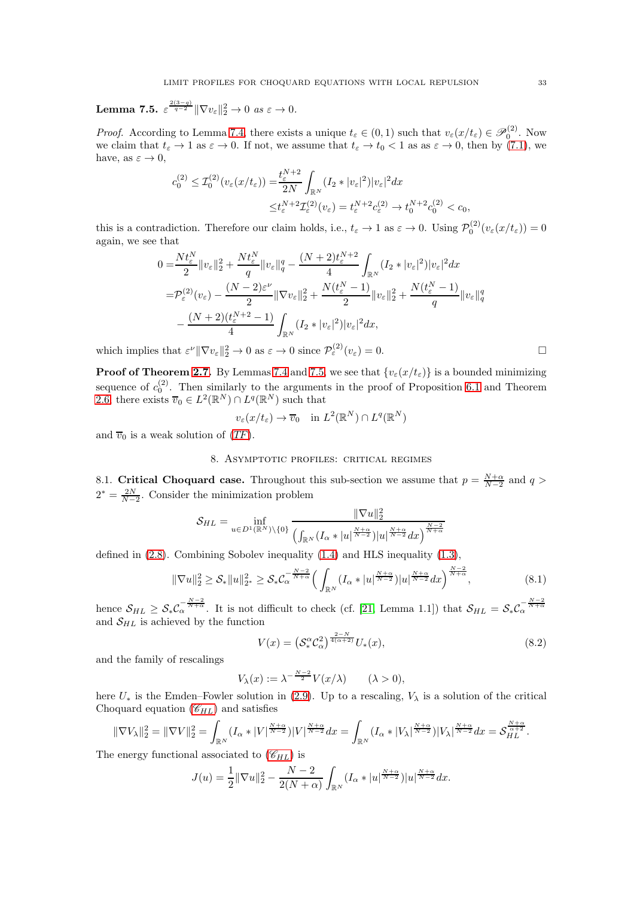<span id="page-32-1"></span>Lemma 7.5.  $\varepsilon^{\frac{2(3-q)}{q-2}}\|\nabla v_{\varepsilon}\|_2^2 \to 0$  *as*  $\varepsilon \to 0$ .

*Proof.* According to Lemma [7.4,](#page-30-3) there exists a unique  $t_{\varepsilon} \in (0,1)$  such that  $v_{\varepsilon}(x/t_{\varepsilon}) \in \mathscr{P}_0^{(2)}$ . Now we claim that  $t_{\varepsilon} \to 1$  as  $\varepsilon \to 0$ . If not, we assume that  $t_{\varepsilon} \to t_0 < 1$  as as  $\varepsilon \to 0$ , then by [\(7.1\)](#page-25-1), we have, as  $\varepsilon \to 0$ ,

$$
c_0^{(2)} \leq \mathcal{I}_0^{(2)}(v_\varepsilon(x/t_\varepsilon)) = \frac{t_\varepsilon^{N+2}}{2N} \int_{\mathbb{R}^N} (I_2 * |v_\varepsilon|^2) |v_\varepsilon|^2 dx
$$
  

$$
\leq t_\varepsilon^{N+2} \mathcal{I}_\varepsilon^{(2)}(v_\varepsilon) = t_\varepsilon^{N+2} c_\varepsilon^{(2)} \to t_0^{N+2} c_0^{(2)} < c_0,
$$

this is a contradiction. Therefore our claim holds, i.e.,  $t_{\varepsilon} \to 1$  as  $\varepsilon \to 0$ . Using  $\mathcal{P}_0^{(2)}(v_{\varepsilon}(x/t_{\varepsilon})) = 0$ again, we see that

$$
0 = \frac{Nt_{\varepsilon}^{N}}{2} \|v_{\varepsilon}\|_{2}^{2} + \frac{Nt_{\varepsilon}^{N}}{q} \|v_{\varepsilon}\|_{q}^{q} - \frac{(N+2)t_{\varepsilon}^{N+2}}{4} \int_{\mathbb{R}^{N}} (I_{2} * |v_{\varepsilon}|^{2}) |v_{\varepsilon}|^{2} dx
$$
  
\n
$$
= \mathcal{P}_{\varepsilon}^{(2)}(v_{\varepsilon}) - \frac{(N-2)\varepsilon^{\nu}}{2} \| \nabla v_{\varepsilon} \|_{2}^{2} + \frac{N(t_{\varepsilon}^{N}-1)}{2} \|v_{\varepsilon}\|_{2}^{2} + \frac{N(t_{\varepsilon}^{N}-1)}{q} \|v_{\varepsilon}\|_{q}^{q}
$$
  
\n
$$
- \frac{(N+2)(t_{\varepsilon}^{N+2}-1)}{4} \int_{\mathbb{R}^{N}} (I_{2} * |v_{\varepsilon}|^{2}) |v_{\varepsilon}|^{2} dx,
$$

which implies that  $\varepsilon^{\nu} \|\nabla v_{\varepsilon}\|_{2}^{2} \to 0$  as  $\varepsilon \to 0$  since  $\mathcal{P}_{\varepsilon}^{(2)}(v_{\varepsilon}) = 0$ .

**Proof of Theorem [2.7.](#page-8-1)** By Lemmas [7.4](#page-30-3) and [7.5,](#page-32-1) we see that  $\{v_{\varepsilon}(x/t_{\varepsilon})\}$  is a bounded minimizing sequence of  $c_0^{(2)}$ . Then similarly to the arguments in the proof of Proposition [6.1](#page-22-4) and Theorem [2.6,](#page-8-0) there exists  $\overline{v}_0 \in L^2(\mathbb{R}^N) \cap L^q(\mathbb{R}^N)$  such that

$$
v_{\varepsilon}(x/t_{\varepsilon}) \to \overline{v}_0 \quad \text{in } L^2(\mathbb{R}^N) \cap L^q(\mathbb{R}^N)
$$

<span id="page-32-0"></span>and  $\overline{v}_0$  is a weak solution of  $(TF)$  $(TF)$  $(TF)$ .

### 8. Asymptotic profiles: critical regimes

8.1. Critical Choquard case. Throughout this sub-section we assume that  $p = \frac{N+\alpha}{N-2}$  and  $q >$  $2^* = \frac{2N}{N-2}$ . Consider the minimization problem

$$
\mathcal{S}_{HL} = \inf_{u \in D^1(\mathbb{R}^N)\setminus\{0\}} \frac{\|\nabla u\|_2^2}{\left(\int_{\mathbb{R}^N} (I_\alpha * |u|^{\frac{N+\alpha}{N-2}}) |u|^{\frac{N+\alpha}{N-2}} dx\right)^{\frac{N-2}{N+\alpha}}}
$$

defined in [\(2.8\)](#page-9-2). Combining Sobolev inequality [\(1.4\)](#page-2-1) and HLS inequality [\(1.3\)](#page-2-2),

$$
\|\nabla u\|_{2}^{2} \geq \mathcal{S}_{*} \|u\|_{2^{*}}^{2} \geq \mathcal{S}_{*} C_{\alpha}^{-\frac{N-2}{N+\alpha}} \Big( \int_{\mathbb{R}^{N}} (I_{\alpha}*|u|^{\frac{N+\alpha}{N-2}}) |u|^{\frac{N+\alpha}{N-2}} dx \Big)^{\frac{N-2}{N+\alpha}}, \tag{8.1}
$$

hence  $S_{HL} \geq S_* C_{\alpha}^{-\frac{N-2}{N+\alpha}}$ . It is not difficult to check (cf. [\[21,](#page-45-20) Lemma 1.1]) that  $S_{HL} = S_* C_{\alpha}^{-\frac{N-2}{N+\alpha}}$ and  $S_{HL}$  is achieved by the function

$$
V(x) = \left(S_*^{\alpha} \mathcal{C}_{\alpha}^2\right)^{\frac{2-N}{4(\alpha+2)}} U_*(x),\tag{8.2}
$$

and the family of rescalings

$$
V_{\lambda}(x) := \lambda^{-\frac{N-2}{2}} V(x/\lambda) \qquad (\lambda > 0),
$$

here  $U_*$  is the Emden–Fowler solution in [\(2.9\)](#page-9-1). Up to a rescaling,  $V_\lambda$  is a solution of the critical Choquard equation  $(\mathscr{C}_{HL})$  $(\mathscr{C}_{HL})$  $(\mathscr{C}_{HL})$  and satisfies

$$
\|\nabla V_{\lambda}\|_2^2 = \|\nabla V\|_2^2 = \int_{\mathbb{R}^N} (I_{\alpha}*|V|^{\frac{N+\alpha}{N-2}})|V|^{\frac{N+\alpha}{N-2}} dx = \int_{\mathbb{R}^N} (I_{\alpha}*|V_{\lambda}|^{\frac{N+\alpha}{N-2}})|V_{\lambda}|^{\frac{N+\alpha}{N-2}} dx = \mathcal{S}_{HL}^{\frac{N+\alpha}{\alpha+2}}.
$$

The energy functional associated to  $(\mathscr{C}_{HL})$  $(\mathscr{C}_{HL})$  $(\mathscr{C}_{HL})$  is

$$
J(u) = \frac{1}{2} \|\nabla u\|_2^2 - \frac{N-2}{2(N+\alpha)} \int_{\mathbb{R}^N} (I_\alpha * |u|^{\frac{N+\alpha}{N-2}}) |u|^{\frac{N+\alpha}{N-2}} dx.
$$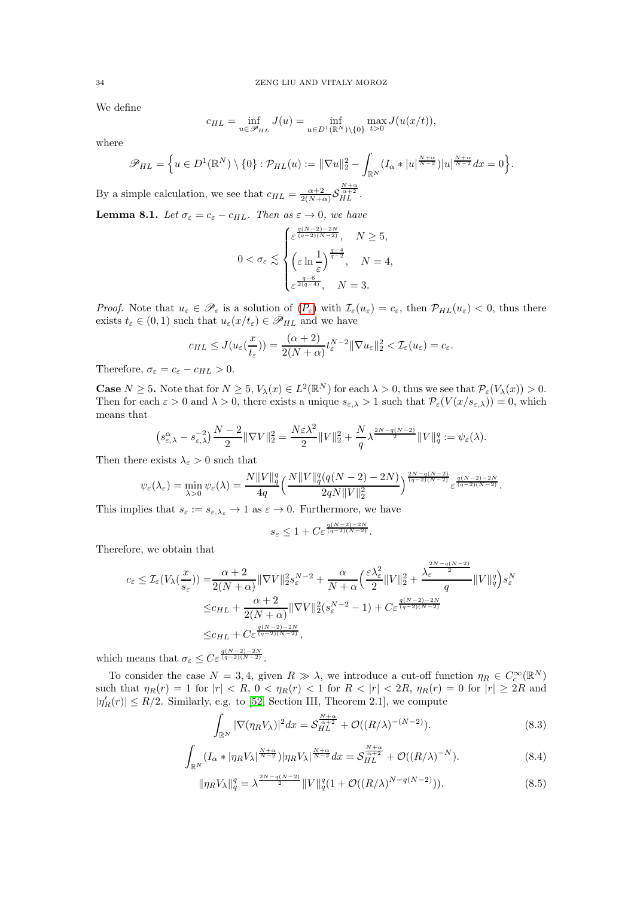We define

$$
c_{HL} = \inf_{u \in \mathscr{P}_{HL}} J(u) = \inf_{u \in D^{1}(\mathbb{R}^{N}) \setminus \{0\}} \max_{t > 0} J(u(x/t)),
$$

where

$$
\mathscr{P}_{HL} = \Big\{ u \in D^1(\mathbb{R}^N) \setminus \{0\} : \mathcal{P}_{HL}(u) := \|\nabla u\|_2^2 - \int_{\mathbb{R}^N} (I_\alpha * |u|^{\frac{N+\alpha}{N-2}}) |u|^{\frac{N+\alpha}{N-2}} dx = 0 \Big\}.
$$

By a simple calculation, we see that  $c_{HL} = \frac{\alpha+2}{2(N+\alpha)} \mathcal{S}$  $\frac{N+\alpha}{\alpha+2}$ .

<span id="page-33-2"></span>**Lemma 8.1.** *Let*  $\sigma_{\varepsilon} = c_{\varepsilon} - c_{HL}$ *. Then as*  $\varepsilon \to 0$ *, we have* 

$$
0 < \sigma_{\varepsilon} \lesssim \begin{cases} \varepsilon^{\frac{q(N-2)-2N}{(q-2)(N-2)}}, & N \ge 5, \\ \varepsilon \ln \frac{1}{\varepsilon} \end{cases}
$$
\n
$$
0 < \sigma_{\varepsilon} \lesssim \begin{cases} \varepsilon \ln \frac{1}{\varepsilon} \end{cases}, & N = 4, \\ \varepsilon^{\frac{q-6}{2(q-4)}}, & N = 3. \end{cases}
$$

*[P](#page-1-1)roof.* Note that  $u_{\varepsilon} \in \mathscr{P}_{\varepsilon}$  is a solution of  $(P_{\varepsilon})$  with  $\mathcal{I}_{\varepsilon}(u_{\varepsilon}) = c_{\varepsilon}$ , then  $\mathcal{P}_{HL}(u_{\varepsilon}) < 0$ , thus there exists  $t_{\varepsilon} \in (0,1)$  such that  $u_{\varepsilon}(x/t_{\varepsilon}) \in \mathscr{P}_{HL}$  and we have

$$
c_{HL} \leq J(u_{\varepsilon}(\frac{x}{t_{\varepsilon}})) = \frac{(\alpha+2)}{2(N+\alpha)} t_{\varepsilon}^{N-2} \|\nabla u_{\varepsilon}\|_2^2 < \mathcal{I}_{\varepsilon}(u_{\varepsilon}) = c_{\varepsilon}.
$$

Therefore,  $\sigma_{\varepsilon} = c_{\varepsilon} - c_{HL} > 0$ .

**Case**  $N \ge 5$ . Note that for  $N \ge 5$ ,  $V_{\lambda}(x) \in L^{2}(\mathbb{R}^{N})$  for each  $\lambda > 0$ , thus we see that  $\mathcal{P}_{\varepsilon}(V_{\lambda}(x)) > 0$ . Then for each  $\varepsilon > 0$  and  $\lambda > 0$ , there exists a unique  $s_{\varepsilon,\lambda} > 1$  such that  $\mathcal{P}_{\varepsilon}(V(x/s_{\varepsilon,\lambda})) = 0$ , which means that

$$
\left(s_{\varepsilon,\lambda}^{\alpha} - s_{\varepsilon,\lambda}^{-2}\right) \frac{N-2}{2} \|\nabla V\|_2^2 = \frac{N\varepsilon\lambda^2}{2} \|V\|_2^2 + \frac{N}{q} \lambda^{\frac{2N-q(N-2)}{2}} \|V\|_q^q := \psi_{\varepsilon}(\lambda).
$$

Then there exists  $\lambda_{\varepsilon} > 0$  such that

$$
\psi_{\varepsilon}(\lambda_{\varepsilon}) = \min_{\lambda>0} \psi_{\varepsilon}(\lambda) = \frac{N||V||_q^q}{4q} \left(\frac{N||V||_q^q(q(N-2)-2N)}{2qN||V||_2^2}\right)^{\frac{2N-q(N-2)}{(q-2)(N-2)}} \varepsilon^{\frac{q(N-2)-2N}{(q-2)(N-2)}}.
$$

This implies that  $s_{\varepsilon} := s_{\varepsilon, \lambda_{\varepsilon}} \to 1$  as  $\varepsilon \to 0$ . Furthermore, we have

$$
s_{\varepsilon} \le 1 + C \varepsilon^{\frac{q(N-2)-2N}{(q-2)(N-2)}}.
$$

Therefore, we obtain that

$$
c_{\varepsilon} \leq \mathcal{I}_{\varepsilon}(V_{\lambda}(\frac{x}{s_{\varepsilon}})) = \frac{\alpha+2}{2(N+\alpha)} \|\nabla V\|_{2}^{2} s_{\varepsilon}^{N-2} + \frac{\alpha}{N+\alpha} \left(\frac{\varepsilon \lambda_{\varepsilon}^{2}}{2} \|V\|_{2}^{2} + \frac{\lambda_{\varepsilon}^{\frac{2N-q(N-2)}{2}}}{q} \|V\|_{q}^{q}\right) s_{\varepsilon}^{N}
$$
  

$$
\leq c_{HL} + \frac{\alpha+2}{2(N+\alpha)} \|\nabla V\|_{2}^{2} (s_{\varepsilon}^{N-2} - 1) + C_{\varepsilon} \frac{q(N-2)-2N}{(q-2)(N-2)}
$$
  

$$
\leq c_{HL} + C_{\varepsilon} \frac{q(N-2)-2N}{(q-2)(N-2)},
$$

which means that  $\sigma_{\varepsilon} \leq C \varepsilon^{\frac{q(N-2)-2N}{(q-2)(N-2)}}$ .

To consider the case  $N = 3, 4$ , given  $R \gg \lambda$ , we introduce a cut-off function  $\eta_R \in C_c^{\infty}(\mathbb{R}^N)$ such that  $\eta_R(r) = 1$  for  $|r| < R$ ,  $0 < \eta_R(r) < 1$  for  $R < |r| < 2R$ ,  $\eta_R(r) = 0$  for  $|r| \geq 2R$  and  $|\eta'_{R}(r)| \leq R/2$ . Similarly, e.g. to [\[52,](#page-46-22) Section III, Theorem 2.1], we compute

$$
\int_{\mathbb{R}^N} |\nabla (\eta_R V_\lambda)|^2 dx = \mathcal{S}_{HL}^{\frac{N+\alpha}{\alpha+2}} + \mathcal{O}((R/\lambda)^{-(N-2)}).
$$
\n(8.3)

<span id="page-33-0"></span>
$$
\int_{\mathbb{R}^N} (I_\alpha * |\eta_R V_\lambda|^{\frac{N+\alpha}{N-2}}) |\eta_R V_\lambda|^{\frac{N+\alpha}{N-2}} dx = \mathcal{S}_{HL}^{\frac{N+\alpha}{\alpha+2}} + \mathcal{O}((R/\lambda)^{-N}). \tag{8.4}
$$

<span id="page-33-1"></span>
$$
\|\eta_R V_\lambda\|_q^q = \lambda^{\frac{2N-q(N-2)}{2}} \|V\|_q^q (1 + \mathcal{O}((R/\lambda)^{N-q(N-2)})).
$$
\n(8.5)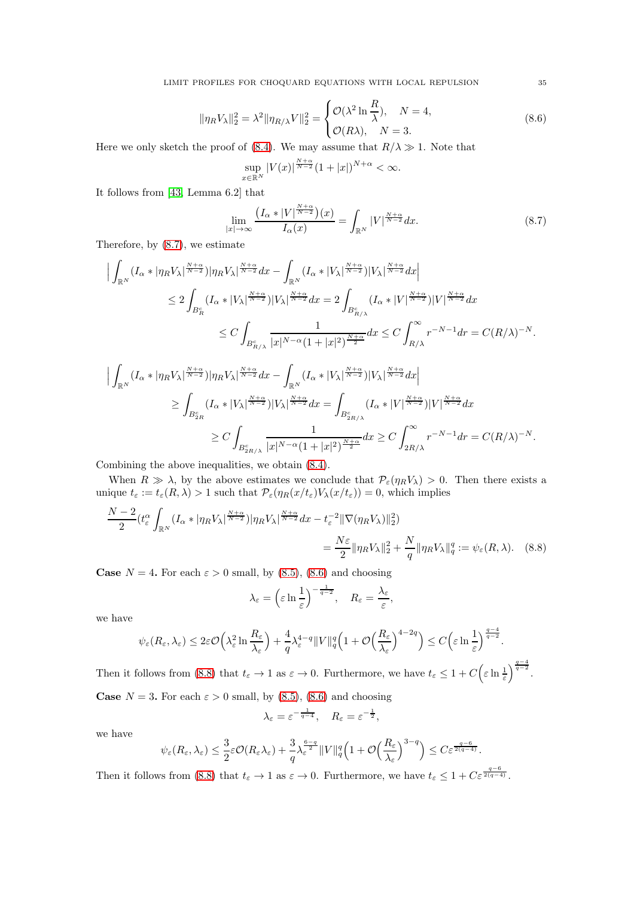LIMIT PROFILES FOR CHOQUARD EQUATIONS WITH LOCAL REPULSION 35

<span id="page-34-1"></span>
$$
\|\eta_R V_\lambda\|_2^2 = \lambda^2 \|\eta_{R/\lambda} V\|_2^2 = \begin{cases} \mathcal{O}(\lambda^2 \ln \frac{R}{\lambda}), & N = 4, \\ \mathcal{O}(R\lambda), & N = 3. \end{cases}
$$
\n
$$
(8.6)
$$

Here we only sketch the proof of [\(8.4\)](#page-33-0). We may assume that  $R/\lambda \gg 1$ . Note that

$$
\sup_{x \in \mathbb{R}^N} |V(x)|^{\frac{N+\alpha}{N-2}} (1+|x|)^{N+\alpha} < \infty.
$$

It follows from [\[43,](#page-46-11) Lemma 6.2] that

<span id="page-34-0"></span>
$$
\lim_{|x| \to \infty} \frac{\left(I_{\alpha} * |V|^{\frac{N+\alpha}{N-2}}\right)(x)}{I_{\alpha}(x)} = \int_{\mathbb{R}^N} |V|^{\frac{N+\alpha}{N-2}} dx. \tag{8.7}
$$

Therefore, by [\(8.7\)](#page-34-0), we estimate

$$
\begin{split} \Big|\int_{\mathbb{R}^N}(I_\alpha*|\eta_RV_\lambda|^{\frac{N+\alpha}{N-2}})|\eta_RV_\lambda|^{\frac{N+\alpha}{N-2}}dx-\int_{\mathbb{R}^N}(I_\alpha*|V_\lambda|^{\frac{N+\alpha}{N-2}})|V_\lambda|^{\frac{N+\alpha}{N-2}}dx\\ &\leq 2\int_{B_R^c}(I_\alpha*|V_\lambda|^{\frac{N+\alpha}{N-2}})|V_\lambda|^{\frac{N+\alpha}{N-2}}dx=2\int_{B_{R/\lambda}^c}(I_\alpha*|V|^{\frac{N+\alpha}{N-2}})|V|^{\frac{N+\alpha}{N-2}}dx\\ &\leq C\int_{B_{R/\lambda}^c}\frac{1}{|x|^{N-\alpha}(1+|x|^2)^{\frac{N+\alpha}{2}}}dx\leq C\int_{R/\lambda}^\infty r^{-N-1}dr=C(R/\lambda)^{-N}. \end{split}
$$

$$
\Big| \int_{\mathbb{R}^N} (I_\alpha * |\eta_R V_\lambda|^{\frac{N+\alpha}{N-2}}) |\eta_R V_\lambda|^{\frac{N+\alpha}{N-2}} dx - \int_{\mathbb{R}^N} (I_\alpha * |V_\lambda|^{\frac{N+\alpha}{N-2}}) |V_\lambda|^{\frac{N+\alpha}{N-2}} dx \Big|
$$
  
\n
$$
\geq \int_{B_{2R}^c} (I_\alpha * |V_\lambda|^{\frac{N+\alpha}{N-2}}) |V_\lambda|^{\frac{N+\alpha}{N-2}} dx = \int_{B_{2R/\lambda}^c} (I_\alpha * |V|^{\frac{N+\alpha}{N-2}}) |V|^{\frac{N+\alpha}{N-2}} dx
$$
  
\n
$$
\geq C \int_{B_{2R/\lambda}^c} \frac{1}{|x|^{N-\alpha} (1+|x|^2)^{\frac{N+\alpha}{2}}} dx \geq C \int_{2R/\lambda}^{\infty} r^{-N-1} dr = C(R/\lambda)^{-N}.
$$

Combining the above inequalities, we obtain [\(8.4\)](#page-33-0).

When  $R \gg \lambda$ , by the above estimates we conclude that  $\mathcal{P}_{\varepsilon}(\eta_R V_\lambda) > 0$ . Then there exists a unique  $t_{\varepsilon} := t_{\varepsilon}(R, \lambda) > 1$  such that  $\mathcal{P}_{\varepsilon}(\eta_R(x/t_{\varepsilon})) \sqrt{\chi(x/t_{\varepsilon})} = 0$ , which implies

$$
\frac{N-2}{2}(t_{\varepsilon}^{\alpha}\int_{\mathbb{R}^N}(I_{\alpha}*|\eta_R V_{\lambda}|^{\frac{N+\alpha}{N-2}})|\eta_R V_{\lambda}|^{\frac{N+\alpha}{N-2}}dx - t_{\varepsilon}^{-2} \|\nabla(\eta_R V_{\lambda})\|_2^2)
$$
  
= 
$$
\frac{N\varepsilon}{2} \|\eta_R V_{\lambda}\|_2^2 + \frac{N}{q} \|\eta_R V_{\lambda}\|_q^q := \psi_{\varepsilon}(R, \lambda).
$$
 (8.8)

**Case**  $N = 4$ . For each  $\varepsilon > 0$  small, by [\(8.5\)](#page-33-1), [\(8.6\)](#page-34-1) and choosing

<span id="page-34-2"></span>
$$
\lambda_{\varepsilon} = \left(\varepsilon \ln \frac{1}{\varepsilon}\right)^{-\frac{1}{q-2}}, \quad R_{\varepsilon} = \frac{\lambda_{\varepsilon}}{\varepsilon},
$$

we have

$$
\psi_{\varepsilon}(R_{\varepsilon},\lambda_{\varepsilon}) \leq 2\varepsilon \mathcal{O}\Big(\lambda_{\varepsilon}^2 \ln \frac{R_{\varepsilon}}{\lambda_{\varepsilon}}\Big) + \frac{4}{q}\lambda_{\varepsilon}^{4-q} \|V\|_{q}^{q}\Big(1+\mathcal{O}\Big(\frac{R_{\varepsilon}}{\lambda_{\varepsilon}}\Big)^{4-2q}\Big) \leq C\Big(\varepsilon \ln \frac{1}{\varepsilon}\Big)^{\frac{q-4}{q-2}}.
$$

Then it follows from [\(8.8\)](#page-34-2) that  $t_{\varepsilon} \to 1$  as  $\varepsilon \to 0$ . Furthermore, we have  $t_{\varepsilon} \leq 1 + C \Big( \varepsilon \ln \frac{1}{\varepsilon} \Big)$  $\bigg)^{\frac{q-4}{q-2}}.$ **Case**  $N = 3$ . For each  $\varepsilon > 0$  small, by [\(8.5\)](#page-33-1), [\(8.6\)](#page-34-1) and choosing

$$
\lambda_{\varepsilon} = \varepsilon^{-\frac{1}{q-4}}, \quad R_{\varepsilon} = \varepsilon^{-\frac{1}{2}},
$$

we have

$$
\psi_{\varepsilon}(R_{\varepsilon},\lambda_{\varepsilon}) \leq \frac{3}{2}\varepsilon \mathcal{O}(R_{\varepsilon}\lambda_{\varepsilon}) + \frac{3}{q}\lambda_{\varepsilon}^{\frac{6-q}{2}}\|V\|_{q}^{q}\Big(1+\mathcal{O}\Big(\frac{R_{\varepsilon}}{\lambda_{\varepsilon}}\Big)^{3-q}\Big) \leq C \varepsilon^{\frac{q-6}{2(q-4)}}.
$$

Then it follows from [\(8.8\)](#page-34-2) that  $t_{\varepsilon} \to 1$  as  $\varepsilon \to 0$ . Furthermore, we have  $t_{\varepsilon} \leq 1 + C \varepsilon^{\frac{q-6}{2(q-4)}}$ .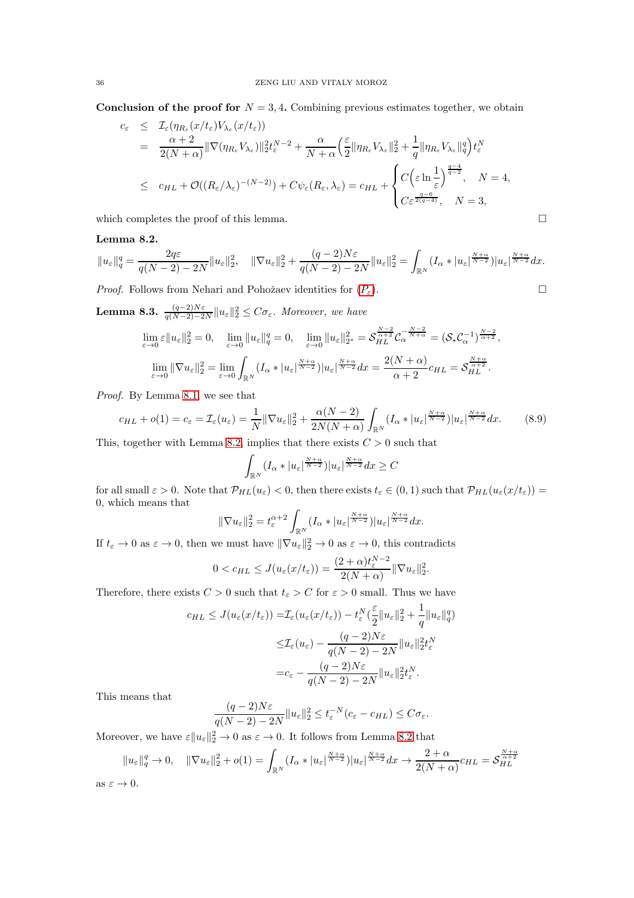Conclusion of the proof for  $N = 3, 4$ . Combining previous estimates together, we obtain

$$
c_{\varepsilon} \leq \mathcal{I}_{\varepsilon}(\eta_{R_{\varepsilon}}(x/t_{\varepsilon})V_{\lambda_{\varepsilon}}(x/t_{\varepsilon}))
$$
  
\n
$$
= \frac{\alpha+2}{2(N+\alpha)} \|\nabla(\eta_{R_{\varepsilon}}V_{\lambda_{\varepsilon}})\|_{2}^{2}t_{\varepsilon}^{N-2} + \frac{\alpha}{N+\alpha} \left(\frac{\varepsilon}{2} \|\eta_{R_{\varepsilon}}V_{\lambda_{\varepsilon}}\|_{2}^{2} + \frac{1}{q} \|\eta_{R_{\varepsilon}}V_{\lambda_{\varepsilon}}\|_{q}^{q}\right)t_{\varepsilon}^{N}
$$
  
\n
$$
\leq c_{HL} + \mathcal{O}((R_{\varepsilon}/\lambda_{\varepsilon})^{-(N-2)}) + C\psi_{\varepsilon}(R_{\varepsilon},\lambda_{\varepsilon}) = c_{HL} + \begin{cases} C\left(\varepsilon \ln \frac{1}{\varepsilon}\right)^{\frac{q-4}{q-2}}, & N = 4, \\ C\varepsilon^{\frac{q-6}{2(q-4)}}, & N = 3, \end{cases}
$$

which completes the proof of this lemma.  $\Box$ 

# <span id="page-35-0"></span>Lemma 8.2.

$$
||u_{\varepsilon}||_{q}^{q} = \frac{2q\varepsilon}{q(N-2) - 2N} ||u_{\varepsilon}||_{2}^{2}, \quad ||\nabla u_{\varepsilon}||_{2}^{2} + \frac{(q-2)N\varepsilon}{q(N-2) - 2N} ||u_{\varepsilon}||_{2}^{2} = \int_{\mathbb{R}^{N}} (I_{\alpha} * |u_{\varepsilon}|^{\frac{N+\alpha}{N-2}}) |u_{\varepsilon}|^{\frac{N+\alpha}{N-2}} dx.
$$

*[P](#page-1-1)roof.* Follows from Nehari and Pohožaev identities for  $(P_{\varepsilon})$ .

<span id="page-35-1"></span>**Lemma 8.3.**  $\frac{(q-2)N\varepsilon}{q(N-2)-2N}||u_{\varepsilon}||_2^2 \leq C\sigma_{\varepsilon}$ . Moreover, we have

$$
\lim_{\varepsilon \to 0} \varepsilon \|u_{\varepsilon}\|_{2}^{2} = 0, \quad \lim_{\varepsilon \to 0} \|u_{\varepsilon}\|_{q}^{q} = 0, \quad \lim_{\varepsilon \to 0} \|u_{\varepsilon}\|_{2^{*}}^{2} = \mathcal{S}_{HL}^{\frac{N-2}{\alpha+2}} \mathcal{C}_{\alpha}^{-\frac{N-2}{N+\alpha}} = (\mathcal{S}_{*}\mathcal{C}_{\alpha}^{-1})^{\frac{N-2}{\alpha+2}},
$$

$$
\lim_{\varepsilon \to 0} \|\nabla u_{\varepsilon}\|_{2}^{2} = \lim_{\varepsilon \to 0} \int_{\mathbb{R}^{N}} (I_{\alpha} * |u_{\varepsilon}|^{\frac{N+\alpha}{N-2}}) |u_{\varepsilon}|^{\frac{N+\alpha}{N-2}} dx = \frac{2(N+\alpha)}{\alpha+2} c_{HL} = \mathcal{S}_{HL}^{\frac{N+\alpha}{\alpha+2}}.
$$

*Proof.* By Lemma [8.1,](#page-33-2) we see that

$$
c_{HL} + o(1) = c_{\varepsilon} = \mathcal{I}_{\varepsilon}(u_{\varepsilon}) = \frac{1}{N} \|\nabla u_{\varepsilon}\|_{2}^{2} + \frac{\alpha(N-2)}{2N(N+\alpha)} \int_{\mathbb{R}^N} (I_{\alpha} * |u_{\varepsilon}|^{\frac{N+\alpha}{N-2}}) |u_{\varepsilon}|^{\frac{N+\alpha}{N-2}} dx. \tag{8.9}
$$

This, together with Lemma [8.2,](#page-35-0) implies that there exists  $C > 0$  such that

$$
\int_{\mathbb{R}^N} (I_\alpha * |u_\varepsilon|^{N+\alpha \over N-2}) |u_\varepsilon|^{N+\alpha \over N-2} dx \geq C
$$

for all small  $\varepsilon > 0$ . Note that  $\mathcal{P}_{HL}(u_{\varepsilon}) < 0$ , then there exists  $t_{\varepsilon} \in (0, 1)$  such that  $\mathcal{P}_{HL}(u_{\varepsilon}(x/t_{\varepsilon})) =$ 0, which means that

$$
\|\nabla u_{\varepsilon}\|_{2}^{2}=t_{\varepsilon}^{\alpha+2}\int_{\mathbb{R}^{N}}(I_{\alpha}*|u_{\varepsilon}|^{\frac{N+\alpha}{N-2}})|u_{\varepsilon}|^{\frac{N+\alpha}{N-2}}dx.
$$

If  $t_{\varepsilon} \to 0$  as  $\varepsilon \to 0$ , then we must have  $\|\nabla u_{\varepsilon}\|_{2}^{2} \to 0$  as  $\varepsilon \to 0$ , this contradicts

$$
0 < c_{HL} \leq J(u_{\varepsilon}(x/t_{\varepsilon})) = \frac{(2+\alpha)t_{\varepsilon}^{N-2}}{2(N+\alpha)} \|\nabla u_{\varepsilon}\|_{2}^{2}.
$$

Therefore, there exists  $C > 0$  such that  $t_{\varepsilon} > C$  for  $\varepsilon > 0$  small. Thus we have

$$
c_{HL} \leq J(u_{\varepsilon}(x/t_{\varepsilon})) = \mathcal{I}_{\varepsilon}(u_{\varepsilon}(x/t_{\varepsilon})) - t_{\varepsilon}^{N}(\frac{\varepsilon}{2}||u_{\varepsilon}||_{2}^{2} + \frac{1}{q}||u_{\varepsilon}||_{q}^{q})
$$
  

$$
\leq \mathcal{I}_{\varepsilon}(u_{\varepsilon}) - \frac{(q-2)N\varepsilon}{q(N-2) - 2N}||u_{\varepsilon}||_{2}^{2}t_{\varepsilon}^{N}
$$
  

$$
= c_{\varepsilon} - \frac{(q-2)N\varepsilon}{q(N-2) - 2N}||u_{\varepsilon}||_{2}^{2}t_{\varepsilon}^{N}.
$$

This means that

$$
\frac{(q-2)N\varepsilon}{q(N-2)-2N}||u_{\varepsilon}||_2^2 \leq t_{\varepsilon}^{-N}(c_{\varepsilon}-c_{HL}) \leq C\sigma_{\varepsilon}.
$$

Moreover, we have  $\varepsilon ||u_{\varepsilon}||_2^2 \to 0$  as  $\varepsilon \to 0$ . It follows from Lemma [8.2](#page-35-0) that

$$
||u_{\varepsilon}||_{q}^{q} \to 0, \quad ||\nabla u_{\varepsilon}||_{2}^{2} + o(1) = \int_{\mathbb{R}^{N}} (I_{\alpha} * |u_{\varepsilon}|^{\frac{N+\alpha}{N-2}}) |u_{\varepsilon}|^{\frac{N+\alpha}{N-2}} dx \to \frac{2+\alpha}{2(N+\alpha)} c_{HL} = \mathcal{S}_{HL}^{\frac{N+\alpha}{\alpha+2}}
$$
  
as  $\varepsilon \to 0$ .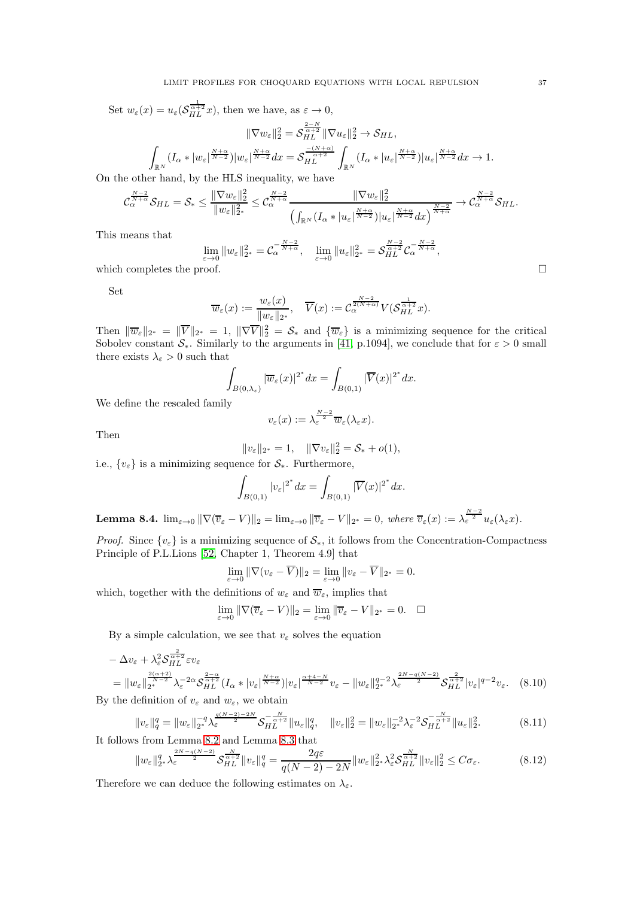Set  $w_{\varepsilon}(x) = u_{\varepsilon}(\mathcal{S}_{HL}^{\frac{1}{\alpha+2}}x)$ , then we have, as  $\varepsilon \to 0$ ,

$$
\|\nabla w_{\varepsilon}\|_{2}^{2} = \mathcal{S}_{HL}^{\frac{2-N}{\alpha+2}} \|\nabla u_{\varepsilon}\|_{2}^{2} \to \mathcal{S}_{HL},
$$

$$
\int_{\mathbb{R}^{N}} (I_{\alpha} * |w_{\varepsilon}|^{\frac{N+\alpha}{N-2}}) |w_{\varepsilon}|^{\frac{N+\alpha}{N-2}} dx = \mathcal{S}_{HL}^{\frac{-(N+\alpha)}{\alpha+2}} \int_{\mathbb{R}^{N}} (I_{\alpha} * |u_{\varepsilon}|^{\frac{N+\alpha}{N-2}}) |u_{\varepsilon}|^{\frac{N+\alpha}{N-2}} dx \to 1.
$$

On the other hand, by the HLS inequality, we have

$$
\mathcal{C}_{\alpha}^{\frac{N-2}{N+\alpha}}\mathcal{S}_{HL}=\mathcal{S}_{*}\leq\frac{\|\nabla w_{\varepsilon}\|_{2}^{2}}{\|w_{\varepsilon}\|_{2^{*}}^{2}}\leq\mathcal{C}_{\alpha}^{\frac{N-2}{N+\alpha}}\frac{\|\nabla w_{\varepsilon}\|_{2}^{2}}{\left(\int_{\mathbb{R}^{N}}(I_{\alpha}*|u_{\varepsilon}|^{\frac{N+\alpha}{N-2}})|u_{\varepsilon}|^{\frac{N+\alpha}{N-2}}dx\right)^{\frac{N-2}{N+\alpha}}}\rightarrow\mathcal{C}_{\alpha}^{\frac{N-2}{N+\alpha}}\mathcal{S}_{HL}.
$$

This means that

$$
\lim_{\varepsilon \to 0} \|w_{\varepsilon}\|_{2^*}^2 = C_{\alpha}^{-\frac{N-2}{N+\alpha}}, \quad \lim_{\varepsilon \to 0} \|u_{\varepsilon}\|_{2^*}^2 = \mathcal{S}_{HL}^{\frac{N-2}{\alpha+2}} C_{\alpha}^{-\frac{N-2}{N+\alpha}},
$$

which completes the proof.  $\Box$ 

Set

$$
\overline{w}_{\varepsilon}(x) := \frac{w_{\varepsilon}(x)}{\|w_{\varepsilon}\|_{2^*}}, \quad \overline{V}(x) := \mathcal{C}_{\alpha}^{\frac{N-2}{2(N+\alpha)}} V(\mathcal{S}_{HL}^{\frac{1}{\alpha+2}} x).
$$

Then  $\|\overline{w}_{\varepsilon}\|_{2^*} = \|\overline{V}\|_{2^*} = 1$ ,  $\|\nabla \overline{V}\|_2^2 = \mathcal{S}_*$  and  $\{\overline{w}_{\varepsilon}\}\$ is a minimizing sequence for the critical Sobolev constant  $S_*$ . Similarly to the arguments in [\[41,](#page-46-3) p.1094], we conclude that for  $\varepsilon > 0$  small there exists  $\lambda_{\varepsilon} > 0$  such that

$$
\int_{B(0,\lambda_{\varepsilon})} |\overline{w}_{\varepsilon}(x)|^{2^{*}} dx = \int_{B(0,1)} |\overline{V}(x)|^{2^{*}} dx.
$$

We define the rescaled family

$$
v_{\varepsilon}(x):=\lambda_{\varepsilon}^{\frac{N-2}{2}}\overline{w}_{\varepsilon}(\lambda_{\varepsilon}x).
$$

Then

$$
||v_{\varepsilon}||_{2^*} = 1, \quad ||\nabla v_{\varepsilon}||_2^2 = \mathcal{S}_* + o(1),
$$
  
i.e.,  $\{v_{\varepsilon}\}$  is a minimizing sequence for  $\mathcal{S}_*$ . Furthermore,

$$
\int_{B(0,1)} |v_{\varepsilon}|^{2^*} dx = \int_{B(0,1)} |\overline{V}(x)|^{2^*} dx.
$$

**Lemma 8.4.**  $\lim_{\varepsilon \to 0} \|\nabla(\overline{v}_{\varepsilon} - V)\|_2 = \lim_{\varepsilon \to 0} \|\overline{v}_{\varepsilon} - V\|_{2^*} = 0$ , where  $\overline{v}_{\varepsilon}(x) := \lambda_{\varepsilon}^{\frac{N-2}{2}} u_{\varepsilon}(\lambda_{\varepsilon} x)$ .

*Proof.* Since  $\{v_{\varepsilon}\}\)$  is a minimizing sequence of  $\mathcal{S}_{*}$ , it follows from the Concentration-Compactness Principle of P.L.Lions [\[52,](#page-46-22) Chapter 1, Theorem 4.9] that

$$
\lim_{\varepsilon \to 0} \|\nabla (v_{\varepsilon} - \overline{V})\|_2 = \lim_{\varepsilon \to 0} \|v_{\varepsilon} - \overline{V}\|_{2^*} = 0.
$$

which, together with the definitions of  $w_{\varepsilon}$  and  $\overline{w}_{\varepsilon}$ , implies that

<span id="page-36-1"></span>
$$
\lim_{\varepsilon \to 0} \|\nabla (\overline{v}_{\varepsilon} - V)\|_2 = \lim_{\varepsilon \to 0} \|\overline{v}_{\varepsilon} - V\|_{2^*} = 0. \quad \Box
$$

By a simple calculation, we see that  $v_{\varepsilon}$  solves the equation

$$
-\Delta v_{\varepsilon} + \lambda_{\varepsilon}^{2} \mathcal{S}_{HL}^{\frac{2}{\alpha+2}} \varepsilon v_{\varepsilon}
$$
  
= 
$$
||w_{\varepsilon}||_{2^{*}}^{\frac{2(\alpha+2)}{N-2}} \lambda_{\varepsilon}^{-2\alpha} \mathcal{S}_{HL}^{\frac{2-\alpha}{\alpha+2}} (I_{\alpha} * |v_{\varepsilon}|^{\frac{N+\alpha}{N-2}}) |v_{\varepsilon}|^{\frac{\alpha+4-N}{N-2}} v_{\varepsilon} - ||w_{\varepsilon}||_{2^{*}}^{q-2} \lambda_{\varepsilon}^{\frac{2N-q(N-2)}{2}} \mathcal{S}_{HL}^{\frac{2}{\alpha+2}} |v_{\varepsilon}|^{q-2} v_{\varepsilon}.
$$
 (8.10)

By the definition of  $v_{\varepsilon}$  and  $w_{\varepsilon}$ , we obtain

$$
||v_{\varepsilon}||_{q}^{q} = ||w_{\varepsilon}||_{2^{*}}^{-q} \lambda_{\varepsilon}^{\frac{q(N-2)-2N}{2}} \mathcal{S}_{HL}^{-\frac{N}{\alpha+2}} ||u_{\varepsilon}||_{q}^{q}, \quad ||v_{\varepsilon}||_{2}^{2} = ||w_{\varepsilon}||_{2^{*}}^{-2} \lambda_{\varepsilon}^{-2} \mathcal{S}_{HL}^{-\frac{N}{\alpha+2}} ||u_{\varepsilon}||_{2}^{2}.
$$
 (8.11)

It follows from Lemma [8.2](#page-35-0) and Lemma [8.3](#page-35-1) that

<span id="page-36-0"></span>
$$
||w_{\varepsilon}||_{2^*}^q \lambda_{\varepsilon}^{\frac{2N-q(N-2)}{2}} \mathcal{S}_{HL}^{\frac{N}{\alpha+2}} ||v_{\varepsilon}||_q^q = \frac{2q\varepsilon}{q(N-2)-2N} ||w_{\varepsilon}||_{2^*}^2 \lambda_{\varepsilon}^2 \mathcal{S}_{HL}^{\frac{N}{\alpha+2}} ||v_{\varepsilon}||_2^2 \leq C\sigma_{\varepsilon}.
$$
 (8.12)

Therefore we can deduce the following estimates on  $\lambda_{\varepsilon}$ .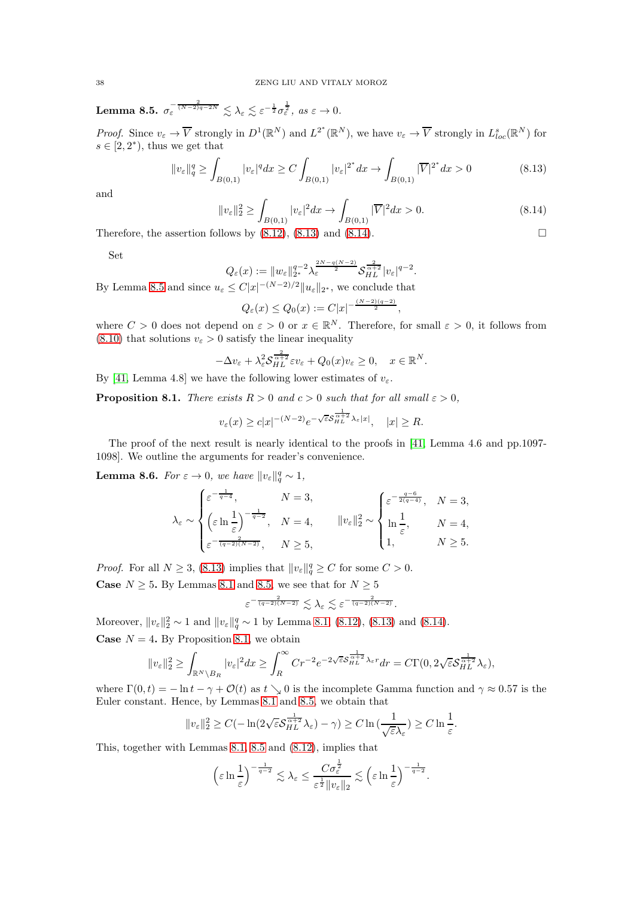<span id="page-37-2"></span>Lemma 8.5.  $\sigma_{\varepsilon}^{-\frac{2}{(N-2)q-2N}} \lesssim \lambda_{\varepsilon} \lesssim \varepsilon^{-\frac{1}{2}} \sigma_{\varepsilon}^{\frac{1}{2}}, \text{ as } \varepsilon \to 0.$ 

*Proof.* Since  $v_{\varepsilon} \to \overline{V}$  strongly in  $D^1(\mathbb{R}^N)$  and  $L^{2^*}(\mathbb{R}^N)$ , we have  $v_{\varepsilon} \to \overline{V}$  strongly in  $L^s_{loc}(\mathbb{R}^N)$  for  $s \in [2, 2^*)$ , thus we get that

<span id="page-37-0"></span>
$$
\|v_{\varepsilon}\|_{q}^{q} \ge \int_{B(0,1)} |v_{\varepsilon}|^{q} dx \ge C \int_{B(0,1)} |v_{\varepsilon}|^{2^{*}} dx \to \int_{B(0,1)} |\overline{V}|^{2^{*}} dx > 0 \tag{8.13}
$$

and

<span id="page-37-1"></span>
$$
||v_{\varepsilon}||_2^2 \ge \int_{B(0,1)} |v_{\varepsilon}|^2 dx \to \int_{B(0,1)} |\overline{V}|^2 dx > 0.
$$
\n(8.14)

Therefore, the assertion follows by  $(8.12)$ ,  $(8.13)$  and  $(8.14)$ .

Set

$$
Q_{\varepsilon}(x) := \|w_{\varepsilon}\|_{2^*}^{q-2} \lambda_{\varepsilon}^{\frac{2N-q(N-2)}{2}} \mathcal{S}_{HL}^{\frac{2}{\alpha+2}} |v_{\varepsilon}|^{q-2}.
$$

By Lemma [8.5](#page-37-2) and since  $u_{\varepsilon} \leq C |x|^{-(N-2)/2} ||u_{\varepsilon}||_{2^*}$ , we conclude that

$$
Q_{\varepsilon}(x) \leq Q_0(x) := C|x|^{-\frac{(N-2)(q-2)}{2}},
$$

where  $C > 0$  does not depend on  $\varepsilon > 0$  or  $x \in \mathbb{R}^N$ . Therefore, for small  $\varepsilon > 0$ , it follows from  $(8.10)$  that solutions  $v_{\varepsilon} > 0$  satisfy the linear inequality

$$
-\Delta v_{\varepsilon} + \lambda_{\varepsilon}^2 \mathcal{S}_{HL}^{\frac{2}{\alpha+2}} \varepsilon v_{\varepsilon} + Q_0(x) v_{\varepsilon} \ge 0, \quad x \in \mathbb{R}^N.
$$

By [\[41,](#page-46-3) Lemma 4.8] we have the following lower estimates of  $v_{\varepsilon}$ .

<span id="page-37-3"></span>**Proposition 8.1.** *There exists*  $R > 0$  *and*  $c > 0$  *such that for all small*  $\varepsilon > 0$ *,* 

$$
v_{\varepsilon}(x) \geq c|x|^{-(N-2)}e^{-\sqrt{\varepsilon}S_{HL}^{\frac{1}{\alpha+2}}\lambda_{\varepsilon}|x|}, \quad |x| \geq R.
$$

The proof of the next result is nearly identical to the proofs in [\[41,](#page-46-3) Lemma 4.6 and pp.1097- 1098]. We outline the arguments for reader's convenience.

**Lemma 8.6.** *For*  $\varepsilon \to 0$ *, we have*  $||v_{\varepsilon}||_q^q \sim 1$ *,* 

$$
\lambda_{\varepsilon} \sim \begin{cases} \varepsilon^{-\frac{1}{q-4}}, & N = 3, \\ \left(\varepsilon \ln \frac{1}{\varepsilon}\right)^{-\frac{1}{q-2}}, & N = 4, \\ \varepsilon^{-\frac{2}{(q-2)(N-2)}}, & N \ge 5, \end{cases} \qquad ||v_{\varepsilon}||_{2}^{2} \sim \begin{cases} \varepsilon^{-\frac{q-6}{2(q-4)}}, & N = 3, \\ \ln \frac{1}{\varepsilon}, & N = 4, \\ 1, & N \ge 5. \end{cases}
$$

*Proof.* For all  $N \geq 3$ , [\(8.13\)](#page-37-0) implies that  $||v_{\varepsilon}||_q^q \geq C$  for some  $C > 0$ .

**Case**  $N \geq 5$ . By Lemmas [8.1](#page-33-2) and [8.5,](#page-37-2) we see that for  $N \geq 5$ 

$$
\varepsilon^{-\frac{2}{(q-2)(N-2)}} \lesssim \lambda_{\varepsilon} \lesssim \varepsilon^{-\frac{2}{(q-2)(N-2)}}.
$$

Moreover,  $||v_{\varepsilon}||_2^2 \sim 1$  and  $||v_{\varepsilon}||_q^q \sim 1$  by Lemma [8.1,](#page-33-2) [\(8.12\)](#page-36-0), [\(8.13\)](#page-37-0) and [\(8.14\)](#page-37-1). **Case**  $N = 4$ . By Proposition [8.1,](#page-37-3) we obtain

$$
||v_{\varepsilon}||_2^2 \ge \int_{\mathbb{R}^N \setminus B_R} |v_{\varepsilon}|^2 dx \ge \int_R^{\infty} Cr^{-2} e^{-2\sqrt{\varepsilon}S_{HL}^{\frac{1}{\alpha+2}}\lambda_{\varepsilon}r} dr = C\Gamma(0, 2\sqrt{\varepsilon}S_{HL}^{\frac{1}{\alpha+2}}\lambda_{\varepsilon}),
$$

where  $\Gamma(0, t) = -\ln t - \gamma + \mathcal{O}(t)$  as  $t \searrow 0$  is the incomplete Gamma function and  $\gamma \approx 0.57$  is the Euler constant. Hence, by Lemmas [8.1](#page-33-2) and [8.5,](#page-37-2) we obtain that

$$
||v_{\varepsilon}||_2^2 \ge C(-\ln(2\sqrt{\varepsilon}S_{HL}^{\frac{1}{\alpha+2}}\lambda_{\varepsilon}) - \gamma) \ge C \ln\left(\frac{1}{\sqrt{\varepsilon}\lambda_{\varepsilon}}\right) \ge C \ln\frac{1}{\varepsilon}.
$$

This, together with Lemmas [8.1,](#page-33-2) [8.5](#page-37-2) and [\(8.12\)](#page-36-0), implies that

$$
\left(\varepsilon \ln \frac{1}{\varepsilon}\right)^{-\frac{1}{q-2}} \lesssim \lambda_{\varepsilon} \leq \frac{C\sigma_{\varepsilon}^{\frac{1}{2}}}{\varepsilon^{\frac{1}{2}} \|v_{\varepsilon}\|_{2}} \lesssim \left(\varepsilon \ln \frac{1}{\varepsilon}\right)^{-\frac{1}{q-2}}.
$$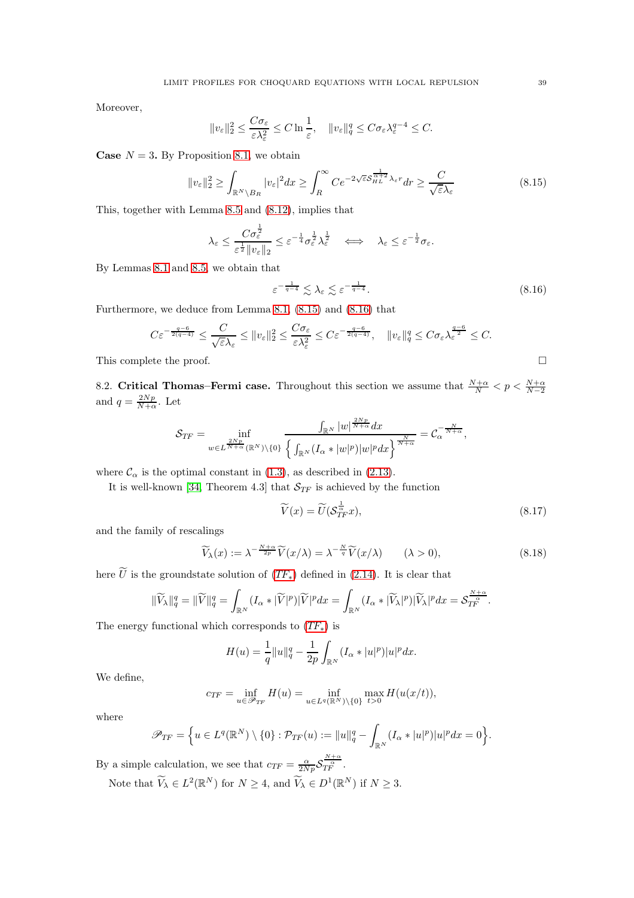Moreover,

$$
||v_{\varepsilon}||_2^2 \le \frac{C\sigma_{\varepsilon}}{\varepsilon\lambda_{\varepsilon}^2} \le C \ln \frac{1}{\varepsilon}, \quad ||v_{\varepsilon}||_q^q \le C\sigma_{\varepsilon}\lambda_{\varepsilon}^{q-4} \le C.
$$

**Case**  $N = 3$ . By Proposition [8.1,](#page-37-3) we obtain

<span id="page-38-1"></span>
$$
||v_{\varepsilon}||_{2}^{2} \geq \int_{\mathbb{R}^{N} \setminus B_{R}} |v_{\varepsilon}|^{2} dx \geq \int_{R}^{\infty} C e^{-2\sqrt{\varepsilon}S_{HL}^{\frac{1}{\alpha+2}} \lambda_{\varepsilon}r} dr \geq \frac{C}{\sqrt{\varepsilon} \lambda_{\varepsilon}}
$$
(8.15)

This, together with Lemma [8.5](#page-37-2) and [\(8.12\)](#page-36-0), implies that

$$
\lambda_{\varepsilon} \leq \frac{C\sigma_{\varepsilon}^{\frac{1}{2}}}{\varepsilon^{\frac{1}{2}}\|v_{\varepsilon}\|_{2}} \leq \varepsilon^{-\frac{1}{4}}\sigma_{\varepsilon}^{\frac{1}{2}}\lambda_{\varepsilon}^{\frac{1}{2}} \quad \Longleftrightarrow \quad \lambda_{\varepsilon} \leq \varepsilon^{-\frac{1}{2}}\sigma_{\varepsilon}.
$$

By Lemmas [8.1](#page-33-2) and [8.5,](#page-37-2) we obtain that

<span id="page-38-2"></span>
$$
\varepsilon^{-\frac{1}{q-4}} \lesssim \lambda_{\varepsilon} \lesssim \varepsilon^{-\frac{1}{q-4}}.\tag{8.16}
$$

Furthermore, we deduce from Lemma [8.1,](#page-33-2) [\(8.15\)](#page-38-1) and [\(8.16\)](#page-38-2) that

$$
C\varepsilon^{-\frac{q-6}{2(q-4)}} \leq \frac{C}{\sqrt{\varepsilon}\lambda_{\varepsilon}} \leq \|v_{\varepsilon}\|_{2}^{2} \leq \frac{C\sigma_{\varepsilon}}{\varepsilon\lambda_{\varepsilon}^{2}} \leq C\varepsilon^{-\frac{q-6}{2(q-4)}}, \quad \|v_{\varepsilon}\|_{q}^{q} \leq C\sigma_{\varepsilon}\lambda_{\varepsilon}^{\frac{q-6}{2}} \leq C.
$$
  
This complete the proof.

8.2. Critical Thomas–Fermi case. Throughout this section we assume that  $\frac{N+\alpha}{N} < p < \frac{N+\alpha}{N-2}$ and  $q = \frac{2Np}{N+\alpha}$ . Let

$$
\mathcal{S}_{TF} = \inf_{w \in L^{\frac{2Np}{N+\alpha}}(\mathbb{R}^N) \setminus \{0\}} \frac{\int_{\mathbb{R}^N} |w|^{\frac{2Np}{N+\alpha}} dx}{\left\{ \int_{\mathbb{R}^N} (I_\alpha * |w|^p) |w|^p dx \right\}^{\frac{N}{N+\alpha}}} = \mathcal{C}_\alpha^{-\frac{N}{N+\alpha}},
$$

where  $\mathcal{C}_{\alpha}$  is the optimal constant in [\(1.3\)](#page-2-2), as described in [\(2.13\)](#page-10-4).

It is well-known [\[34,](#page-46-9) Theorem 4.3] that  $S_{TF}$  is achieved by the function

<span id="page-38-0"></span>
$$
\widetilde{V}(x) = \widetilde{U}(\mathcal{S}_{TF}^{\frac{1}{\alpha}}x),\tag{8.17}
$$

and the family of rescalings

$$
\widetilde{V}_{\lambda}(x) := \lambda^{-\frac{N+\alpha}{2p}} \widetilde{V}(x/\lambda) = \lambda^{-\frac{N}{q}} \widetilde{V}(x/\lambda) \qquad (\lambda > 0), \tag{8.18}
$$

here U is the groundstate solution of  $(TF_*)$  $(TF_*)$  $(TF_*)$  defined in [\(2.14\)](#page-10-5). It is clear that

$$
\|\widetilde{V}_{\lambda}\|_{q}^{q}=\|\widetilde{V}\|_{q}^{q}=\int_{\mathbb{R}^{N}}(I_{\alpha}*|\widetilde{V}|^{p})|\widetilde{V}|^{p}dx=\int_{\mathbb{R}^{N}}(I_{\alpha}*|\widetilde{V}_{\lambda}|^{p})|\widetilde{V}_{\lambda}|^{p}dx=\mathcal{S}_{T_{F}}^{\frac{N+\alpha}{\alpha}}.
$$

The energy functional which corresponds to  $(TF_*)$  $(TF_*)$  $(TF_*)$  is

$$
H(u) = \frac{1}{q} ||u||_q^q - \frac{1}{2p} \int_{\mathbb{R}^N} (I_\alpha * |u|^p) |u|^p dx.
$$

We define,

$$
c_{TF} = \inf_{u \in \mathscr{P}_{TF}} H(u) = \inf_{u \in L^q(\mathbb{R}^N) \setminus \{0\}} \max_{t > 0} H(u(x/t)),
$$

where

$$
\mathscr{P}_{TF} = \left\{ u \in L^q(\mathbb{R}^N) \setminus \{0\} : \mathcal{P}_{TF}(u) := \|u\|_q^q - \int_{\mathbb{R}^N} (I_\alpha * |u|^p)|u|^p dx = 0 \right\}.
$$

By a simple calculation, we see that  $c_{TF} = \frac{\alpha}{2Np} S$  $\frac{\frac{N+\alpha}{\alpha}}{TF}$  .

Note that  $\bar{V}_{\lambda} \in L^2(\mathbb{R}^N)$  for  $N \geq 4$ , and  $\bar{V}_{\lambda} \in D^1(\mathbb{R}^N)$  if  $N \geq 3$ .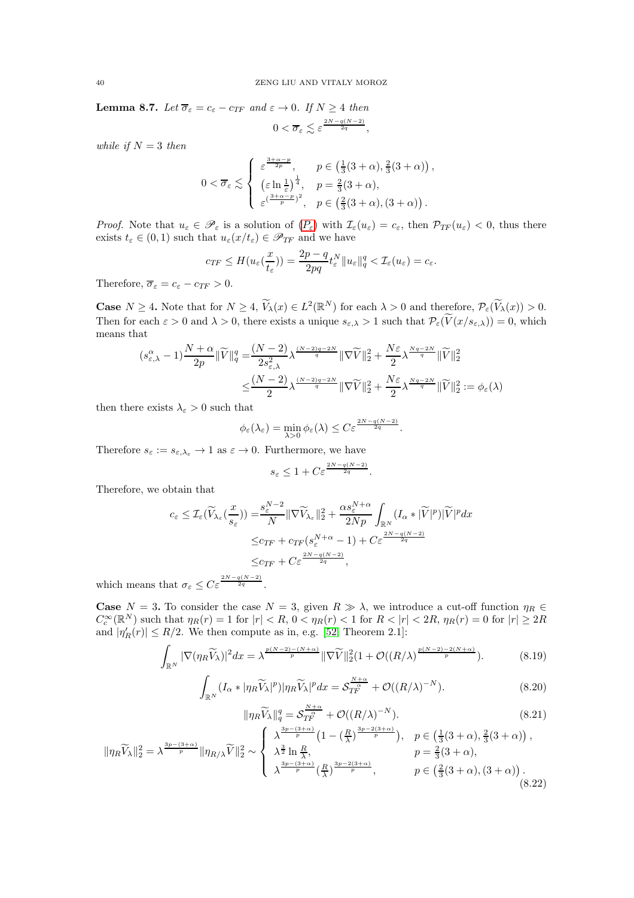<span id="page-39-0"></span>**Lemma 8.7.** *Let*  $\overline{\sigma}_{\varepsilon} = c_{\varepsilon} - c_{TF}$  *and*  $\varepsilon \to 0$ *. If*  $N \ge 4$  *then*  $0<\overline{\sigma}_{\varepsilon}\lesssim \varepsilon^{\frac{2N-q(N-2)}{2q}},$ 

*while if*  $N = 3$  *then* 

$$
0 < \overline{\sigma}_{\varepsilon} \lesssim \begin{cases} \varepsilon^{\frac{3+\alpha-p}{2p}}, & p \in \left(\frac{1}{3}(3+\alpha), \frac{2}{3}(3+\alpha)\right), \\ \left(\varepsilon \ln \frac{1}{\varepsilon}\right)^{\frac{1}{4}}, & p = \frac{2}{3}(3+\alpha), \\ \varepsilon^{\left(\frac{3+\alpha-p}{p}\right)^2}, & p \in \left(\frac{2}{3}(3+\alpha), (3+\alpha)\right). \end{cases}
$$

*[P](#page-1-1)roof.* Note that  $u_{\varepsilon} \in \mathscr{P}_{\varepsilon}$  is a solution of  $(P_{\varepsilon})$  with  $\mathcal{I}_{\varepsilon}(u_{\varepsilon}) = c_{\varepsilon}$ , then  $\mathcal{P}_{TF}(u_{\varepsilon}) < 0$ , thus there exists  $t_{\varepsilon} \in (0,1)$  such that  $u_{\varepsilon}(x/t_{\varepsilon}) \in \mathscr{P}_{TF}$  and we have

$$
c_{TF} \leq H(u_{\varepsilon}(\frac{x}{t_{\varepsilon}})) = \frac{2p-q}{2pq}t_{\varepsilon}^N \|u_{\varepsilon}\|_q^q < \mathcal{I}_{\varepsilon}(u_{\varepsilon}) = c_{\varepsilon}.
$$

Therefore,  $\overline{\sigma}_{\varepsilon} = c_{\varepsilon} - c_{TF} > 0$ .

**Case**  $N \geq 4$ . Note that for  $N \geq 4$ ,  $V_{\lambda}(x) \in L^{2}(\mathbb{R}^{N})$  for each  $\lambda > 0$  and therefore,  $\mathcal{P}_{\varepsilon}(V_{\lambda}(x)) > 0$ . Then for each  $\varepsilon > 0$  and  $\lambda > 0$ , there exists a unique  $s_{\varepsilon,\lambda} > 1$  such that  $\mathcal{P}_{\varepsilon}(V(x/s_{\varepsilon,\lambda})) = 0$ , which means that

$$
(s_{\varepsilon,\lambda}^{\alpha}-1)\frac{N+\alpha}{2p}\|\widetilde{V}\|_{q}^{q} = \frac{(N-2)}{2s_{\varepsilon,\lambda}^{2}}\lambda^{\frac{(N-2)q-2N}{q}}\|\nabla\widetilde{V}\|_{2}^{2} + \frac{N\varepsilon}{2}\lambda^{\frac{Nq-2N}{q}}\|\widetilde{V}\|_{2}^{2}
$$

$$
\leq \frac{(N-2)}{2}\lambda^{\frac{(N-2)q-2N}{q}}\|\nabla\widetilde{V}\|_{2}^{2} + \frac{N\varepsilon}{2}\lambda^{\frac{Nq-2N}{q}}\|\widetilde{V}\|_{2}^{2} := \phi_{\varepsilon}(\lambda)
$$

then there exists  $\lambda_{\varepsilon} > 0$  such that

$$
\phi_{\varepsilon}(\lambda_{\varepsilon}) = \min_{\lambda > 0} \phi_{\varepsilon}(\lambda) \leq C \varepsilon^{\frac{2N - q(N-2)}{2q}}.
$$

Therefore  $s_{\varepsilon} := s_{\varepsilon, \lambda_{\varepsilon}} \to 1$  as  $\varepsilon \to 0$ . Furthermore, we have

$$
s_{\varepsilon} \le 1 + C \varepsilon^{\frac{2N - q(N-2)}{2q}}.
$$

Therefore, we obtain that

$$
c_{\varepsilon} \leq \mathcal{I}_{\varepsilon}(\widetilde{V}_{\lambda_{\varepsilon}}(\frac{x}{s_{\varepsilon}})) = \frac{s_{\varepsilon}^{N-2}}{N} \|\nabla \widetilde{V}_{\lambda_{\varepsilon}}\|_{2}^{2} + \frac{\alpha s_{\varepsilon}^{N+\alpha}}{2Np} \int_{\mathbb{R}^{N}} (I_{\alpha} * |\widetilde{V}|^{p}) |\widetilde{V}|^{p} dx
$$
  

$$
\leq c_{TF} + c_{TF}(s_{\varepsilon}^{N+\alpha} - 1) + C \varepsilon^{\frac{2N-q(N-2)}{2q}}
$$
  

$$
\leq c_{TF} + C \varepsilon^{\frac{2N-q(N-2)}{2q}},
$$

which means that  $\sigma_{\varepsilon} \leq C \varepsilon^{\frac{2N-q(N-2)}{2q}}$ .

**Case**  $N = 3$ . To consider the case  $N = 3$ , given  $R \gg \lambda$ , we introduce a cut-off function  $\eta_R \in$  $C_c^{\infty}(\mathbb{R}^N)$  such that  $\eta_R(r) = 1$  for  $|r| < R$ ,  $0 < \eta_R(r) < 1$  for  $R < |r| < 2R$ ,  $\eta_R(r) = 0$  for  $|r| \geq 2R$ and  $|\eta'_{R}(r)| \leq R/2$ . We then compute as in, e.g. [\[52,](#page-46-22) Theorem 2.1]:

$$
\int_{\mathbb{R}^N} |\nabla(\eta_R \widetilde{V}_\lambda)|^2 dx = \lambda^{\frac{p(N-2)-(N+\alpha)}{p}} \|\nabla \widetilde{V}\|_2^2 (1 + \mathcal{O}((R/\lambda)^{\frac{p(N-2)-2(N+\alpha)}{p}}). \tag{8.19}
$$

$$
\int_{\mathbb{R}^N} (I_\alpha * |\eta_R \widetilde{V}_\lambda|^p) |\eta_R \widetilde{V}_\lambda|^p dx = \mathcal{S}_{TF}^{\frac{N+\alpha}{\alpha}} + \mathcal{O}((R/\lambda)^{-N}).
$$
\n(8.20)

$$
\|\eta_R \widetilde{V}_{\lambda}\|_q^q = \mathcal{S}_{TF}^{\frac{N+\alpha}{\alpha}} + \mathcal{O}((R/\lambda)^{-N}).
$$
\n(8.21)

$$
\|\eta_R \widetilde{V}_{\lambda}\|_2^2 = \lambda^{\frac{3p - (3 + \alpha)}{p}} \|\eta_{R/\lambda} \widetilde{V}\|_2^2 \sim\n\begin{cases}\n\lambda^{\frac{3p - (3 + \alpha)}{p}} \left(1 - \left(\frac{R}{\lambda}\right)^{\frac{3p - 2(3 + \alpha)}{p}}\right), & p \in \left(\frac{1}{3}(3 + \alpha), \frac{2}{3}(3 + \alpha)\right), \\
\lambda^{\frac{3}{2}} \ln \frac{R}{\lambda}, & p = \frac{2}{3}(3 + \alpha), \\
\lambda^{\frac{3p - (3 + \alpha)}{p}} \left(\frac{R}{\lambda}\right)^{\frac{3p - 2(3 + \alpha)}{p}}, & p \in \left(\frac{2}{3}(3 + \alpha), (3 + \alpha)\right).\n\end{cases}
$$
\n
$$
(8.22)
$$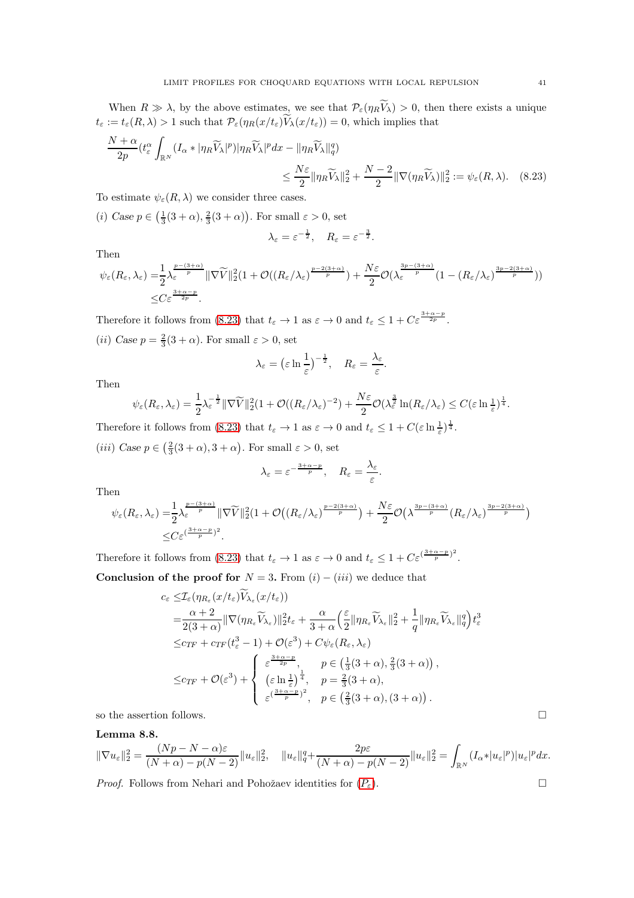When  $R \gg \lambda$ , by the above estimates, we see that  $\mathcal{P}_{\varepsilon}(\eta_R V_\lambda) > 0$ , then there exists a unique  $t_{\varepsilon} := t_{\varepsilon}(R, \lambda) > 1$  such that  $\mathcal{P}_{\varepsilon}(\eta_R(x/t_{\varepsilon})) V_{\lambda}(x/t_{\varepsilon})) = 0$ , which implies that

$$
\frac{N+\alpha}{2p}(t_{\varepsilon}^{\alpha}\int_{\mathbb{R}^N}(I_{\alpha}*|\eta_R\widetilde{V}_{\lambda}|^p)|\eta_R\widetilde{V}_{\lambda}|^pdx - \|\eta_R\widetilde{V}_{\lambda}\|_{q}^q) \le \frac{N\varepsilon}{2}\|\eta_R\widetilde{V}_{\lambda}\|_{2}^2 + \frac{N-2}{2}\|\nabla(\eta_R\widetilde{V}_{\lambda})\|_{2}^2 := \psi_{\varepsilon}(R,\lambda). \quad (8.23)
$$

To estimate  $\psi_{\varepsilon}(R,\lambda)$  we consider three cases.

(*i*) Case  $p \in \left(\frac{1}{3}(3+\alpha), \frac{2}{3}(3+\alpha)\right)$ . For small  $\varepsilon > 0$ , set

<span id="page-40-0"></span>
$$
\lambda_{\varepsilon} = \varepsilon^{-\frac{1}{2}}, \quad R_{\varepsilon} = \varepsilon^{-\frac{3}{2}}.
$$

Then

$$
\psi_{\varepsilon}(R_{\varepsilon},\lambda_{\varepsilon}) = \frac{1}{2}\lambda_{\varepsilon}^{\frac{p-(3+\alpha)}{p}} \|\nabla \widetilde{V}\|_{2}^{2} (1+\mathcal{O}((R_{\varepsilon}/\lambda_{\varepsilon})^{\frac{p-2(3+\alpha)}{p}}) + \frac{N\varepsilon}{2}\mathcal{O}(\lambda_{\varepsilon}^{\frac{3p-(3+\alpha)}{p}}(1-(R_{\varepsilon}/\lambda_{\varepsilon})^{\frac{3p-2(3+\alpha)}{p}}))
$$
  

$$
\leq C \varepsilon^{\frac{3+\alpha-p}{2p}}.
$$

Therefore it follows from [\(8.23\)](#page-40-0) that  $t_{\varepsilon} \to 1$  as  $\varepsilon \to 0$  and  $t_{\varepsilon} \leq 1 + C \varepsilon^{\frac{3+\alpha-p}{2p}}$ . (*ii*) Case  $p = \frac{2}{3}(3 + \alpha)$ . For small  $\varepsilon > 0$ , set

$$
\lambda_{\varepsilon} = \left(\varepsilon \ln \frac{1}{\varepsilon}\right)^{-\frac{1}{2}}, \quad R_{\varepsilon} = \frac{\lambda_{\varepsilon}}{\varepsilon}.
$$

Then

$$
\psi_{\varepsilon}(R_{\varepsilon},\lambda_{\varepsilon})=\frac{1}{2}\lambda_{\varepsilon}^{-\frac{1}{2}}\|\nabla\widetilde{V}\|_{2}^{2}(1+\mathcal{O}((R_{\varepsilon}/\lambda_{\varepsilon})^{-2})+\frac{N\varepsilon}{2}\mathcal{O}(\lambda_{\varepsilon}^{\frac{3}{2}}\ln(R_{\varepsilon}/\lambda_{\varepsilon})\leq C(\varepsilon\ln(\frac{1}{\varepsilon})^{\frac{1}{4}}.
$$

Therefore it follows from [\(8.23\)](#page-40-0) that  $t_{\varepsilon} \to 1$  as  $\varepsilon \to 0$  and  $t_{\varepsilon} \leq 1 + C(\varepsilon \ln \frac{1}{\varepsilon})^{\frac{1}{4}}$ .

(*iii*) Case  $p \in \left(\frac{2}{3}(3+\alpha), 3+\alpha\right)$ . For small  $\varepsilon > 0$ , set

$$
\lambda_{\varepsilon} = \varepsilon^{-\frac{3+\alpha-p}{p}}, \quad R_{\varepsilon} = \frac{\lambda_{\varepsilon}}{\varepsilon}.
$$

Then

$$
\psi_{\varepsilon}(R_{\varepsilon},\lambda_{\varepsilon}) = \frac{1}{2}\lambda_{\varepsilon}^{\frac{p-(3+\alpha)}{p}} \|\nabla \widetilde{V}\|_{2}^{2} (1+\mathcal{O}\big((R_{\varepsilon}/\lambda_{\varepsilon})^{\frac{p-2(3+\alpha)}{p}}\big) + \frac{N\varepsilon}{2}\mathcal{O}\big(\lambda^{\frac{3p-(3+\alpha)}{p}}(R_{\varepsilon}/\lambda_{\varepsilon})^{\frac{3p-2(3+\alpha)}{p}}\big) \leq C \varepsilon^{(\frac{3+\alpha-p}{p})^{2}}.
$$

Therefore it follows from [\(8.23\)](#page-40-0) that  $t_{\varepsilon} \to 1$  as  $\varepsilon \to 0$  and  $t_{\varepsilon} \leq 1 + C \varepsilon^{(\frac{3+\alpha-p}{p})^2}$ .

Conclusion of the proof for  $N = 3$ . From  $(i) - (iii)$  we deduce that

$$
c_{\varepsilon} \leq \mathcal{I}_{\varepsilon}(\eta_{R_{\varepsilon}}(x/t_{\varepsilon})V_{\lambda_{\varepsilon}}(x/t_{\varepsilon}))
$$
  
\n
$$
= \frac{\alpha+2}{2(3+\alpha)} \|\nabla(\eta_{R_{\varepsilon}}\widetilde{V}_{\lambda_{\varepsilon}})\|_{2}^{2}t_{\varepsilon} + \frac{\alpha}{3+\alpha} \left(\frac{\varepsilon}{2} \|\eta_{R_{\varepsilon}}\widetilde{V}_{\lambda_{\varepsilon}}\|_{2}^{2} + \frac{1}{q} \|\eta_{R_{\varepsilon}}\widetilde{V}_{\lambda_{\varepsilon}}\|_{q}^{q}\right) t_{\varepsilon}^{3}
$$
  
\n
$$
\leq c_{TF} + c_{TF}(t_{\varepsilon}^{3} - 1) + \mathcal{O}(\varepsilon^{3}) + C\psi_{\varepsilon}(R_{\varepsilon}, \lambda_{\varepsilon})
$$
  
\n
$$
\leq c_{TF} + \mathcal{O}(\varepsilon^{3}) + \begin{cases} \varepsilon^{\frac{3+\alpha-p}{2p}}, & p \in \left(\frac{1}{3}(3+\alpha), \frac{2}{3}(3+\alpha)\right), \\ \left(\varepsilon \ln \frac{1}{\varepsilon}\right)^{\frac{1}{4}}, & p = \frac{2}{3}(3+\alpha), \\ \varepsilon^{\frac{(3+\alpha-p}{p})^{2}}, & p \in \left(\frac{2}{3}(3+\alpha), (3+\alpha)\right). \end{cases}
$$

so the assertion follows.  $\hfill \square$ 

# <span id="page-40-1"></span>Lemma 8.8.

$$
\|\nabla u_{\varepsilon}\|_{2}^{2} = \frac{(Np-N-\alpha)\varepsilon}{(N+\alpha)-p(N-2)}\|u_{\varepsilon}\|_{2}^{2}, \quad \|u_{\varepsilon}\|_{q}^{q} + \frac{2p\varepsilon}{(N+\alpha)-p(N-2)}\|u_{\varepsilon}\|_{2}^{2} = \int_{\mathbb{R}^{N}}(I_{\alpha}*|u_{\varepsilon}|^{p})|u_{\varepsilon}|^{p}dx.
$$

*[P](#page-1-1)roof.* Follows from Nehari and Pohožaev identities for  $(P_{\varepsilon})$ .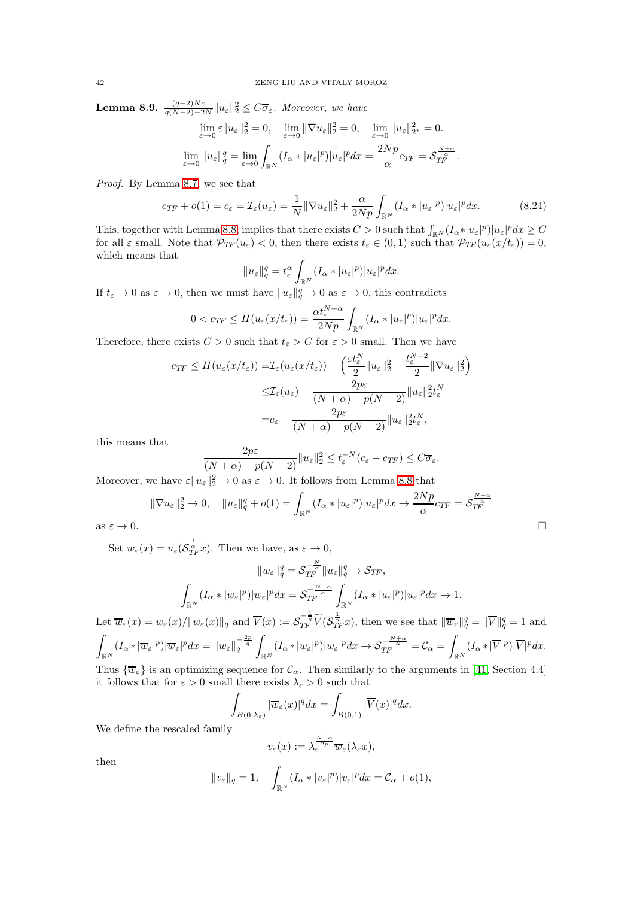<span id="page-41-0"></span>**Lemma 8.9.**  $\frac{(q-2)N\varepsilon}{q(N-2)-2N}||u_{\varepsilon}||_2^2 \leq C\overline{\sigma}_{\varepsilon}$ . Moreover, we have

$$
\lim_{\varepsilon \to 0} \varepsilon \|u_{\varepsilon}\|_{2}^{2} = 0, \quad \lim_{\varepsilon \to 0} \|\nabla u_{\varepsilon}\|_{2}^{2} = 0, \quad \lim_{\varepsilon \to 0} \|u_{\varepsilon}\|_{2^{*}}^{2} = 0.
$$
  

$$
\lim_{\varepsilon \to 0} \|u_{\varepsilon}\|_{q}^{q} = \lim_{\varepsilon \to 0} \int_{\mathbb{R}^{N}} (I_{\alpha} * |u_{\varepsilon}|^{p}) |u_{\varepsilon}|^{p} dx = \frac{2Np}{\alpha} c_{TF} = \mathcal{S}_{TF}^{\frac{N+\alpha}{2}}.
$$

*Proof.* By Lemma [8.7,](#page-39-0) we see that

$$
c_{TF} + o(1) = c_{\varepsilon} = \mathcal{I}_{\varepsilon}(u_{\varepsilon}) = \frac{1}{N} \|\nabla u_{\varepsilon}\|_{2}^{2} + \frac{\alpha}{2Np} \int_{\mathbb{R}^{N}} (I_{\alpha} * |u_{\varepsilon}|^{p}) |u_{\varepsilon}|^{p} dx.
$$
 (8.24)

This, together with Lemma [8.8,](#page-40-1) implies that there exists  $C > 0$  such that  $\int_{\mathbb{R}^N} (I_\alpha * |u_\varepsilon|^p)|u_\varepsilon|^p dx \geq C$ for all  $\varepsilon$  small. Note that  $\mathcal{P}_{TF}(u_{\varepsilon}) < 0$ , then there exists  $t_{\varepsilon} \in (0,1)$  such that  $\mathcal{P}_{TF}(u_{\varepsilon}(x/t_{\varepsilon})) = 0$ , which means that

$$
||u_{\varepsilon}||_{q}^{q}=t_{\varepsilon}^{\alpha}\int_{\mathbb{R}^{N}}(I_{\alpha}*|u_{\varepsilon}|^{p})|u_{\varepsilon}|^{p}dx.
$$

If  $t_{\varepsilon} \to 0$  as  $\varepsilon \to 0$ , then we must have  $||u_{\varepsilon}||_q^q \to 0$  as  $\varepsilon \to 0$ , this contradicts

$$
0 < c_{TF} \leq H(u_{\varepsilon}(x/t_{\varepsilon})) = \frac{\alpha t_{\varepsilon}^{N+\alpha}}{2Np} \int_{\mathbb{R}^N} (I_{\alpha}*|u_{\varepsilon}|^p)|u_{\varepsilon}|^p dx.
$$

Therefore, there exists  $C > 0$  such that  $t_{\varepsilon} > C$  for  $\varepsilon > 0$  small. Then we have

$$
c_{TF} \leq H(u_{\varepsilon}(x/t_{\varepsilon})) = \mathcal{I}_{\varepsilon}(u_{\varepsilon}(x/t_{\varepsilon})) - \left(\frac{\varepsilon t_{\varepsilon}^{N}}{2} \|u_{\varepsilon}\|_{2}^{2} + \frac{t_{\varepsilon}^{N-2}}{2} \|\nabla u_{\varepsilon}\|_{2}^{2}\right)
$$

$$
\leq \mathcal{I}_{\varepsilon}(u_{\varepsilon}) - \frac{2p\varepsilon}{(N+\alpha)-p(N-2)} \|u_{\varepsilon}\|_{2}^{2} t_{\varepsilon}^{N}
$$

$$
= c_{\varepsilon} - \frac{2p\varepsilon}{(N+\alpha)-p(N-2)} \|u_{\varepsilon}\|_{2}^{2} t_{\varepsilon}^{N},
$$

this means that

$$
\frac{2p\varepsilon}{(N+\alpha)-p(N-2)}\|u_{\varepsilon}\|_{2}^{2} \leq t_{\varepsilon}^{-N}(c_{\varepsilon}-c_{TF}) \leq C\overline{\sigma}_{\varepsilon}.
$$

Moreover, we have  $\varepsilon ||u_{\varepsilon}||_2^2 \to 0$  as  $\varepsilon \to 0$ . It follows from Lemma [8.8](#page-40-1) that

$$
\|\nabla u_{\varepsilon}\|_{2}^{2} \to 0, \quad \|u_{\varepsilon}\|_{q}^{q} + o(1) = \int_{\mathbb{R}^{N}} (I_{\alpha}*|u_{\varepsilon}|^{p})|u_{\varepsilon}|^{p} dx \to \frac{2Np}{\alpha}c_{TF} = \mathcal{S}_{TF}^{\frac{N+\alpha}{\alpha}}
$$
  
as  $\varepsilon \to 0$ .

as 
$$
\varepsilon \to 0
$$
.

Set  $w_{\varepsilon}(x) = u_{\varepsilon}(\mathcal{S}_{TF}^{\frac{1}{\alpha}}x)$ . Then we have, as  $\varepsilon \to 0$ ,

$$
||w_{\varepsilon}||_{q}^{q} = \mathcal{S}_{TF}^{-\frac{N}{\alpha}} ||u_{\varepsilon}||_{q}^{q} \to \mathcal{S}_{TF},
$$

$$
\int_{\mathbb{R}^{N}} (I_{\alpha} * |w_{\varepsilon}|^{p}) |w_{\varepsilon}|^{p} dx = \mathcal{S}_{TF}^{-\frac{N+\alpha}{\alpha}} \int_{\mathbb{R}^{N}} (I_{\alpha} * |u_{\varepsilon}|^{p}) |u_{\varepsilon}|^{p} dx \to 1.
$$

Let  $\overline{w}_{\varepsilon}(x) = w_{\varepsilon}(x) / \|w_{\varepsilon}(x)\|_{q}$  and  $\overline{V}(x) := \mathcal{S}_{TF}^{-\frac{1}{q}} \widetilde{V}(\mathcal{S}_{TF}^{\frac{1}{\alpha}} x)$ , then we see that  $\|\overline{w}_{\varepsilon}\|_{q}^{q} = \|\overline{V}\|_{q}^{q} = 1$  and ˆ  $\int_{\mathbb{R}^N}(I_\alpha*|\overline{w}_{\varepsilon}|^p)|\overline{w}_{\varepsilon}|^pdx=\|w_{\varepsilon}\|_q^{-\frac{2p}{q}}\int_0^1$  $\int_{\mathbb{R}^N}(I_\alpha*|w_\varepsilon|^p)|w_\varepsilon|^pdx \to \mathcal{S}_{TF}^{-\frac{N+\alpha}{N}}=\mathcal{C}_\alpha=\int$  $\int_{\mathbb{R}^N}(I_\alpha*|\overline{V}|^p)|\overline{V}|^pdx.$ 

Thus  $\{\overline{w}_{\varepsilon}\}\$ is an optimizing sequence for  $\mathcal{C}_{\alpha}$ . Then similarly to the arguments in [\[41,](#page-46-3) Section 4.4] it follows that for  $\varepsilon > 0$  small there exists  $\lambda_{\varepsilon} > 0$  such that

$$
\int_{B(0,\lambda_{\varepsilon})} |\overline{w}_{\varepsilon}(x)|^q dx = \int_{B(0,1)} |\overline{V}(x)|^q dx.
$$

We define the rescaled family

$$
v_{\varepsilon}(x):=\lambda_{\varepsilon}^{\frac{N+\alpha}{2p}}\overline{w}_{\varepsilon}(\lambda_{\varepsilon}x),
$$

then

$$
||v_{\varepsilon}||_q = 1, \quad \int_{\mathbb{R}^N} (I_{\alpha}*|v_{\varepsilon}|^p)|v_{\varepsilon}|^p dx = C_{\alpha} + o(1),
$$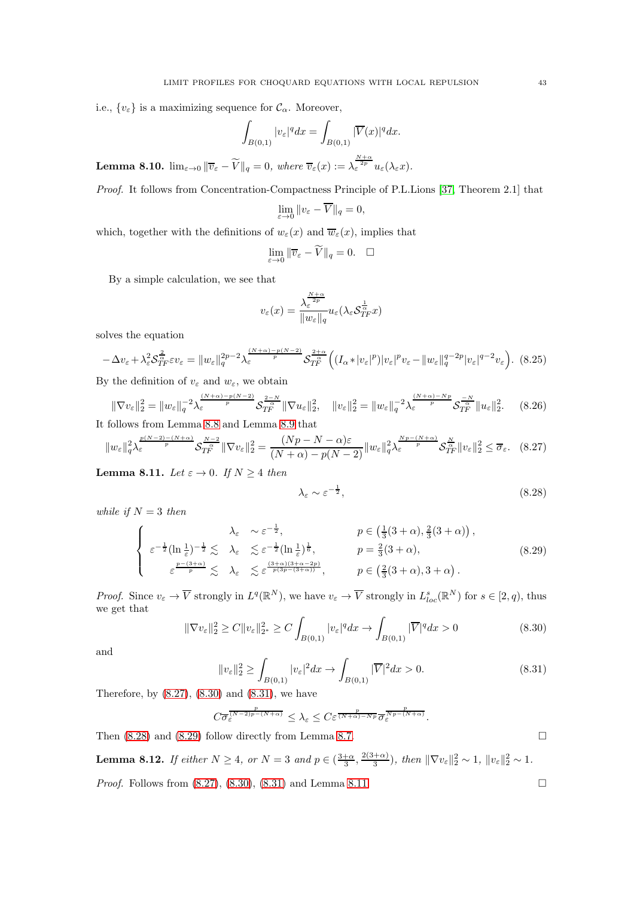i.e.,  $\{v_{\varepsilon}\}\)$  is a maximizing sequence for  $\mathcal{C}_{\alpha}$ . Moreover,

$$
\int_{B(0,1)} |v_{\varepsilon}|^q dx = \int_{B(0,1)} |\overline{V}(x)|^q dx.
$$

**Lemma 8.10.**  $\lim_{\varepsilon \to 0} \|\overline{v}_{\varepsilon} - \widetilde{V}\|_{q} = 0$ , where  $\overline{v}_{\varepsilon}(x) := \lambda_{\varepsilon}^{\frac{N+\alpha}{2p}} u_{\varepsilon}(\lambda_{\varepsilon}x)$ .

*Proof.* It follows from Concentration-Compactness Principle of P.L.Lions [\[37,](#page-46-23) Theorem 2.1] that

$$
\lim_{\varepsilon \to 0} ||v_{\varepsilon} - \overline{V}||_q = 0,
$$

which, together with the definitions of  $w_{\varepsilon}(x)$  and  $\overline{w}_{\varepsilon}(x)$ , implies that

$$
\lim_{\varepsilon \to 0} \|\overline{v}_{\varepsilon} - \widetilde{V}\|_{q} = 0. \quad \Box
$$

By a simple calculation, we see that

$$
v_{\varepsilon}(x) = \frac{\lambda_{\varepsilon}^{\frac{N+\alpha}{2p}}}{\|w_{\varepsilon}\|_{q}} u_{\varepsilon}(\lambda_{\varepsilon} \mathcal{S}_{TF}^{\frac{1}{\alpha}} x)
$$

solves the equation

$$
-\Delta v_{\varepsilon} + \lambda_{\varepsilon}^{2} S_{TF}^{\frac{2}{\alpha}} \varepsilon v_{\varepsilon} = \|w_{\varepsilon}\|_{q}^{2p-2} \lambda_{\varepsilon}^{\frac{(N+\alpha)-p(N-2)}{p}} S_{TF}^{\frac{2+\alpha}{\alpha}} \Big( (I_{\alpha}*|v_{\varepsilon}|^{p})|v_{\varepsilon}|^{p} v_{\varepsilon} - \|w_{\varepsilon}\|_{q}^{q-2p}|v_{\varepsilon}|^{q-2} v_{\varepsilon} \Big). \tag{8.25}
$$

By the definition of  $v_{\varepsilon}$  and  $w_{\varepsilon}$ , we obtain

$$
\|\nabla v_{\varepsilon}\|_{2}^{2} = \|w_{\varepsilon}\|_{q}^{-2} \lambda_{\varepsilon}^{\frac{(N+\alpha)-p(N-2)}{p}} \mathcal{S}_{TF}^{\frac{2-N}{\alpha}} \|\nabla u_{\varepsilon}\|_{2}^{2}, \quad \|v_{\varepsilon}\|_{2}^{2} = \|w_{\varepsilon}\|_{q}^{-2} \lambda_{\varepsilon}^{\frac{(N+\alpha)-Np}{p}} \mathcal{S}_{TF}^{-\frac{N}{\alpha}} \|u_{\varepsilon}\|_{2}^{2}.
$$
 (8.26)

It follows from Lemma [8.8](#page-40-1) and Lemma [8.9](#page-41-0) that

<span id="page-42-0"></span>
$$
||w_{\varepsilon}||_{q}^{2} \lambda_{\varepsilon}^{\frac{p(N-2)-(N+\alpha)}{p}} \mathcal{S}_{T_{F}}^{\frac{N-2}{\alpha}} ||\nabla v_{\varepsilon}||_{2}^{2} = \frac{(Np-N-\alpha)\varepsilon}{(N+\alpha)-p(N-2)} ||w_{\varepsilon}||_{q}^{2} \lambda_{\varepsilon}^{\frac{Np-(N+\alpha)}{p}} \mathcal{S}_{T_{F}}^{\frac{N}{\alpha}} ||v_{\varepsilon}||_{2}^{2} \le \overline{\sigma}_{\varepsilon}.
$$
 (8.27)

<span id="page-42-5"></span>**Lemma 8.11.** *Let*  $\varepsilon \to 0$ *. If*  $N \geq 4$  *then* 

<span id="page-42-3"></span>
$$
\lambda_{\varepsilon} \sim \varepsilon^{-\frac{1}{2}},\tag{8.28}
$$

*while if*  $N = 3$  *then* 

<span id="page-42-4"></span>
$$
\begin{cases}\n\lambda_{\varepsilon} & \sim \varepsilon^{-\frac{1}{2}}, & p \in \left(\frac{1}{3}(3+\alpha), \frac{2}{3}(3+\alpha)\right), \\
\varepsilon^{-\frac{1}{2}}(\ln \frac{1}{\varepsilon})^{-\frac{1}{2}} & \lesssim \lambda_{\varepsilon} & \lesssim \varepsilon^{-\frac{1}{2}}(\ln \frac{1}{\varepsilon})^{\frac{1}{6}}, & p = \frac{2}{3}(3+\alpha), \\
\varepsilon^{\frac{p-(3+\alpha)}{p}} & \lesssim \lambda_{\varepsilon} & \lesssim \varepsilon^{\frac{(3+\alpha)(3+\alpha-2p)}{p(3p-(3+\alpha))}}, & p \in \left(\frac{2}{3}(3+\alpha), 3+\alpha\right).\n\end{cases} (8.29)
$$

*Proof.* Since  $v_{\varepsilon} \to \overline{V}$  strongly in  $L^q(\mathbb{R}^N)$ , we have  $v_{\varepsilon} \to \overline{V}$  strongly in  $L^s_{loc}(\mathbb{R}^N)$  for  $s \in [2, q)$ , thus we get that

<span id="page-42-1"></span>
$$
\|\nabla v_{\varepsilon}\|_{2}^{2} \ge C \|v_{\varepsilon}\|_{2^{*}}^{2} \ge C \int_{B(0,1)} |v_{\varepsilon}|^{q} dx \to \int_{B(0,1)} |\overline{V}|^{q} dx > 0
$$
\n(8.30)

and

<span id="page-42-2"></span>
$$
||v_{\varepsilon}||_2^2 \ge \int_{B(0,1)} |v_{\varepsilon}|^2 dx \to \int_{B(0,1)} |\overline{V}|^2 dx > 0.
$$
\n(8.31)

Therefore, by  $(8.27)$ ,  $(8.30)$  and  $(8.31)$ , we have

$$
C\overline{\sigma_{\varepsilon}^{(N-2)p-(N+\alpha)}} \leq \lambda_{\varepsilon} \leq C \varepsilon^{\frac{p}{(N+\alpha)-Np}} \overline{\sigma_{\varepsilon}^{Np-(N+\alpha)}}.
$$

Then  $(8.28)$  and  $(8.29)$  follow directly from Lemma [8.7.](#page-39-0)

**Lemma 8.12.** If either 
$$
N \geq 4
$$
, or  $N = 3$  and  $p \in \left(\frac{3+\alpha}{3}, \frac{2(3+\alpha)}{3}\right)$ , then  $\|\nabla v_{\varepsilon}\|_{2}^{2} \sim 1$ ,  $\|v_{\varepsilon}\|_{2}^{2} \sim 1$ .

*Proof.* Follows from [\(8.27\)](#page-42-0), [\(8.30\)](#page-42-1), [\(8.31\)](#page-42-2) and Lemma [8.11.](#page-42-5) □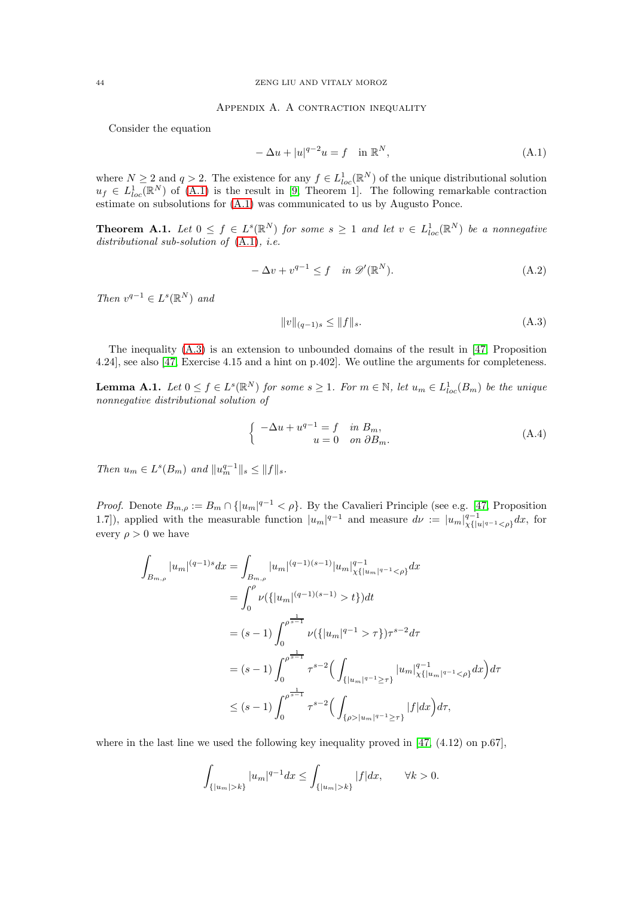### APPENDIX A. A CONTRACTION INEQUALITY

Consider the equation

<span id="page-43-2"></span>
$$
-\Delta u + |u|^{q-2}u = f \quad \text{in } \mathbb{R}^N,
$$
\n
$$
(A.1)
$$

where  $N \ge 2$  and  $q > 2$ . The existence for any  $f \in L^1_{loc}(\mathbb{R}^N)$  of the unique distributional solution  $u_f \in L^1_{loc}(\mathbb{R}^N)$  of [\(A.1\)](#page-43-2) is the result in [\[9,](#page-45-28) Theorem 1]. The following remarkable contraction estimate on subsolutions for [\(A.1\)](#page-43-2) was communicated to us by Augusto Ponce.

<span id="page-43-3"></span>**Theorem A.1.** Let  $0 \leq f \in L^{s}(\mathbb{R}^{N})$  for some  $s \geq 1$  and let  $v \in L^{1}_{loc}(\mathbb{R}^{N})$  be a nonnegative *distributional sub-solution of* [\(A.1\)](#page-43-2)*, i.e.*

$$
-\Delta v + v^{q-1} \le f \quad in \ \mathscr{D}'(\mathbb{R}^N). \tag{A.2}
$$

*Then*  $v^{q-1} \in L^s(\mathbb{R}^N)$  *and* 

<span id="page-43-1"></span>
$$
||v||_{(q-1)s} \le ||f||_s. \tag{A.3}
$$

The inequality [\(A.3\)](#page-43-1) is an extension to unbounded domains of the result in [\[47,](#page-46-24) Proposition 4.24], see also [\[47,](#page-46-24) Exercise 4.15 and a hint on p.402]. We outline the arguments for completeness.

**Lemma A.1.** Let  $0 \le f \in L^s(\mathbb{R}^N)$  for some  $s \ge 1$ . For  $m \in \mathbb{N}$ , let  $u_m \in L^1_{loc}(B_m)$  be the unique *nonnegative distributional solution of*

<span id="page-43-4"></span>
$$
\begin{cases}\n-\Delta u + u^{q-1} = f & \text{in } B_m, \\
u = 0 & \text{on } \partial B_m.\n\end{cases}
$$
\n(A.4)

*Then*  $u_m \in L^s(B_m)$  *and*  $||u_m^{q-1}||_s \leq ||f||_s$ .

*Proof.* Denote  $B_{m,\rho} := B_m \cap \{|u_m|^{q-1} < \rho\}$ . By the Cavalieri Principle (see e.g. [\[47,](#page-46-24) Proposition 1.7]), applied with the measurable function  $|u_m|^{q-1}$  and measure  $d\nu := |u_m|_{\chi\{|u_m|}}^{\chi\{-1\}}$  $\frac{q-1}{\chi\{|u|^{q-1} < \rho\}} dx$ , for every  $\rho > 0$  we have

$$
\int_{B_{m,\rho}} |u_m|^{(q-1)s} dx = \int_{B_{m,\rho}} |u_m|^{(q-1)(s-1)} |u_m|_{\chi\{|u_m|^{q-1} < \rho\}}^{q-1} dx
$$
\n
$$
= \int_0^{\rho} \nu(\{|u_m|^{(q-1)(s-1)} > t\}) dt
$$
\n
$$
= (s-1) \int_0^{\rho^{\frac{1}{s-1}}} \nu(\{|u_m|^{q-1} > \tau\}) \tau^{s-2} d\tau
$$
\n
$$
= (s-1) \int_0^{\rho^{\frac{1}{s-1}}} \tau^{s-2} \Big( \int_{\{|u_m|^{q-1} \ge \tau\}} |u_m|_{\chi\{|u_m|^{q-1} < \rho\}}^{q-1} dx \Big) d\tau
$$
\n
$$
\le (s-1) \int_0^{\rho^{\frac{1}{s-1}}} \tau^{s-2} \Big( \int_{\{\rho > |u_m|^{q-1} \ge \tau\}} |f| dx \Big) d\tau,
$$

where in the last line we used the following key inequality proved in  $[47, (4.12)$  on p.67],

$$
\int_{\{|u_m|>k\}} |u_m|^{q-1} dx \le \int_{\{|u_m|>k\}} |f| dx, \qquad \forall k > 0.
$$

<span id="page-43-0"></span>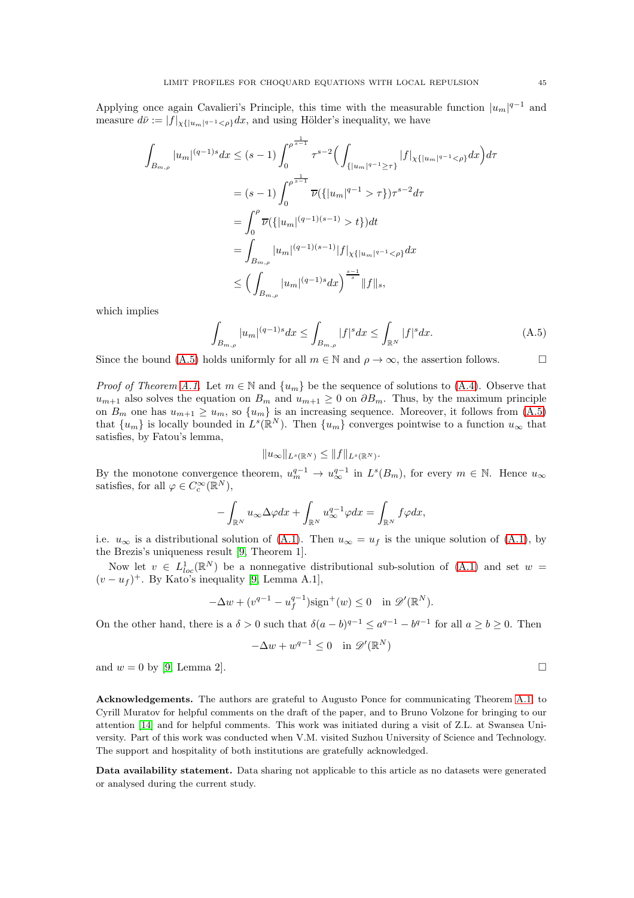Applying once again Cavalieri's Principle, this time with the measurable function  $|u_m|^{q-1}$  and measure  $d\bar{\nu} := |f|_{\chi\{|u_m|^{q-1} < \rho\}} dx$ , and using Hölder's inequality, we have

$$
\int_{B_{m,\rho}} |u_m|^{(q-1)s} dx \le (s-1) \int_0^{\rho^{\frac{1}{s-1}}} \tau^{s-2} \Big( \int_{\{|u_m|^{q-1} \ge \tau\}} |f|_{\chi\{|u_m|^{q-1} < \rho\}} dx \Big) d\tau
$$
  
\n
$$
= (s-1) \int_0^{\rho^{\frac{1}{s-1}}} \overline{\nu}(\{|u_m|^{q-1} > \tau\}) \tau^{s-2} d\tau
$$
  
\n
$$
= \int_0^{\rho} \overline{\nu}(\{|u_m|^{(q-1)(s-1)} > t\}) dt
$$
  
\n
$$
= \int_{B_{m,\rho}} |u_m|^{(q-1)(s-1)} |f|_{\chi\{|u_m|^{q-1} < \rho\}} dx
$$
  
\n
$$
\le \left( \int_{B_{m,\rho}} |u_m|^{(q-1)s} dx \right)^{\frac{s-1}{s}} ||f||_s,
$$

which implies

<span id="page-44-0"></span>
$$
\int_{B_{m,\rho}} |u_m|^{(q-1)s} dx \le \int_{B_{m,\rho}} |f|^s dx \le \int_{\mathbb{R}^N} |f|^s dx. \tag{A.5}
$$

Since the bound [\(A.5\)](#page-44-0) holds uniformly for all  $m \in \mathbb{N}$  and  $\rho \to \infty$ , the assertion follows.

*Proof of Theorem [A.1.](#page-43-3)* Let  $m \in \mathbb{N}$  and  $\{u_m\}$  be the sequence of solutions to [\(A.4\)](#page-43-4). Observe that  $u_{m+1}$  also solves the equation on  $B_m$  and  $u_{m+1} \geq 0$  on  $\partial B_m$ . Thus, by the maximum principle on  $B_m$  one has  $u_{m+1} \geq u_m$ , so  $\{u_m\}$  is an increasing sequence. Moreover, it follows from  $(A.5)$ that  $\{u_m\}$  is locally bounded in  $L^s(\mathbb{R}^N)$ . Then  $\{u_m\}$  converges pointwise to a function  $u_\infty$  that satisfies, by Fatou's lemma,

$$
||u_\infty||_{L^s(\mathbb{R}^N)} \leq ||f||_{L^s(\mathbb{R}^N)}.
$$

By the monotone convergence theorem,  $u_m^{q-1} \to u_{\infty}^{q-1}$  in  $L^s(B_m)$ , for every  $m \in \mathbb{N}$ . Hence  $u_{\infty}$ satisfies, for all  $\varphi \in C_c^{\infty}(\mathbb{R}^N)$ ,

$$
-\int_{\mathbb{R}^N} u_{\infty} \Delta \varphi dx + \int_{\mathbb{R}^N} u_{\infty}^{q-1} \varphi dx = \int_{\mathbb{R}^N} f \varphi dx,
$$

i.e.  $u_{\infty}$  is a distributional solution of [\(A.1\)](#page-43-2). Then  $u_{\infty} = u_f$  is the unique solution of (A.1), by the Brezis's uniqueness result [\[9,](#page-45-28) Theorem 1].

Now let  $v \in L^1_{loc}(\mathbb{R}^N)$  be a nonnegative distributional sub-solution of  $(A.1)$  and set  $w =$  $(v - u_f)^+$ . By Kato's inequality [\[9,](#page-45-28) Lemma A.1],

$$
-\Delta w + (v^{q-1} - u_f^{q-1})\text{sign}^+(w) \le 0 \quad \text{in } \mathscr{D}'(\mathbb{R}^N).
$$

On the other hand, there is a  $\delta > 0$  such that  $\delta(a-b)^{q-1} \le a^{q-1} - b^{q-1}$  for all  $a \ge b \ge 0$ . Then

$$
-\Delta w + w^{q-1} \le 0 \quad \text{in } \mathscr{D}'(\mathbb{R}^N)
$$

and  $w = 0$  by [\[9,](#page-45-28) Lemma 2].

Acknowledgements. The authors are grateful to Augusto Ponce for communicating Theorem [A.1,](#page-43-3) to Cyrill Muratov for helpful comments on the draft of the paper, and to Bruno Volzone for bringing to our attention [\[14\]](#page-45-23) and for helpful comments. This work was initiated during a visit of Z.L. at Swansea University. Part of this work was conducted when V.M. visited Suzhou University of Science and Technology. The support and hospitality of both institutions are gratefully acknowledged.

Data availability statement. Data sharing not applicable to this article as no datasets were generated or analysed during the current study.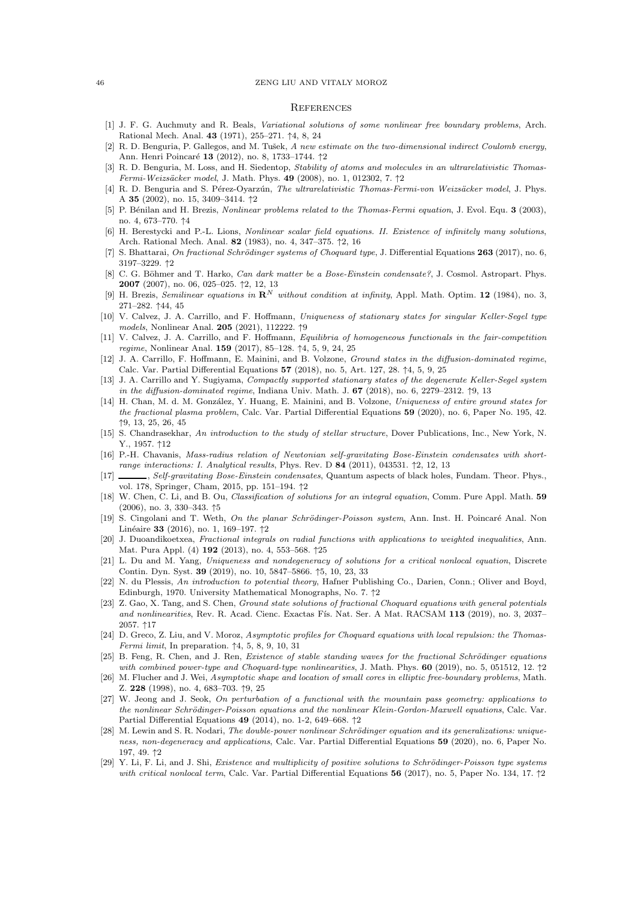#### 46 ZENG LIU AND VITALY MOROZ

#### <span id="page-45-0"></span>**REFERENCES**

- <span id="page-45-15"></span>[1] J. F. G. Auchmuty and R. Beals, Variational solutions of some nonlinear free boundary problems, Arch. Rational Mech. Anal. 43 (1971), 255–271. ↑4, 8, 24
- <span id="page-45-5"></span>[2] R. D. Benguria, P. Gallegos, and M. Tušek, A new estimate on the two-dimensional indirect Coulomb energy, Ann. Henri Poincaré 13 (2012), no. 8, 1733–1744. ↑2
- [3] R. D. Benguria, M. Loss, and H. Siedentop, Stability of atoms and molecules in an ultrarelativistic Thomas-Fermi-Weizs¨acker model, J. Math. Phys. 49 (2008), no. 1, 012302, 7. ↑2
- <span id="page-45-6"></span>[4] R. D. Benguria and S. Pérez-Oyarzún, The ultrarelativistic Thomas-Fermi-von Weizsäcker model, J. Phys. A 35 (2002), no. 15, 3409–3414. ↑2
- <span id="page-45-16"></span>[5] P. Bénilan and H. Brezis, Nonlinear problems related to the Thomas-Fermi equation, J. Evol. Equ. 3 (2003), no. 4, 673–770. ↑4
- <span id="page-45-7"></span>[6] H. Berestycki and P.-L. Lions, Nonlinear scalar field equations. II. Existence of infinitely many solutions, Arch. Rational Mech. Anal. 82 (1983), no. 4, 347–375. ↑2, 16
- <span id="page-45-9"></span>[7] S. Bhattarai, On fractional Schrödinger systems of Choquard type, J. Differential Equations  $263$  (2017), no. 6, 3197–3229. ↑2
- <span id="page-45-2"></span>[8] C. G. Böhmer and T. Harko, Can dark matter be a Bose-Einstein condensate?, J. Cosmol. Astropart. Phys. 2007 (2007), no. 06, 025–025. ↑2, 12, 13
- <span id="page-45-28"></span>[9] H. Brezis, Semilinear equations in  $\mathbb{R}^N$  without condition at infinity, Appl. Math. Optim. 12 (1984), no. 3, 271–282. ↑44, 45
- <span id="page-45-21"></span>[10] V. Calvez, J. A. Carrillo, and F. Hoffmann, Uniqueness of stationary states for singular Keller-Segel type models, Nonlinear Anal. 205 (2021), 112222. ↑9
- <span id="page-45-17"></span>[11] V. Calvez, J. A. Carrillo, and F. Hoffmann, Equilibria of homogeneous functionals in the fair-competition regime, Nonlinear Anal. 159 (2017), 85–128. ↑4, 5, 9, 24, 25
- <span id="page-45-18"></span>[12] J. A. Carrillo, F. Hoffmann, E. Mainini, and B. Volzone, Ground states in the diffusion-dominated regime, Calc. Var. Partial Differential Equations 57 (2018), no. 5, Art. 127, 28. ↑4, 5, 9, 25
- <span id="page-45-22"></span>[13] J. A. Carrillo and Y. Sugiyama, Compactly supported stationary states of the degenerate Keller-Segel system in the diffusion-dominated regime, Indiana Univ. Math. J.  $67$  (2018), no. 6, 2279–2312.  $\uparrow$ 9, 13
- <span id="page-45-23"></span>[14] H. Chan, M. d. M. González, Y. Huang, E. Mainini, and B. Volzone, Uniqueness of entire ground states for the fractional plasma problem, Calc. Var. Partial Differential Equations 59 (2020), no. 6, Paper No. 195, 42. ↑9, 13, 25, 26, 45
- <span id="page-45-25"></span>[15] S. Chandrasekhar, An introduction to the study of stellar structure, Dover Publications, Inc., New York, N. Y., 1957. ↑12
- <span id="page-45-3"></span>[16] P.-H. Chavanis, Mass-radius relation of Newtonian self-gravitating Bose-Einstein condensates with shortrange interactions: I. Analytical results, Phys. Rev. D  $84$  (2011), 043531,  $\uparrow$ 2, 12, 13
- <span id="page-45-4"></span>[17] Self-gravitating Bose-Einstein condensates, Quantum aspects of black holes, Fundam. Theor. Phys., vol. 178, Springer, Cham, 2015, pp. 151–194. ↑2
- <span id="page-45-19"></span>[18] W. Chen, C. Li, and B. Ou, Classification of solutions for an integral equation, Comm. Pure Appl. Math. 59 (2006), no. 3, 330–343. ↑5
- <span id="page-45-13"></span>[19] S. Cingolani and T. Weth, On the planar Schrödinger-Poisson system, Ann. Inst. H. Poincaré Anal. Non Linéaire 33 (2016), no. 1, 169–197. ↑2
- <span id="page-45-27"></span>[20] J. Duoandikoetxea, Fractional integrals on radial functions with applications to weighted inequalities, Ann. Mat. Pura Appl. (4) 192 (2013), no. 4, 553–568. ↑25
- <span id="page-45-20"></span>[21] L. Du and M. Yang, Uniqueness and nondegeneracy of solutions for a critical nonlocal equation, Discrete Contin. Dyn. Syst. 39 (2019), no. 10, 5847–5866. ↑5, 10, 23, 33
- <span id="page-45-1"></span>[22] N. du Plessis, An introduction to potential theory, Hafner Publishing Co., Darien, Conn.; Oliver and Boyd, Edinburgh, 1970. University Mathematical Monographs, No. 7. ↑2
- <span id="page-45-26"></span>[23] Z. Gao, X. Tang, and S. Chen, Ground state solutions of fractional Choquard equations with general potentials and nonlinearities, Rev. R. Acad. Cienc. Exactas Fís. Nat. Ser. A Mat. RACSAM 113 (2019), no. 3, 2037– 2057. ↑17
- <span id="page-45-14"></span>[24] D. Greco, Z. Liu, and V. Moroz, Asymptotic profiles for Choquard equations with local repulsion: the Thomas-Fermi limit, In preparation.  $\uparrow$ 4, 5, 8, 9, 10, 31
- <span id="page-45-10"></span>[25] B. Feng, R. Chen, and J. Ren, Existence of stable standing waves for the fractional Schrödinger equations with combined power-type and Choquard-type nonlinearities, J. Math. Phys. 60 (2019), no. 5, 051512, 12.  $\uparrow$ 2
- <span id="page-45-24"></span>[26] M. Flucher and J. Wei, Asymptotic shape and location of small cores in elliptic free-boundary problems, Math. Z. 228 (1998), no. 4, 683–703. ↑9, 25
- <span id="page-45-11"></span>[27] W. Jeong and J. Seok, On perturbation of a functional with the mountain pass geometry: applications to the nonlinear Schrödinger-Poisson equations and the nonlinear Klein-Gordon-Maxwell equations, Calc. Var. Partial Differential Equations 49 (2014), no. 1-2, 649–668. ↑2
- <span id="page-45-8"></span>[28] M. Lewin and S. R. Nodari, *The double-power nonlinear Schrödinger equation and its generalizations: unique*ness, non-degeneracy and applications, Calc. Var. Partial Differential Equations 59 (2020), no. 6, Paper No. 197, 49. ↑2
- <span id="page-45-12"></span>[29] Y. Li, F. Li, and J. Shi, Existence and multiplicity of positive solutions to Schrödinger-Poisson type systems with critical nonlocal term, Calc. Var. Partial Differential Equations 56 (2017), no. 5, Paper No. 134, 17.  $\uparrow$ 2